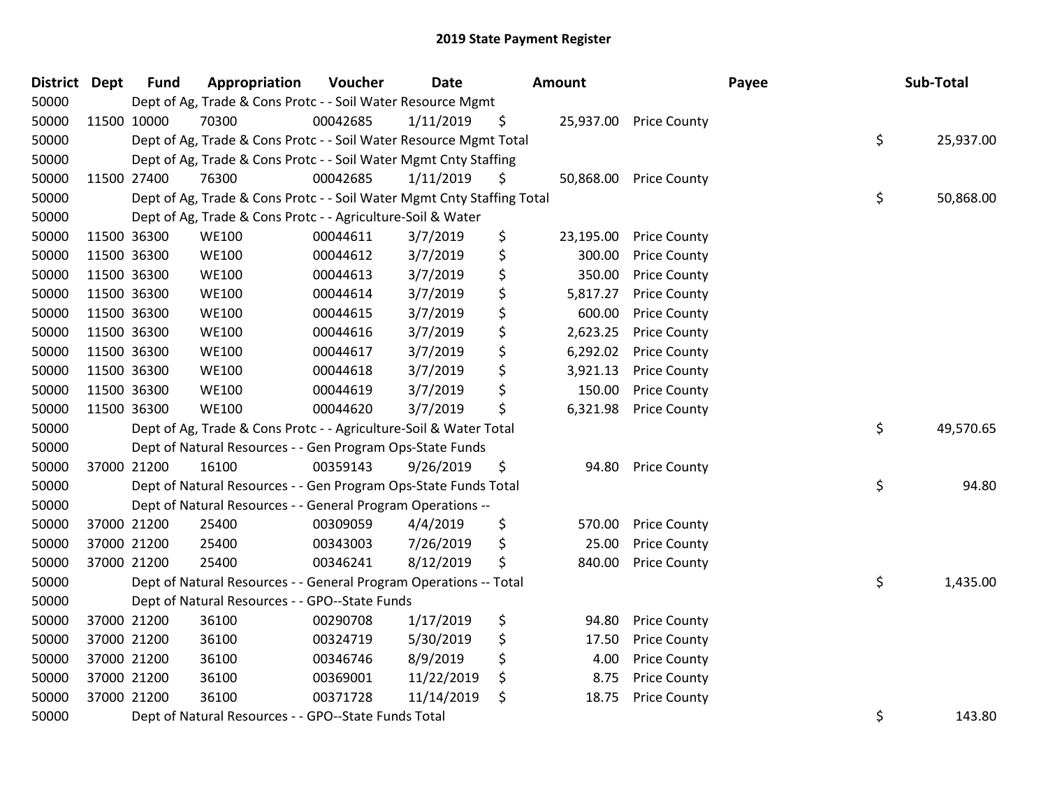| <b>District Dept</b> |             | <b>Fund</b> | Appropriation                                                          | Voucher  | <b>Date</b> | Amount          |                        | Payee | Sub-Total       |
|----------------------|-------------|-------------|------------------------------------------------------------------------|----------|-------------|-----------------|------------------------|-------|-----------------|
| 50000                |             |             | Dept of Ag, Trade & Cons Protc - - Soil Water Resource Mgmt            |          |             |                 |                        |       |                 |
| 50000                |             | 11500 10000 | 70300                                                                  | 00042685 | 1/11/2019   | \$              | 25,937.00 Price County |       |                 |
| 50000                |             |             | Dept of Ag, Trade & Cons Protc - - Soil Water Resource Mgmt Total      |          |             |                 |                        |       | \$<br>25,937.00 |
| 50000                |             |             | Dept of Ag, Trade & Cons Protc - - Soil Water Mgmt Cnty Staffing       |          |             |                 |                        |       |                 |
| 50000                |             | 11500 27400 | 76300                                                                  | 00042685 | 1/11/2019   | \$<br>50,868.00 | <b>Price County</b>    |       |                 |
| 50000                |             |             | Dept of Ag, Trade & Cons Protc - - Soil Water Mgmt Cnty Staffing Total |          |             |                 |                        |       | \$<br>50,868.00 |
| 50000                |             |             | Dept of Ag, Trade & Cons Protc - - Agriculture-Soil & Water            |          |             |                 |                        |       |                 |
| 50000                |             | 11500 36300 | <b>WE100</b>                                                           | 00044611 | 3/7/2019    | \$<br>23,195.00 | <b>Price County</b>    |       |                 |
| 50000                |             | 11500 36300 | <b>WE100</b>                                                           | 00044612 | 3/7/2019    | \$<br>300.00    | <b>Price County</b>    |       |                 |
| 50000                |             | 11500 36300 | <b>WE100</b>                                                           | 00044613 | 3/7/2019    | \$<br>350.00    | <b>Price County</b>    |       |                 |
| 50000                |             | 11500 36300 | <b>WE100</b>                                                           | 00044614 | 3/7/2019    | \$<br>5,817.27  | <b>Price County</b>    |       |                 |
| 50000                |             | 11500 36300 | <b>WE100</b>                                                           | 00044615 | 3/7/2019    | \$<br>600.00    | <b>Price County</b>    |       |                 |
| 50000                | 11500 36300 |             | <b>WE100</b>                                                           | 00044616 | 3/7/2019    | \$<br>2,623.25  | <b>Price County</b>    |       |                 |
| 50000                | 11500 36300 |             | <b>WE100</b>                                                           | 00044617 | 3/7/2019    | \$<br>6,292.02  | <b>Price County</b>    |       |                 |
| 50000                | 11500 36300 |             | <b>WE100</b>                                                           | 00044618 | 3/7/2019    | \$<br>3,921.13  | <b>Price County</b>    |       |                 |
| 50000                | 11500 36300 |             | <b>WE100</b>                                                           | 00044619 | 3/7/2019    | \$<br>150.00    | <b>Price County</b>    |       |                 |
| 50000                |             | 11500 36300 | <b>WE100</b>                                                           | 00044620 | 3/7/2019    | \$<br>6,321.98  | <b>Price County</b>    |       |                 |
| 50000                |             |             | Dept of Ag, Trade & Cons Protc - - Agriculture-Soil & Water Total      |          |             |                 |                        |       | \$<br>49,570.65 |
| 50000                |             |             | Dept of Natural Resources - - Gen Program Ops-State Funds              |          |             |                 |                        |       |                 |
| 50000                |             | 37000 21200 | 16100                                                                  | 00359143 | 9/26/2019   | \$<br>94.80     | <b>Price County</b>    |       |                 |
| 50000                |             |             | Dept of Natural Resources - - Gen Program Ops-State Funds Total        |          |             |                 |                        |       | \$<br>94.80     |
| 50000                |             |             | Dept of Natural Resources - - General Program Operations --            |          |             |                 |                        |       |                 |
| 50000                |             | 37000 21200 | 25400                                                                  | 00309059 | 4/4/2019    | \$<br>570.00    | <b>Price County</b>    |       |                 |
| 50000                |             | 37000 21200 | 25400                                                                  | 00343003 | 7/26/2019   | \$<br>25.00     | <b>Price County</b>    |       |                 |
| 50000                | 37000 21200 |             | 25400                                                                  | 00346241 | 8/12/2019   | \$<br>840.00    | <b>Price County</b>    |       |                 |
| 50000                |             |             | Dept of Natural Resources - - General Program Operations -- Total      |          |             |                 |                        |       | \$<br>1,435.00  |
| 50000                |             |             | Dept of Natural Resources - - GPO--State Funds                         |          |             |                 |                        |       |                 |
| 50000                |             | 37000 21200 | 36100                                                                  | 00290708 | 1/17/2019   | \$<br>94.80     | <b>Price County</b>    |       |                 |
| 50000                |             | 37000 21200 | 36100                                                                  | 00324719 | 5/30/2019   | \$<br>17.50     | <b>Price County</b>    |       |                 |
| 50000                |             | 37000 21200 | 36100                                                                  | 00346746 | 8/9/2019    | \$<br>4.00      | <b>Price County</b>    |       |                 |
| 50000                | 37000 21200 |             | 36100                                                                  | 00369001 | 11/22/2019  | \$<br>8.75      | <b>Price County</b>    |       |                 |
| 50000                |             | 37000 21200 | 36100                                                                  | 00371728 | 11/14/2019  | \$<br>18.75     | <b>Price County</b>    |       |                 |
| 50000                |             |             | Dept of Natural Resources - - GPO--State Funds Total                   |          |             |                 |                        |       | \$<br>143.80    |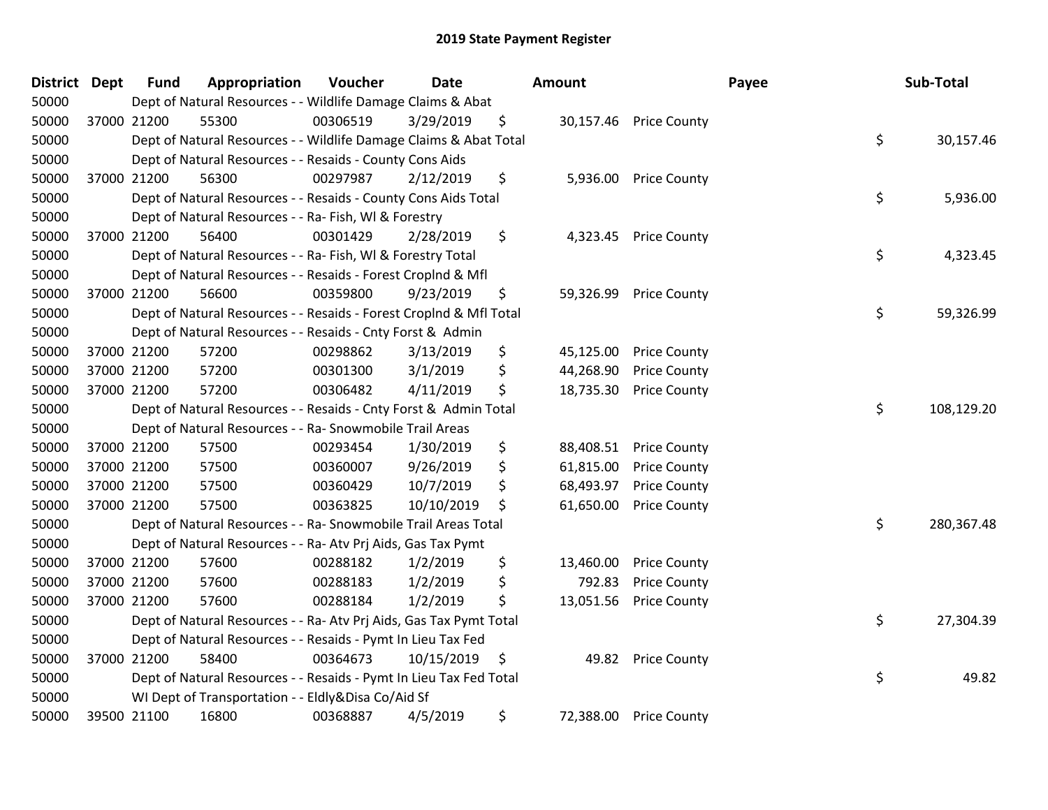| District Dept | <b>Fund</b> | Appropriation                                                      | Voucher  | <b>Date</b> |    | Amount    |                        | Payee | Sub-Total  |
|---------------|-------------|--------------------------------------------------------------------|----------|-------------|----|-----------|------------------------|-------|------------|
| 50000         |             | Dept of Natural Resources - - Wildlife Damage Claims & Abat        |          |             |    |           |                        |       |            |
| 50000         | 37000 21200 | 55300                                                              | 00306519 | 3/29/2019   | \$ |           | 30,157.46 Price County |       |            |
| 50000         |             | Dept of Natural Resources - - Wildlife Damage Claims & Abat Total  |          |             |    |           |                        | \$    | 30,157.46  |
| 50000         |             | Dept of Natural Resources - - Resaids - County Cons Aids           |          |             |    |           |                        |       |            |
| 50000         | 37000 21200 | 56300                                                              | 00297987 | 2/12/2019   | \$ | 5,936.00  | <b>Price County</b>    |       |            |
| 50000         |             | Dept of Natural Resources - - Resaids - County Cons Aids Total     |          |             |    |           |                        | \$    | 5,936.00   |
| 50000         |             | Dept of Natural Resources - - Ra- Fish, WI & Forestry              |          |             |    |           |                        |       |            |
| 50000         | 37000 21200 | 56400                                                              | 00301429 | 2/28/2019   | \$ | 4,323.45  | <b>Price County</b>    |       |            |
| 50000         |             | Dept of Natural Resources - - Ra- Fish, WI & Forestry Total        |          |             |    |           |                        | \$    | 4,323.45   |
| 50000         |             | Dept of Natural Resources - - Resaids - Forest Croplnd & Mfl       |          |             |    |           |                        |       |            |
| 50000         | 37000 21200 | 56600                                                              | 00359800 | 9/23/2019   | \$ | 59,326.99 | <b>Price County</b>    |       |            |
| 50000         |             | Dept of Natural Resources - - Resaids - Forest Croplnd & Mfl Total |          |             |    |           |                        | \$    | 59,326.99  |
| 50000         |             | Dept of Natural Resources - - Resaids - Cnty Forst & Admin         |          |             |    |           |                        |       |            |
| 50000         | 37000 21200 | 57200                                                              | 00298862 | 3/13/2019   | \$ | 45,125.00 | <b>Price County</b>    |       |            |
| 50000         | 37000 21200 | 57200                                                              | 00301300 | 3/1/2019    | \$ | 44,268.90 | <b>Price County</b>    |       |            |
| 50000         | 37000 21200 | 57200                                                              | 00306482 | 4/11/2019   | \$ | 18,735.30 | <b>Price County</b>    |       |            |
| 50000         |             | Dept of Natural Resources - - Resaids - Cnty Forst & Admin Total   |          |             |    |           |                        | \$    | 108,129.20 |
| 50000         |             | Dept of Natural Resources - - Ra- Snowmobile Trail Areas           |          |             |    |           |                        |       |            |
| 50000         | 37000 21200 | 57500                                                              | 00293454 | 1/30/2019   | \$ | 88,408.51 | <b>Price County</b>    |       |            |
| 50000         | 37000 21200 | 57500                                                              | 00360007 | 9/26/2019   | \$ | 61,815.00 | <b>Price County</b>    |       |            |
| 50000         | 37000 21200 | 57500                                                              | 00360429 | 10/7/2019   | \$ | 68,493.97 | <b>Price County</b>    |       |            |
| 50000         | 37000 21200 | 57500                                                              | 00363825 | 10/10/2019  | Ş  | 61,650.00 | <b>Price County</b>    |       |            |
| 50000         |             | Dept of Natural Resources - - Ra- Snowmobile Trail Areas Total     |          |             |    |           |                        | \$    | 280,367.48 |
| 50000         |             | Dept of Natural Resources - - Ra- Atv Prj Aids, Gas Tax Pymt       |          |             |    |           |                        |       |            |
| 50000         | 37000 21200 | 57600                                                              | 00288182 | 1/2/2019    | \$ | 13,460.00 | <b>Price County</b>    |       |            |
| 50000         | 37000 21200 | 57600                                                              | 00288183 | 1/2/2019    | \$ | 792.83    | <b>Price County</b>    |       |            |
| 50000         | 37000 21200 | 57600                                                              | 00288184 | 1/2/2019    | \$ | 13,051.56 | <b>Price County</b>    |       |            |
| 50000         |             | Dept of Natural Resources - - Ra- Atv Prj Aids, Gas Tax Pymt Total |          |             |    |           |                        | \$    | 27,304.39  |
| 50000         |             | Dept of Natural Resources - - Resaids - Pymt In Lieu Tax Fed       |          |             |    |           |                        |       |            |
| 50000         | 37000 21200 | 58400                                                              | 00364673 | 10/15/2019  | \$ | 49.82     | <b>Price County</b>    |       |            |
| 50000         |             | Dept of Natural Resources - - Resaids - Pymt In Lieu Tax Fed Total |          |             |    |           |                        | \$    | 49.82      |
| 50000         |             | WI Dept of Transportation - - Eldly&Disa Co/Aid Sf                 |          |             |    |           |                        |       |            |
| 50000         | 39500 21100 | 16800                                                              | 00368887 | 4/5/2019    | \$ | 72,388.00 | <b>Price County</b>    |       |            |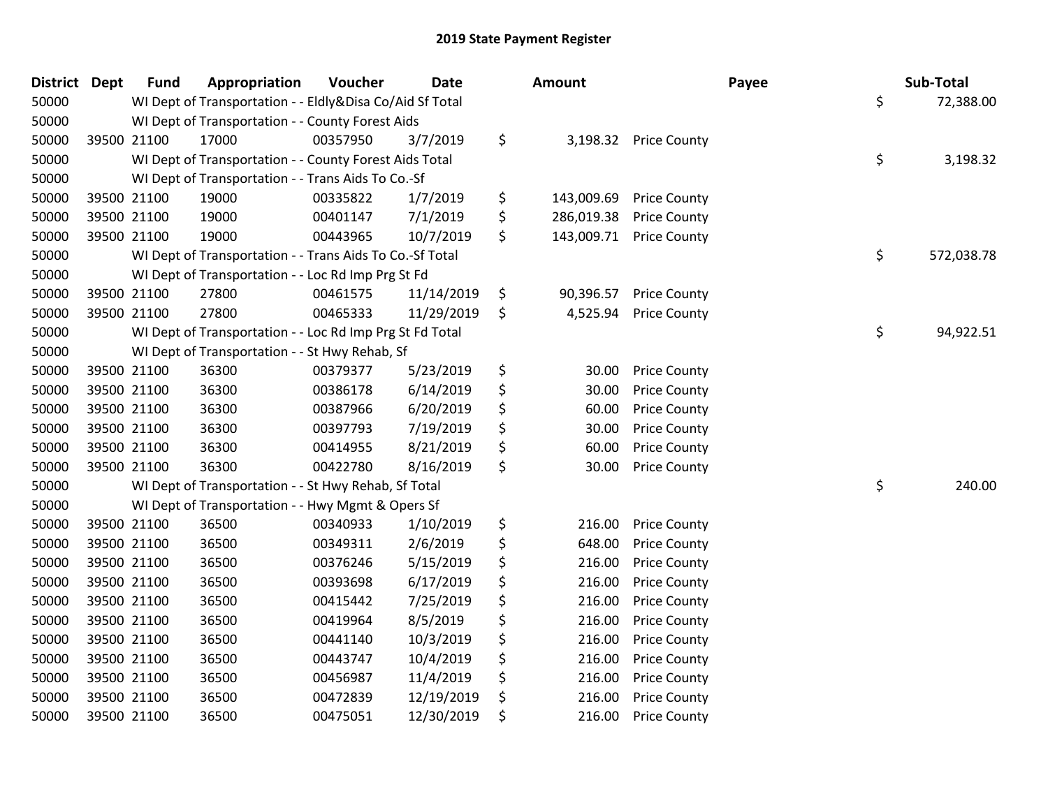| District Dept | <b>Fund</b> | Appropriation                                            | Voucher  | <b>Date</b> | <b>Amount</b>    |                       | Payee | Sub-Total        |
|---------------|-------------|----------------------------------------------------------|----------|-------------|------------------|-----------------------|-------|------------------|
| 50000         |             | WI Dept of Transportation - - Eldly&Disa Co/Aid Sf Total |          |             |                  |                       |       | \$<br>72,388.00  |
| 50000         |             | WI Dept of Transportation - - County Forest Aids         |          |             |                  |                       |       |                  |
| 50000         | 39500 21100 | 17000                                                    | 00357950 | 3/7/2019    | \$               | 3,198.32 Price County |       |                  |
| 50000         |             | WI Dept of Transportation - - County Forest Aids Total   |          |             |                  |                       |       | \$<br>3,198.32   |
| 50000         |             | WI Dept of Transportation - - Trans Aids To Co.-Sf       |          |             |                  |                       |       |                  |
| 50000         | 39500 21100 | 19000                                                    | 00335822 | 1/7/2019    | \$<br>143,009.69 | <b>Price County</b>   |       |                  |
| 50000         | 39500 21100 | 19000                                                    | 00401147 | 7/1/2019    | \$<br>286,019.38 | <b>Price County</b>   |       |                  |
| 50000         | 39500 21100 | 19000                                                    | 00443965 | 10/7/2019   | \$<br>143,009.71 | <b>Price County</b>   |       |                  |
| 50000         |             | WI Dept of Transportation - - Trans Aids To Co.-Sf Total |          |             |                  |                       |       | \$<br>572,038.78 |
| 50000         |             | WI Dept of Transportation - - Loc Rd Imp Prg St Fd       |          |             |                  |                       |       |                  |
| 50000         | 39500 21100 | 27800                                                    | 00461575 | 11/14/2019  | \$<br>90,396.57  | <b>Price County</b>   |       |                  |
| 50000         | 39500 21100 | 27800                                                    | 00465333 | 11/29/2019  | \$<br>4,525.94   | <b>Price County</b>   |       |                  |
| 50000         |             | WI Dept of Transportation - - Loc Rd Imp Prg St Fd Total |          |             |                  |                       |       | \$<br>94,922.51  |
| 50000         |             | WI Dept of Transportation - - St Hwy Rehab, Sf           |          |             |                  |                       |       |                  |
| 50000         | 39500 21100 | 36300                                                    | 00379377 | 5/23/2019   | \$<br>30.00      | <b>Price County</b>   |       |                  |
| 50000         | 39500 21100 | 36300                                                    | 00386178 | 6/14/2019   | \$<br>30.00      | <b>Price County</b>   |       |                  |
| 50000         | 39500 21100 | 36300                                                    | 00387966 | 6/20/2019   | \$<br>60.00      | <b>Price County</b>   |       |                  |
| 50000         | 39500 21100 | 36300                                                    | 00397793 | 7/19/2019   | \$<br>30.00      | <b>Price County</b>   |       |                  |
| 50000         | 39500 21100 | 36300                                                    | 00414955 | 8/21/2019   | \$<br>60.00      | <b>Price County</b>   |       |                  |
| 50000         | 39500 21100 | 36300                                                    | 00422780 | 8/16/2019   | \$<br>30.00      | <b>Price County</b>   |       |                  |
| 50000         |             | WI Dept of Transportation - - St Hwy Rehab, Sf Total     |          |             |                  |                       |       | \$<br>240.00     |
| 50000         |             | WI Dept of Transportation - - Hwy Mgmt & Opers Sf        |          |             |                  |                       |       |                  |
| 50000         | 39500 21100 | 36500                                                    | 00340933 | 1/10/2019   | \$<br>216.00     | <b>Price County</b>   |       |                  |
| 50000         | 39500 21100 | 36500                                                    | 00349311 | 2/6/2019    | \$<br>648.00     | <b>Price County</b>   |       |                  |
| 50000         | 39500 21100 | 36500                                                    | 00376246 | 5/15/2019   | \$<br>216.00     | <b>Price County</b>   |       |                  |
| 50000         | 39500 21100 | 36500                                                    | 00393698 | 6/17/2019   | \$<br>216.00     | <b>Price County</b>   |       |                  |
| 50000         | 39500 21100 | 36500                                                    | 00415442 | 7/25/2019   | \$<br>216.00     | <b>Price County</b>   |       |                  |
| 50000         | 39500 21100 | 36500                                                    | 00419964 | 8/5/2019    | \$<br>216.00     | <b>Price County</b>   |       |                  |
| 50000         | 39500 21100 | 36500                                                    | 00441140 | 10/3/2019   | \$<br>216.00     | <b>Price County</b>   |       |                  |
| 50000         | 39500 21100 | 36500                                                    | 00443747 | 10/4/2019   | \$<br>216.00     | <b>Price County</b>   |       |                  |
| 50000         | 39500 21100 | 36500                                                    | 00456987 | 11/4/2019   | \$<br>216.00     | <b>Price County</b>   |       |                  |
| 50000         | 39500 21100 | 36500                                                    | 00472839 | 12/19/2019  | \$<br>216.00     | <b>Price County</b>   |       |                  |
| 50000         | 39500 21100 | 36500                                                    | 00475051 | 12/30/2019  | \$<br>216.00     | <b>Price County</b>   |       |                  |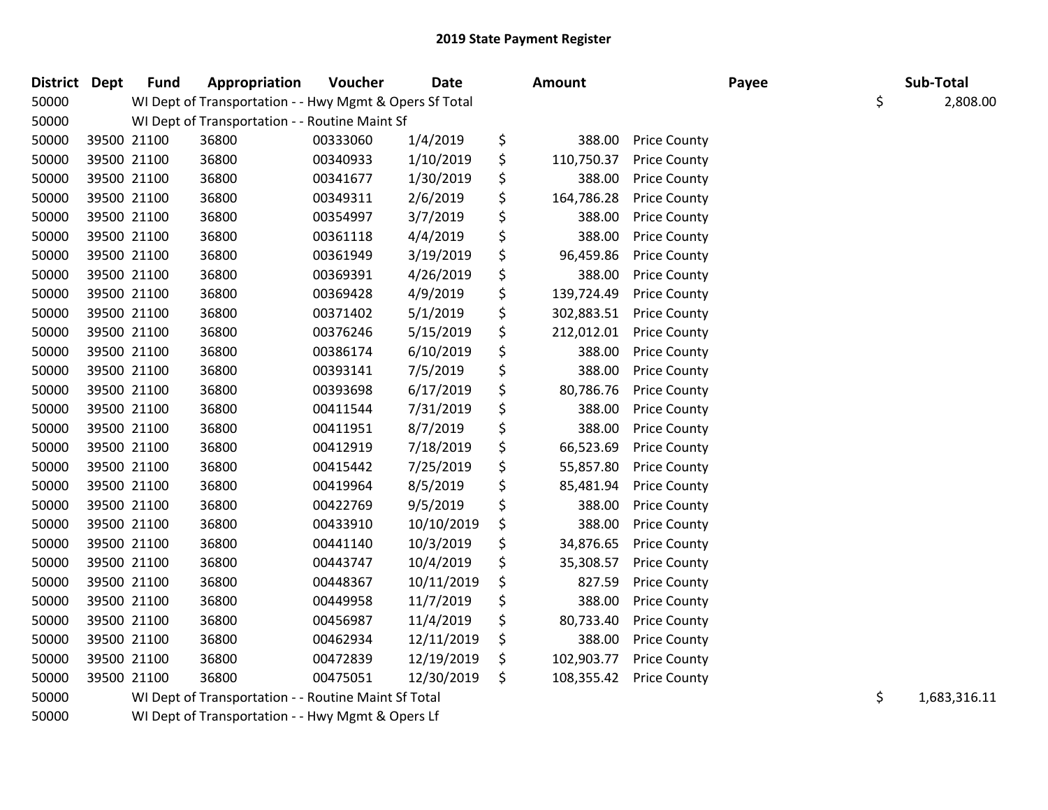| District Dept |             | <b>Fund</b> | Appropriation                                           | Voucher  | Date       |     | Amount     |                     | Payee | Sub-Total          |
|---------------|-------------|-------------|---------------------------------------------------------|----------|------------|-----|------------|---------------------|-------|--------------------|
| 50000         |             |             | WI Dept of Transportation - - Hwy Mgmt & Opers Sf Total |          |            |     |            |                     |       | \$<br>2,808.00     |
| 50000         |             |             | WI Dept of Transportation - - Routine Maint Sf          |          |            |     |            |                     |       |                    |
| 50000         |             | 39500 21100 | 36800                                                   | 00333060 | 1/4/2019   | \$  | 388.00     | <b>Price County</b> |       |                    |
| 50000         |             | 39500 21100 | 36800                                                   | 00340933 | 1/10/2019  | \$  | 110,750.37 | <b>Price County</b> |       |                    |
| 50000         |             | 39500 21100 | 36800                                                   | 00341677 | 1/30/2019  | \$  | 388.00     | <b>Price County</b> |       |                    |
| 50000         |             | 39500 21100 | 36800                                                   | 00349311 | 2/6/2019   | \$  | 164,786.28 | <b>Price County</b> |       |                    |
| 50000         |             | 39500 21100 | 36800                                                   | 00354997 | 3/7/2019   | \$  | 388.00     | <b>Price County</b> |       |                    |
| 50000         |             | 39500 21100 | 36800                                                   | 00361118 | 4/4/2019   | \$  | 388.00     | <b>Price County</b> |       |                    |
| 50000         | 39500 21100 |             | 36800                                                   | 00361949 | 3/19/2019  | \$  | 96,459.86  | <b>Price County</b> |       |                    |
| 50000         | 39500 21100 |             | 36800                                                   | 00369391 | 4/26/2019  | \$  | 388.00     | <b>Price County</b> |       |                    |
| 50000         | 39500 21100 |             | 36800                                                   | 00369428 | 4/9/2019   | \$  | 139,724.49 | <b>Price County</b> |       |                    |
| 50000         | 39500 21100 |             | 36800                                                   | 00371402 | 5/1/2019   | \$  | 302,883.51 | <b>Price County</b> |       |                    |
| 50000         | 39500 21100 |             | 36800                                                   | 00376246 | 5/15/2019  | \$  | 212,012.01 | <b>Price County</b> |       |                    |
| 50000         | 39500 21100 |             | 36800                                                   | 00386174 | 6/10/2019  | \$  | 388.00     | <b>Price County</b> |       |                    |
| 50000         | 39500 21100 |             | 36800                                                   | 00393141 | 7/5/2019   | \$  | 388.00     | <b>Price County</b> |       |                    |
| 50000         | 39500 21100 |             | 36800                                                   | 00393698 | 6/17/2019  | \$  | 80,786.76  | <b>Price County</b> |       |                    |
| 50000         |             | 39500 21100 | 36800                                                   | 00411544 | 7/31/2019  | \$  | 388.00     | <b>Price County</b> |       |                    |
| 50000         | 39500 21100 |             | 36800                                                   | 00411951 | 8/7/2019   | \$  | 388.00     | <b>Price County</b> |       |                    |
| 50000         | 39500 21100 |             | 36800                                                   | 00412919 | 7/18/2019  | \$  | 66,523.69  | <b>Price County</b> |       |                    |
| 50000         | 39500 21100 |             | 36800                                                   | 00415442 | 7/25/2019  | \$  | 55,857.80  | <b>Price County</b> |       |                    |
| 50000         |             | 39500 21100 | 36800                                                   | 00419964 | 8/5/2019   | \$  | 85,481.94  | <b>Price County</b> |       |                    |
| 50000         |             | 39500 21100 | 36800                                                   | 00422769 | 9/5/2019   | \$  | 388.00     | <b>Price County</b> |       |                    |
| 50000         | 39500 21100 |             | 36800                                                   | 00433910 | 10/10/2019 | \$  | 388.00     | <b>Price County</b> |       |                    |
| 50000         | 39500 21100 |             | 36800                                                   | 00441140 | 10/3/2019  | \$  | 34,876.65  | <b>Price County</b> |       |                    |
| 50000         | 39500 21100 |             | 36800                                                   | 00443747 | 10/4/2019  | \$  | 35,308.57  | <b>Price County</b> |       |                    |
| 50000         | 39500 21100 |             | 36800                                                   | 00448367 | 10/11/2019 | \$  | 827.59     | <b>Price County</b> |       |                    |
| 50000         | 39500 21100 |             | 36800                                                   | 00449958 | 11/7/2019  | \$  | 388.00     | <b>Price County</b> |       |                    |
| 50000         | 39500 21100 |             | 36800                                                   | 00456987 | 11/4/2019  | \$  | 80,733.40  | <b>Price County</b> |       |                    |
| 50000         | 39500 21100 |             | 36800                                                   | 00462934 | 12/11/2019 | \$  | 388.00     | <b>Price County</b> |       |                    |
| 50000         |             | 39500 21100 | 36800                                                   | 00472839 | 12/19/2019 | \$  | 102,903.77 | <b>Price County</b> |       |                    |
| 50000         |             | 39500 21100 | 36800                                                   | 00475051 | 12/30/2019 | \$. | 108,355.42 | <b>Price County</b> |       |                    |
| 50000         |             |             | WI Dept of Transportation - - Routine Maint Sf Total    |          |            |     |            |                     |       | \$<br>1,683,316.11 |
|               |             |             |                                                         |          |            |     |            |                     |       |                    |

WI Dept of Transportation - - Hwy Mgmt & Opers Lf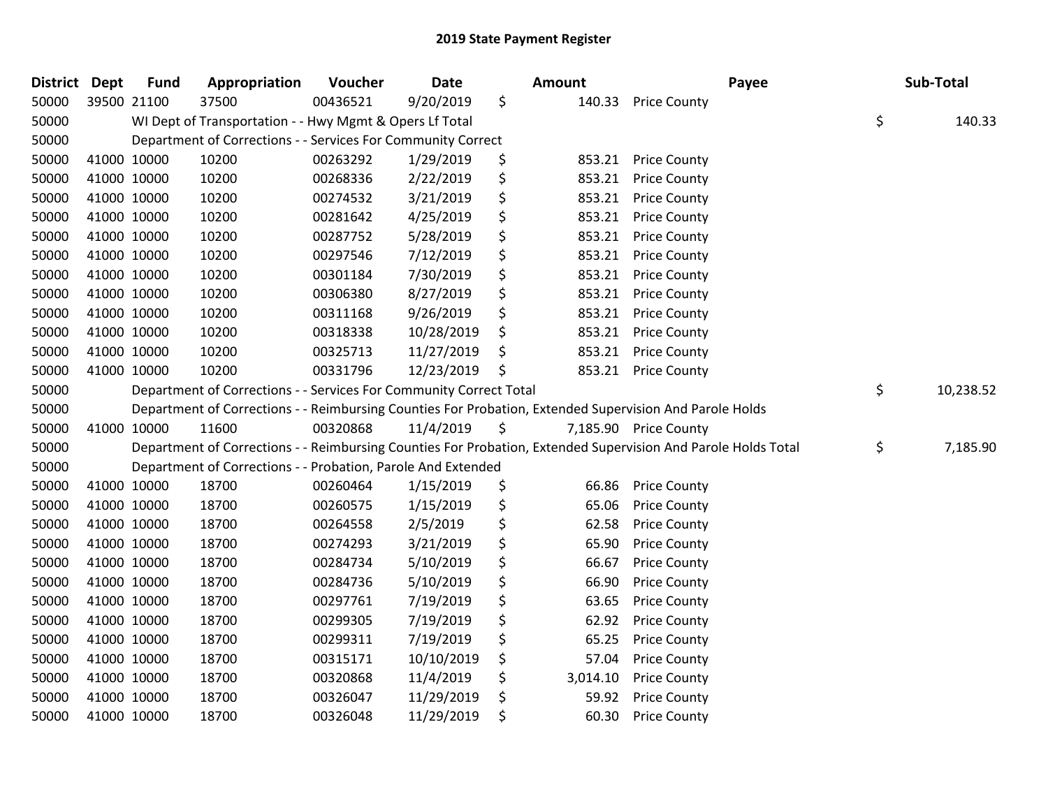| District Dept |             | <b>Fund</b> | Appropriation                                                      | Voucher  | <b>Date</b> | <b>Amount</b>  | Payee                                                                                                         | Sub-Total       |
|---------------|-------------|-------------|--------------------------------------------------------------------|----------|-------------|----------------|---------------------------------------------------------------------------------------------------------------|-----------------|
| 50000         | 39500 21100 |             | 37500                                                              | 00436521 | 9/20/2019   | \$<br>140.33   | <b>Price County</b>                                                                                           |                 |
| 50000         |             |             | WI Dept of Transportation - - Hwy Mgmt & Opers Lf Total            |          |             |                |                                                                                                               | \$<br>140.33    |
| 50000         |             |             | Department of Corrections - - Services For Community Correct       |          |             |                |                                                                                                               |                 |
| 50000         |             | 41000 10000 | 10200                                                              | 00263292 | 1/29/2019   | \$<br>853.21   | <b>Price County</b>                                                                                           |                 |
| 50000         |             | 41000 10000 | 10200                                                              | 00268336 | 2/22/2019   | \$<br>853.21   | <b>Price County</b>                                                                                           |                 |
| 50000         |             | 41000 10000 | 10200                                                              | 00274532 | 3/21/2019   | \$<br>853.21   | <b>Price County</b>                                                                                           |                 |
| 50000         |             | 41000 10000 | 10200                                                              | 00281642 | 4/25/2019   | \$<br>853.21   | <b>Price County</b>                                                                                           |                 |
| 50000         |             | 41000 10000 | 10200                                                              | 00287752 | 5/28/2019   | \$<br>853.21   | <b>Price County</b>                                                                                           |                 |
| 50000         |             | 41000 10000 | 10200                                                              | 00297546 | 7/12/2019   | \$<br>853.21   | <b>Price County</b>                                                                                           |                 |
| 50000         |             | 41000 10000 | 10200                                                              | 00301184 | 7/30/2019   | \$<br>853.21   | <b>Price County</b>                                                                                           |                 |
| 50000         |             | 41000 10000 | 10200                                                              | 00306380 | 8/27/2019   | \$<br>853.21   | <b>Price County</b>                                                                                           |                 |
| 50000         |             | 41000 10000 | 10200                                                              | 00311168 | 9/26/2019   | \$<br>853.21   | <b>Price County</b>                                                                                           |                 |
| 50000         |             | 41000 10000 | 10200                                                              | 00318338 | 10/28/2019  | \$<br>853.21   | <b>Price County</b>                                                                                           |                 |
| 50000         |             | 41000 10000 | 10200                                                              | 00325713 | 11/27/2019  | \$<br>853.21   | <b>Price County</b>                                                                                           |                 |
| 50000         |             | 41000 10000 | 10200                                                              | 00331796 | 12/23/2019  | \$<br>853.21   | <b>Price County</b>                                                                                           |                 |
| 50000         |             |             | Department of Corrections - - Services For Community Correct Total |          |             |                |                                                                                                               | \$<br>10,238.52 |
| 50000         |             |             |                                                                    |          |             |                | Department of Corrections - - Reimbursing Counties For Probation, Extended Supervision And Parole Holds       |                 |
| 50000         |             | 41000 10000 | 11600                                                              | 00320868 | 11/4/2019   | \$             | 7,185.90 Price County                                                                                         |                 |
| 50000         |             |             |                                                                    |          |             |                | Department of Corrections - - Reimbursing Counties For Probation, Extended Supervision And Parole Holds Total | \$<br>7,185.90  |
| 50000         |             |             | Department of Corrections - - Probation, Parole And Extended       |          |             |                |                                                                                                               |                 |
| 50000         |             | 41000 10000 | 18700                                                              | 00260464 | 1/15/2019   | \$<br>66.86    | <b>Price County</b>                                                                                           |                 |
| 50000         |             | 41000 10000 | 18700                                                              | 00260575 | 1/15/2019   | \$<br>65.06    | <b>Price County</b>                                                                                           |                 |
| 50000         |             | 41000 10000 | 18700                                                              | 00264558 | 2/5/2019    | \$<br>62.58    | <b>Price County</b>                                                                                           |                 |
| 50000         |             | 41000 10000 | 18700                                                              | 00274293 | 3/21/2019   | \$<br>65.90    | <b>Price County</b>                                                                                           |                 |
| 50000         |             | 41000 10000 | 18700                                                              | 00284734 | 5/10/2019   | \$<br>66.67    | <b>Price County</b>                                                                                           |                 |
| 50000         |             | 41000 10000 | 18700                                                              | 00284736 | 5/10/2019   | \$<br>66.90    | <b>Price County</b>                                                                                           |                 |
| 50000         |             | 41000 10000 | 18700                                                              | 00297761 | 7/19/2019   | \$<br>63.65    | <b>Price County</b>                                                                                           |                 |
| 50000         |             | 41000 10000 | 18700                                                              | 00299305 | 7/19/2019   | \$<br>62.92    | <b>Price County</b>                                                                                           |                 |
| 50000         |             | 41000 10000 | 18700                                                              | 00299311 | 7/19/2019   | \$<br>65.25    | <b>Price County</b>                                                                                           |                 |
| 50000         |             | 41000 10000 | 18700                                                              | 00315171 | 10/10/2019  | \$<br>57.04    | <b>Price County</b>                                                                                           |                 |
| 50000         |             | 41000 10000 | 18700                                                              | 00320868 | 11/4/2019   | \$<br>3,014.10 | <b>Price County</b>                                                                                           |                 |
| 50000         |             | 41000 10000 | 18700                                                              | 00326047 | 11/29/2019  | \$<br>59.92    | <b>Price County</b>                                                                                           |                 |
| 50000         |             | 41000 10000 | 18700                                                              | 00326048 | 11/29/2019  | \$<br>60.30    | <b>Price County</b>                                                                                           |                 |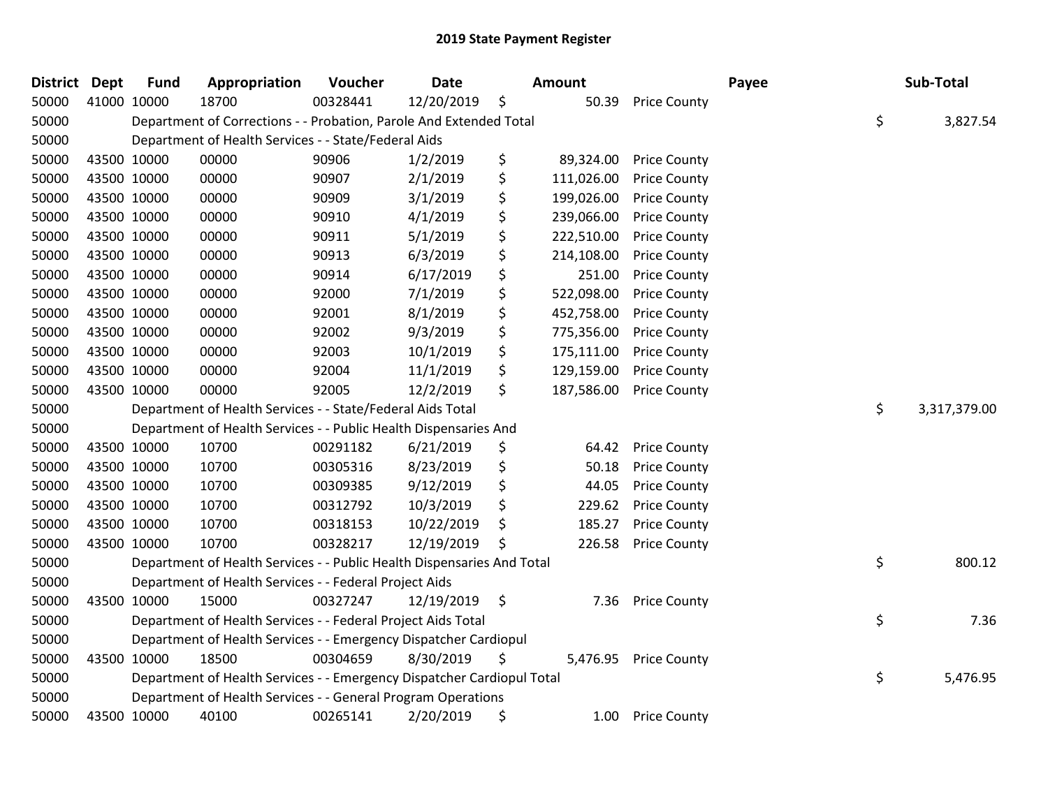| <b>District Dept</b> | <b>Fund</b> | Appropriation                                                          | Voucher  | <b>Date</b> |      | Amount     |                     | Payee | Sub-Total          |
|----------------------|-------------|------------------------------------------------------------------------|----------|-------------|------|------------|---------------------|-------|--------------------|
| 50000                | 41000 10000 | 18700                                                                  | 00328441 | 12/20/2019  | \$   | 50.39      | <b>Price County</b> |       |                    |
| 50000                |             | Department of Corrections - - Probation, Parole And Extended Total     |          |             |      |            |                     |       | \$<br>3,827.54     |
| 50000                |             | Department of Health Services - - State/Federal Aids                   |          |             |      |            |                     |       |                    |
| 50000                | 43500 10000 | 00000                                                                  | 90906    | 1/2/2019    | \$   | 89,324.00  | <b>Price County</b> |       |                    |
| 50000                | 43500 10000 | 00000                                                                  | 90907    | 2/1/2019    | \$   | 111,026.00 | <b>Price County</b> |       |                    |
| 50000                | 43500 10000 | 00000                                                                  | 90909    | 3/1/2019    | \$   | 199,026.00 | <b>Price County</b> |       |                    |
| 50000                | 43500 10000 | 00000                                                                  | 90910    | 4/1/2019    | \$   | 239,066.00 | <b>Price County</b> |       |                    |
| 50000                | 43500 10000 | 00000                                                                  | 90911    | 5/1/2019    | \$   | 222,510.00 | <b>Price County</b> |       |                    |
| 50000                | 43500 10000 | 00000                                                                  | 90913    | 6/3/2019    | \$   | 214,108.00 | <b>Price County</b> |       |                    |
| 50000                | 43500 10000 | 00000                                                                  | 90914    | 6/17/2019   | \$   | 251.00     | <b>Price County</b> |       |                    |
| 50000                | 43500 10000 | 00000                                                                  | 92000    | 7/1/2019    | \$   | 522,098.00 | <b>Price County</b> |       |                    |
| 50000                | 43500 10000 | 00000                                                                  | 92001    | 8/1/2019    | \$   | 452,758.00 | <b>Price County</b> |       |                    |
| 50000                | 43500 10000 | 00000                                                                  | 92002    | 9/3/2019    | \$   | 775,356.00 | <b>Price County</b> |       |                    |
| 50000                | 43500 10000 | 00000                                                                  | 92003    | 10/1/2019   | \$   | 175,111.00 | <b>Price County</b> |       |                    |
| 50000                | 43500 10000 | 00000                                                                  | 92004    | 11/1/2019   | \$   | 129,159.00 | <b>Price County</b> |       |                    |
| 50000                | 43500 10000 | 00000                                                                  | 92005    | 12/2/2019   | \$   | 187,586.00 | <b>Price County</b> |       |                    |
| 50000                |             | Department of Health Services - - State/Federal Aids Total             |          |             |      |            |                     |       | \$<br>3,317,379.00 |
| 50000                |             | Department of Health Services - - Public Health Dispensaries And       |          |             |      |            |                     |       |                    |
| 50000                | 43500 10000 | 10700                                                                  | 00291182 | 6/21/2019   | \$   | 64.42      | <b>Price County</b> |       |                    |
| 50000                | 43500 10000 | 10700                                                                  | 00305316 | 8/23/2019   | \$   | 50.18      | <b>Price County</b> |       |                    |
| 50000                | 43500 10000 | 10700                                                                  | 00309385 | 9/12/2019   | \$   | 44.05      | <b>Price County</b> |       |                    |
| 50000                | 43500 10000 | 10700                                                                  | 00312792 | 10/3/2019   | \$   | 229.62     | <b>Price County</b> |       |                    |
| 50000                | 43500 10000 | 10700                                                                  | 00318153 | 10/22/2019  | \$   | 185.27     | <b>Price County</b> |       |                    |
| 50000                | 43500 10000 | 10700                                                                  | 00328217 | 12/19/2019  | \$   | 226.58     | <b>Price County</b> |       |                    |
| 50000                |             | Department of Health Services - - Public Health Dispensaries And Total |          |             |      |            |                     |       | \$<br>800.12       |
| 50000                |             | Department of Health Services - - Federal Project Aids                 |          |             |      |            |                     |       |                    |
| 50000                | 43500 10000 | 15000                                                                  | 00327247 | 12/19/2019  | - \$ | 7.36       | <b>Price County</b> |       |                    |
| 50000                |             | Department of Health Services - - Federal Project Aids Total           |          |             |      |            |                     |       | \$<br>7.36         |
| 50000                |             | Department of Health Services - - Emergency Dispatcher Cardiopul       |          |             |      |            |                     |       |                    |
| 50000                | 43500 10000 | 18500                                                                  | 00304659 | 8/30/2019   | \$   | 5,476.95   | <b>Price County</b> |       |                    |
| 50000                |             | Department of Health Services - - Emergency Dispatcher Cardiopul Total |          |             |      |            |                     |       | \$<br>5,476.95     |
| 50000                |             | Department of Health Services - - General Program Operations           |          |             |      |            |                     |       |                    |
| 50000                | 43500 10000 | 40100                                                                  | 00265141 | 2/20/2019   | \$   | 1.00       | <b>Price County</b> |       |                    |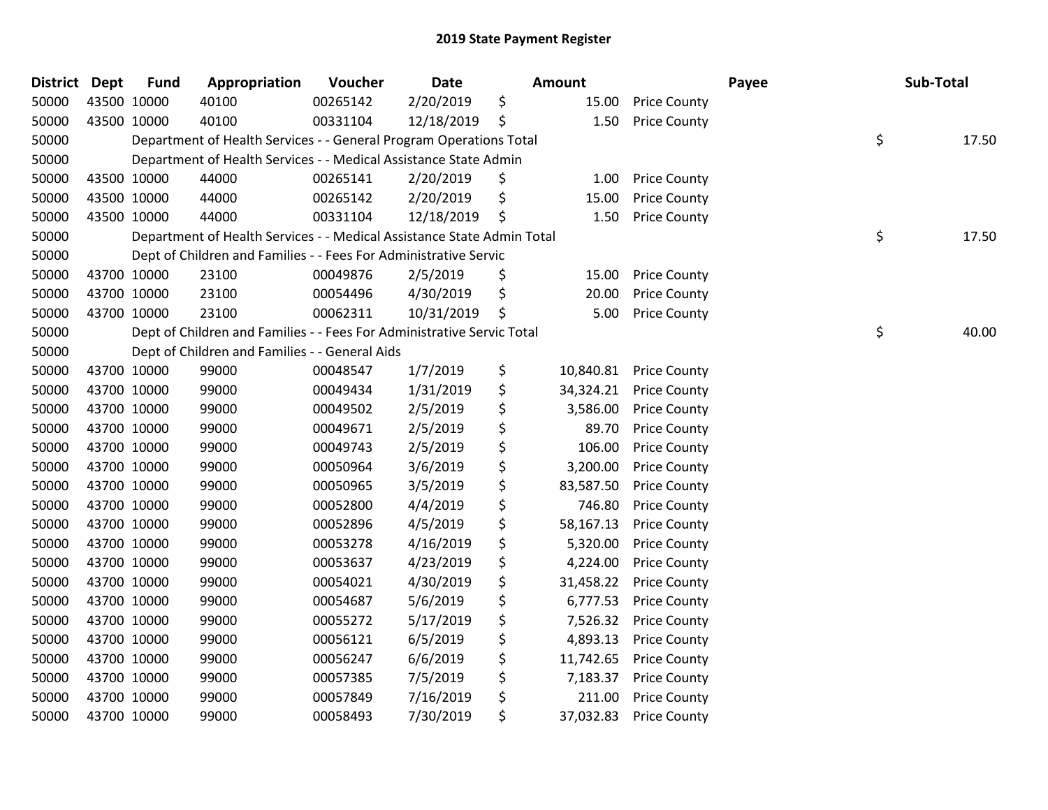| District Dept | <b>Fund</b> | Appropriation                                                          | Voucher  | <b>Date</b> | Amount          |                     | Payee | Sub-Total   |
|---------------|-------------|------------------------------------------------------------------------|----------|-------------|-----------------|---------------------|-------|-------------|
| 50000         | 43500 10000 | 40100                                                                  | 00265142 | 2/20/2019   | \$<br>15.00     | <b>Price County</b> |       |             |
| 50000         | 43500 10000 | 40100                                                                  | 00331104 | 12/18/2019  | \$<br>1.50      | <b>Price County</b> |       |             |
| 50000         |             | Department of Health Services - - General Program Operations Total     |          |             |                 |                     |       | \$<br>17.50 |
| 50000         |             | Department of Health Services - - Medical Assistance State Admin       |          |             |                 |                     |       |             |
| 50000         | 43500 10000 | 44000                                                                  | 00265141 | 2/20/2019   | \$<br>1.00      | <b>Price County</b> |       |             |
| 50000         | 43500 10000 | 44000                                                                  | 00265142 | 2/20/2019   | \$<br>15.00     | <b>Price County</b> |       |             |
| 50000         | 43500 10000 | 44000                                                                  | 00331104 | 12/18/2019  | \$<br>1.50      | <b>Price County</b> |       |             |
| 50000         |             | Department of Health Services - - Medical Assistance State Admin Total |          |             |                 |                     |       | \$<br>17.50 |
| 50000         |             | Dept of Children and Families - - Fees For Administrative Servic       |          |             |                 |                     |       |             |
| 50000         | 43700 10000 | 23100                                                                  | 00049876 | 2/5/2019    | \$<br>15.00     | <b>Price County</b> |       |             |
| 50000         | 43700 10000 | 23100                                                                  | 00054496 | 4/30/2019   | \$<br>20.00     | <b>Price County</b> |       |             |
| 50000         | 43700 10000 | 23100                                                                  | 00062311 | 10/31/2019  | \$<br>5.00      | <b>Price County</b> |       |             |
| 50000         |             | Dept of Children and Families - - Fees For Administrative Servic Total |          |             |                 |                     |       | \$<br>40.00 |
| 50000         |             | Dept of Children and Families - - General Aids                         |          |             |                 |                     |       |             |
| 50000         | 43700 10000 | 99000                                                                  | 00048547 | 1/7/2019    | \$<br>10,840.81 | <b>Price County</b> |       |             |
| 50000         | 43700 10000 | 99000                                                                  | 00049434 | 1/31/2019   | \$<br>34,324.21 | <b>Price County</b> |       |             |
| 50000         | 43700 10000 | 99000                                                                  | 00049502 | 2/5/2019    | \$<br>3,586.00  | <b>Price County</b> |       |             |
| 50000         | 43700 10000 | 99000                                                                  | 00049671 | 2/5/2019    | \$<br>89.70     | <b>Price County</b> |       |             |
| 50000         | 43700 10000 | 99000                                                                  | 00049743 | 2/5/2019    | \$<br>106.00    | <b>Price County</b> |       |             |
| 50000         | 43700 10000 | 99000                                                                  | 00050964 | 3/6/2019    | \$<br>3,200.00  | <b>Price County</b> |       |             |
| 50000         | 43700 10000 | 99000                                                                  | 00050965 | 3/5/2019    | \$<br>83,587.50 | <b>Price County</b> |       |             |
| 50000         | 43700 10000 | 99000                                                                  | 00052800 | 4/4/2019    | \$<br>746.80    | <b>Price County</b> |       |             |
| 50000         | 43700 10000 | 99000                                                                  | 00052896 | 4/5/2019    | \$<br>58,167.13 | <b>Price County</b> |       |             |
| 50000         | 43700 10000 | 99000                                                                  | 00053278 | 4/16/2019   | \$<br>5,320.00  | <b>Price County</b> |       |             |
| 50000         | 43700 10000 | 99000                                                                  | 00053637 | 4/23/2019   | \$<br>4,224.00  | <b>Price County</b> |       |             |
| 50000         | 43700 10000 | 99000                                                                  | 00054021 | 4/30/2019   | \$<br>31,458.22 | <b>Price County</b> |       |             |
| 50000         | 43700 10000 | 99000                                                                  | 00054687 | 5/6/2019    | \$<br>6,777.53  | <b>Price County</b> |       |             |
| 50000         | 43700 10000 | 99000                                                                  | 00055272 | 5/17/2019   | \$<br>7,526.32  | <b>Price County</b> |       |             |
| 50000         | 43700 10000 | 99000                                                                  | 00056121 | 6/5/2019    | \$<br>4,893.13  | <b>Price County</b> |       |             |
| 50000         | 43700 10000 | 99000                                                                  | 00056247 | 6/6/2019    | \$<br>11,742.65 | <b>Price County</b> |       |             |
| 50000         | 43700 10000 | 99000                                                                  | 00057385 | 7/5/2019    | \$<br>7,183.37  | <b>Price County</b> |       |             |
| 50000         | 43700 10000 | 99000                                                                  | 00057849 | 7/16/2019   | \$<br>211.00    | <b>Price County</b> |       |             |
| 50000         | 43700 10000 | 99000                                                                  | 00058493 | 7/30/2019   | \$<br>37,032.83 | <b>Price County</b> |       |             |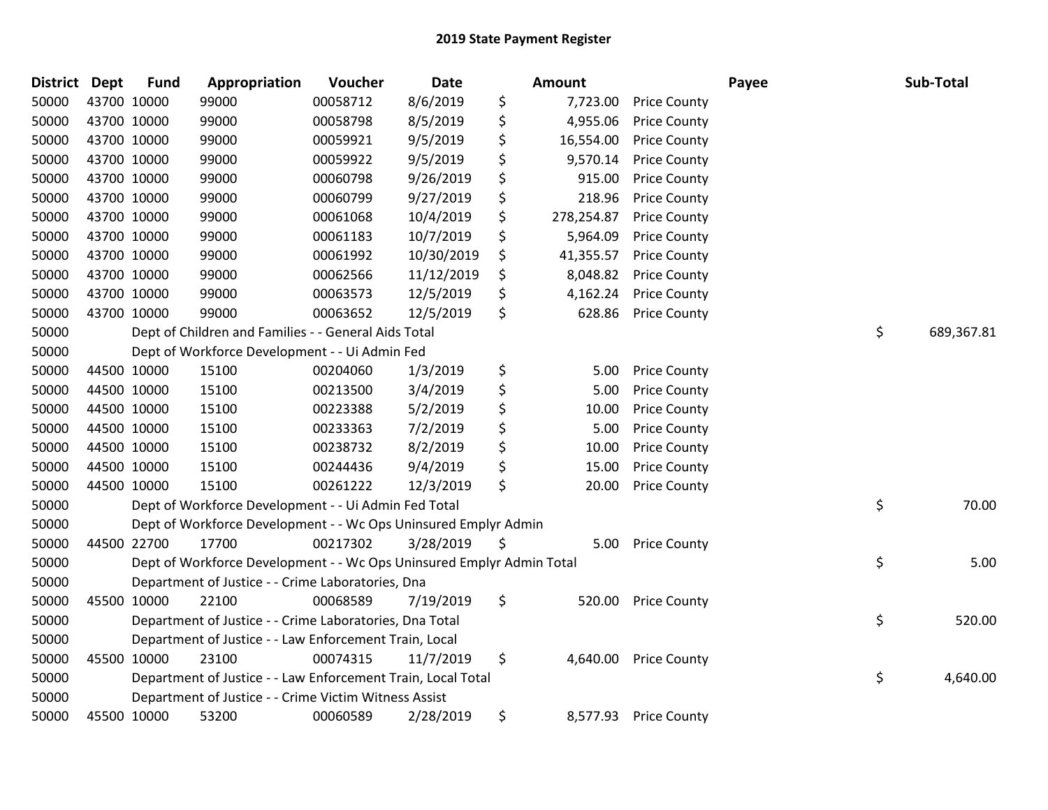| <b>District</b> | <b>Dept</b> | <b>Fund</b> | Appropriation                                                         | Voucher  | Date       | <b>Amount</b>    |                     | Payee | Sub-Total        |
|-----------------|-------------|-------------|-----------------------------------------------------------------------|----------|------------|------------------|---------------------|-------|------------------|
| 50000           | 43700 10000 |             | 99000                                                                 | 00058712 | 8/6/2019   | \$<br>7,723.00   | <b>Price County</b> |       |                  |
| 50000           | 43700 10000 |             | 99000                                                                 | 00058798 | 8/5/2019   | \$<br>4,955.06   | <b>Price County</b> |       |                  |
| 50000           | 43700 10000 |             | 99000                                                                 | 00059921 | 9/5/2019   | \$<br>16,554.00  | <b>Price County</b> |       |                  |
| 50000           | 43700 10000 |             | 99000                                                                 | 00059922 | 9/5/2019   | \$<br>9,570.14   | <b>Price County</b> |       |                  |
| 50000           | 43700 10000 |             | 99000                                                                 | 00060798 | 9/26/2019  | \$<br>915.00     | <b>Price County</b> |       |                  |
| 50000           | 43700 10000 |             | 99000                                                                 | 00060799 | 9/27/2019  | \$<br>218.96     | <b>Price County</b> |       |                  |
| 50000           | 43700 10000 |             | 99000                                                                 | 00061068 | 10/4/2019  | \$<br>278,254.87 | <b>Price County</b> |       |                  |
| 50000           | 43700 10000 |             | 99000                                                                 | 00061183 | 10/7/2019  | \$<br>5,964.09   | <b>Price County</b> |       |                  |
| 50000           | 43700 10000 |             | 99000                                                                 | 00061992 | 10/30/2019 | \$<br>41,355.57  | <b>Price County</b> |       |                  |
| 50000           | 43700 10000 |             | 99000                                                                 | 00062566 | 11/12/2019 | \$<br>8,048.82   | <b>Price County</b> |       |                  |
| 50000           | 43700 10000 |             | 99000                                                                 | 00063573 | 12/5/2019  | \$<br>4,162.24   | <b>Price County</b> |       |                  |
| 50000           | 43700 10000 |             | 99000                                                                 | 00063652 | 12/5/2019  | \$<br>628.86     | <b>Price County</b> |       |                  |
| 50000           |             |             | Dept of Children and Families - - General Aids Total                  |          |            |                  |                     |       | \$<br>689,367.81 |
| 50000           |             |             | Dept of Workforce Development - - Ui Admin Fed                        |          |            |                  |                     |       |                  |
| 50000           | 44500 10000 |             | 15100                                                                 | 00204060 | 1/3/2019   | \$<br>5.00       | <b>Price County</b> |       |                  |
| 50000           | 44500 10000 |             | 15100                                                                 | 00213500 | 3/4/2019   | \$<br>5.00       | <b>Price County</b> |       |                  |
| 50000           | 44500 10000 |             | 15100                                                                 | 00223388 | 5/2/2019   | \$<br>10.00      | <b>Price County</b> |       |                  |
| 50000           | 44500 10000 |             | 15100                                                                 | 00233363 | 7/2/2019   | \$<br>5.00       | <b>Price County</b> |       |                  |
| 50000           | 44500 10000 |             | 15100                                                                 | 00238732 | 8/2/2019   | \$<br>10.00      | <b>Price County</b> |       |                  |
| 50000           | 44500 10000 |             | 15100                                                                 | 00244436 | 9/4/2019   | \$<br>15.00      | <b>Price County</b> |       |                  |
| 50000           | 44500 10000 |             | 15100                                                                 | 00261222 | 12/3/2019  | \$<br>20.00      | <b>Price County</b> |       |                  |
| 50000           |             |             | Dept of Workforce Development - - Ui Admin Fed Total                  |          |            |                  |                     |       | \$<br>70.00      |
| 50000           |             |             | Dept of Workforce Development - - Wc Ops Uninsured Emplyr Admin       |          |            |                  |                     |       |                  |
| 50000           | 44500 22700 |             | 17700                                                                 | 00217302 | 3/28/2019  | \$<br>5.00       | <b>Price County</b> |       |                  |
| 50000           |             |             | Dept of Workforce Development - - Wc Ops Uninsured Emplyr Admin Total |          |            |                  |                     |       | \$<br>5.00       |
| 50000           |             |             | Department of Justice - - Crime Laboratories, Dna                     |          |            |                  |                     |       |                  |
| 50000           | 45500 10000 |             | 22100                                                                 | 00068589 | 7/19/2019  | \$<br>520.00     | <b>Price County</b> |       |                  |
| 50000           |             |             | Department of Justice - - Crime Laboratories, Dna Total               |          |            |                  |                     |       | \$<br>520.00     |
| 50000           |             |             | Department of Justice - - Law Enforcement Train, Local                |          |            |                  |                     |       |                  |
| 50000           | 45500 10000 |             | 23100                                                                 | 00074315 | 11/7/2019  | \$<br>4,640.00   | <b>Price County</b> |       |                  |
| 50000           |             |             | Department of Justice - - Law Enforcement Train, Local Total          |          |            |                  |                     |       | \$<br>4,640.00   |
| 50000           |             |             | Department of Justice - - Crime Victim Witness Assist                 |          |            |                  |                     |       |                  |
| 50000           | 45500 10000 |             | 53200                                                                 | 00060589 | 2/28/2019  | \$<br>8,577.93   | <b>Price County</b> |       |                  |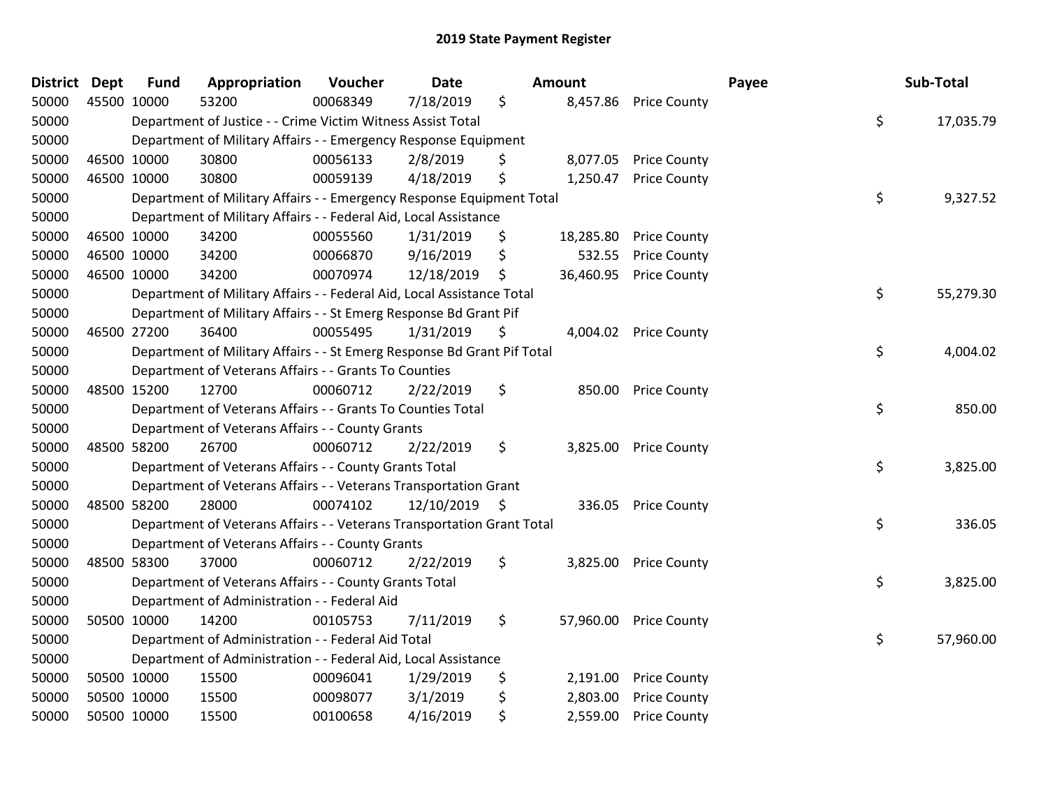| District | <b>Dept</b> | <b>Fund</b> | Appropriation                                                           | Voucher  | <b>Date</b>   | <b>Amount</b>   |                     | Payee | Sub-Total |
|----------|-------------|-------------|-------------------------------------------------------------------------|----------|---------------|-----------------|---------------------|-------|-----------|
| 50000    | 45500 10000 |             | 53200                                                                   | 00068349 | 7/18/2019     | \$<br>8,457.86  | <b>Price County</b> |       |           |
| 50000    |             |             | Department of Justice - - Crime Victim Witness Assist Total             |          |               |                 |                     | \$    | 17,035.79 |
| 50000    |             |             | Department of Military Affairs - - Emergency Response Equipment         |          |               |                 |                     |       |           |
| 50000    | 46500 10000 |             | 30800                                                                   | 00056133 | 2/8/2019      | \$<br>8,077.05  | <b>Price County</b> |       |           |
| 50000    | 46500 10000 |             | 30800                                                                   | 00059139 | 4/18/2019     | \$<br>1,250.47  | <b>Price County</b> |       |           |
| 50000    |             |             | Department of Military Affairs - - Emergency Response Equipment Total   |          |               |                 |                     | \$    | 9,327.52  |
| 50000    |             |             | Department of Military Affairs - - Federal Aid, Local Assistance        |          |               |                 |                     |       |           |
| 50000    | 46500 10000 |             | 34200                                                                   | 00055560 | 1/31/2019     | \$<br>18,285.80 | <b>Price County</b> |       |           |
| 50000    | 46500 10000 |             | 34200                                                                   | 00066870 | 9/16/2019     | \$<br>532.55    | <b>Price County</b> |       |           |
| 50000    | 46500 10000 |             | 34200                                                                   | 00070974 | 12/18/2019    | \$<br>36,460.95 | <b>Price County</b> |       |           |
| 50000    |             |             | Department of Military Affairs - - Federal Aid, Local Assistance Total  |          |               |                 |                     | \$    | 55,279.30 |
| 50000    |             |             | Department of Military Affairs - - St Emerg Response Bd Grant Pif       |          |               |                 |                     |       |           |
| 50000    | 46500 27200 |             | 36400                                                                   | 00055495 | 1/31/2019     | \$<br>4,004.02  | <b>Price County</b> |       |           |
| 50000    |             |             | Department of Military Affairs - - St Emerg Response Bd Grant Pif Total |          |               |                 |                     | \$    | 4,004.02  |
| 50000    |             |             | Department of Veterans Affairs - - Grants To Counties                   |          |               |                 |                     |       |           |
| 50000    | 48500 15200 |             | 12700                                                                   | 00060712 | 2/22/2019     | \$<br>850.00    | <b>Price County</b> |       |           |
| 50000    |             |             | Department of Veterans Affairs - - Grants To Counties Total             |          |               |                 |                     | \$    | 850.00    |
| 50000    |             |             | Department of Veterans Affairs - - County Grants                        |          |               |                 |                     |       |           |
| 50000    | 48500 58200 |             | 26700                                                                   | 00060712 | 2/22/2019     | \$<br>3,825.00  | <b>Price County</b> |       |           |
| 50000    |             |             | Department of Veterans Affairs - - County Grants Total                  |          |               |                 |                     | \$    | 3,825.00  |
| 50000    |             |             | Department of Veterans Affairs - - Veterans Transportation Grant        |          |               |                 |                     |       |           |
| 50000    | 48500 58200 |             | 28000                                                                   | 00074102 | 12/10/2019 \$ | 336.05          | <b>Price County</b> |       |           |
| 50000    |             |             | Department of Veterans Affairs - - Veterans Transportation Grant Total  |          |               |                 |                     | \$    | 336.05    |
| 50000    |             |             | Department of Veterans Affairs - - County Grants                        |          |               |                 |                     |       |           |
| 50000    | 48500 58300 |             | 37000                                                                   | 00060712 | 2/22/2019     | \$<br>3,825.00  | <b>Price County</b> |       |           |
| 50000    |             |             | Department of Veterans Affairs - - County Grants Total                  |          |               |                 |                     | \$    | 3,825.00  |
| 50000    |             |             | Department of Administration - - Federal Aid                            |          |               |                 |                     |       |           |
| 50000    | 50500 10000 |             | 14200                                                                   | 00105753 | 7/11/2019     | \$<br>57,960.00 | <b>Price County</b> |       |           |
| 50000    |             |             | Department of Administration - - Federal Aid Total                      |          |               |                 |                     | \$    | 57,960.00 |
| 50000    |             |             | Department of Administration - - Federal Aid, Local Assistance          |          |               |                 |                     |       |           |
| 50000    | 50500 10000 |             | 15500                                                                   | 00096041 | 1/29/2019     | \$<br>2,191.00  | <b>Price County</b> |       |           |
| 50000    | 50500 10000 |             | 15500                                                                   | 00098077 | 3/1/2019      | \$<br>2,803.00  | <b>Price County</b> |       |           |
| 50000    | 50500 10000 |             | 15500                                                                   | 00100658 | 4/16/2019     | \$<br>2,559.00  | <b>Price County</b> |       |           |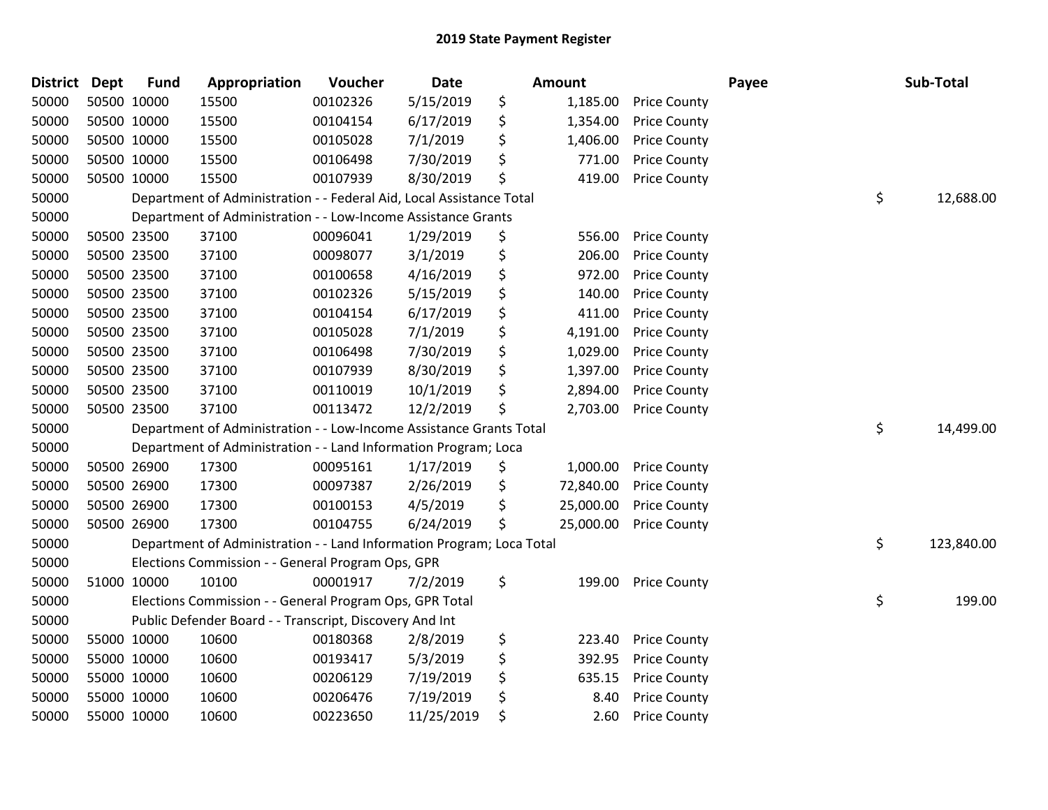| <b>District</b> | <b>Dept</b> | <b>Fund</b> | Appropriation                                                         | <b>Voucher</b> | Date       | <b>Amount</b>   |                     | Payee | Sub-Total        |
|-----------------|-------------|-------------|-----------------------------------------------------------------------|----------------|------------|-----------------|---------------------|-------|------------------|
| 50000           | 50500 10000 |             | 15500                                                                 | 00102326       | 5/15/2019  | \$<br>1,185.00  | <b>Price County</b> |       |                  |
| 50000           | 50500 10000 |             | 15500                                                                 | 00104154       | 6/17/2019  | \$<br>1,354.00  | <b>Price County</b> |       |                  |
| 50000           |             | 50500 10000 | 15500                                                                 | 00105028       | 7/1/2019   | \$<br>1,406.00  | <b>Price County</b> |       |                  |
| 50000           | 50500 10000 |             | 15500                                                                 | 00106498       | 7/30/2019  | \$<br>771.00    | <b>Price County</b> |       |                  |
| 50000           | 50500 10000 |             | 15500                                                                 | 00107939       | 8/30/2019  | \$<br>419.00    | <b>Price County</b> |       |                  |
| 50000           |             |             | Department of Administration - - Federal Aid, Local Assistance Total  |                |            |                 |                     |       | \$<br>12,688.00  |
| 50000           |             |             | Department of Administration - - Low-Income Assistance Grants         |                |            |                 |                     |       |                  |
| 50000           | 50500 23500 |             | 37100                                                                 | 00096041       | 1/29/2019  | \$<br>556.00    | <b>Price County</b> |       |                  |
| 50000           | 50500 23500 |             | 37100                                                                 | 00098077       | 3/1/2019   | \$<br>206.00    | <b>Price County</b> |       |                  |
| 50000           |             | 50500 23500 | 37100                                                                 | 00100658       | 4/16/2019  | \$<br>972.00    | <b>Price County</b> |       |                  |
| 50000           | 50500 23500 |             | 37100                                                                 | 00102326       | 5/15/2019  | \$<br>140.00    | <b>Price County</b> |       |                  |
| 50000           | 50500 23500 |             | 37100                                                                 | 00104154       | 6/17/2019  | \$<br>411.00    | <b>Price County</b> |       |                  |
| 50000           | 50500 23500 |             | 37100                                                                 | 00105028       | 7/1/2019   | \$<br>4,191.00  | <b>Price County</b> |       |                  |
| 50000           | 50500 23500 |             | 37100                                                                 | 00106498       | 7/30/2019  | \$<br>1,029.00  | <b>Price County</b> |       |                  |
| 50000           | 50500 23500 |             | 37100                                                                 | 00107939       | 8/30/2019  | \$<br>1,397.00  | <b>Price County</b> |       |                  |
| 50000           |             | 50500 23500 | 37100                                                                 | 00110019       | 10/1/2019  | \$<br>2,894.00  | <b>Price County</b> |       |                  |
| 50000           | 50500 23500 |             | 37100                                                                 | 00113472       | 12/2/2019  | \$<br>2,703.00  | <b>Price County</b> |       |                  |
| 50000           |             |             | Department of Administration - - Low-Income Assistance Grants Total   |                |            |                 |                     |       | \$<br>14,499.00  |
| 50000           |             |             | Department of Administration - - Land Information Program; Loca       |                |            |                 |                     |       |                  |
| 50000           |             | 50500 26900 | 17300                                                                 | 00095161       | 1/17/2019  | \$<br>1,000.00  | <b>Price County</b> |       |                  |
| 50000           |             | 50500 26900 | 17300                                                                 | 00097387       | 2/26/2019  | \$<br>72,840.00 | <b>Price County</b> |       |                  |
| 50000           |             | 50500 26900 | 17300                                                                 | 00100153       | 4/5/2019   | \$<br>25,000.00 | <b>Price County</b> |       |                  |
| 50000           | 50500 26900 |             | 17300                                                                 | 00104755       | 6/24/2019  | \$<br>25,000.00 | <b>Price County</b> |       |                  |
| 50000           |             |             | Department of Administration - - Land Information Program; Loca Total |                |            |                 |                     |       | \$<br>123,840.00 |
| 50000           |             |             | Elections Commission - - General Program Ops, GPR                     |                |            |                 |                     |       |                  |
| 50000           | 51000 10000 |             | 10100                                                                 | 00001917       | 7/2/2019   | \$<br>199.00    | <b>Price County</b> |       |                  |
| 50000           |             |             | Elections Commission - - General Program Ops, GPR Total               |                |            |                 |                     |       | \$<br>199.00     |
| 50000           |             |             | Public Defender Board - - Transcript, Discovery And Int               |                |            |                 |                     |       |                  |
| 50000           | 55000 10000 |             | 10600                                                                 | 00180368       | 2/8/2019   | \$<br>223.40    | <b>Price County</b> |       |                  |
| 50000           | 55000 10000 |             | 10600                                                                 | 00193417       | 5/3/2019   | \$<br>392.95    | <b>Price County</b> |       |                  |
| 50000           | 55000 10000 |             | 10600                                                                 | 00206129       | 7/19/2019  | \$<br>635.15    | <b>Price County</b> |       |                  |
| 50000           |             | 55000 10000 | 10600                                                                 | 00206476       | 7/19/2019  | \$<br>8.40      | <b>Price County</b> |       |                  |
| 50000           | 55000 10000 |             | 10600                                                                 | 00223650       | 11/25/2019 | \$<br>2.60      | <b>Price County</b> |       |                  |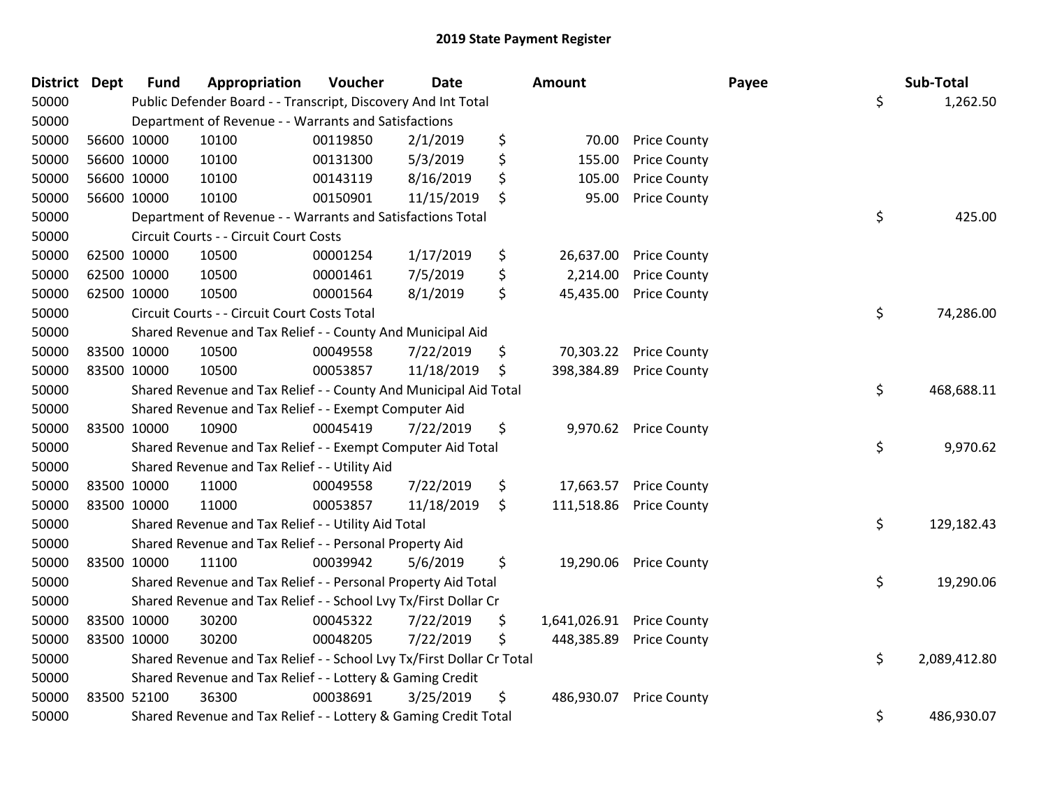| District Dept |             | <b>Fund</b> | Appropriation                                                         | Voucher  | <b>Date</b> | <b>Amount</b>      |                       | Payee | Sub-Total    |
|---------------|-------------|-------------|-----------------------------------------------------------------------|----------|-------------|--------------------|-----------------------|-------|--------------|
| 50000         |             |             | Public Defender Board - - Transcript, Discovery And Int Total         |          |             |                    |                       | \$    | 1,262.50     |
| 50000         |             |             | Department of Revenue - - Warrants and Satisfactions                  |          |             |                    |                       |       |              |
| 50000         |             | 56600 10000 | 10100                                                                 | 00119850 | 2/1/2019    | \$<br>70.00        | <b>Price County</b>   |       |              |
| 50000         |             | 56600 10000 | 10100                                                                 | 00131300 | 5/3/2019    | \$<br>155.00       | <b>Price County</b>   |       |              |
| 50000         |             | 56600 10000 | 10100                                                                 | 00143119 | 8/16/2019   | \$<br>105.00       | <b>Price County</b>   |       |              |
| 50000         |             | 56600 10000 | 10100                                                                 | 00150901 | 11/15/2019  | \$<br>95.00        | <b>Price County</b>   |       |              |
| 50000         |             |             | Department of Revenue - - Warrants and Satisfactions Total            |          |             |                    |                       | \$    | 425.00       |
| 50000         |             |             | Circuit Courts - - Circuit Court Costs                                |          |             |                    |                       |       |              |
| 50000         |             | 62500 10000 | 10500                                                                 | 00001254 | 1/17/2019   | \$<br>26,637.00    | <b>Price County</b>   |       |              |
| 50000         |             | 62500 10000 | 10500                                                                 | 00001461 | 7/5/2019    | \$<br>2,214.00     | <b>Price County</b>   |       |              |
| 50000         |             | 62500 10000 | 10500                                                                 | 00001564 | 8/1/2019    | \$<br>45,435.00    | <b>Price County</b>   |       |              |
| 50000         |             |             | Circuit Courts - - Circuit Court Costs Total                          |          |             |                    |                       | \$    | 74,286.00    |
| 50000         |             |             | Shared Revenue and Tax Relief - - County And Municipal Aid            |          |             |                    |                       |       |              |
| 50000         |             | 83500 10000 | 10500                                                                 | 00049558 | 7/22/2019   | \$<br>70,303.22    | <b>Price County</b>   |       |              |
| 50000         | 83500 10000 |             | 10500                                                                 | 00053857 | 11/18/2019  | \$<br>398,384.89   | <b>Price County</b>   |       |              |
| 50000         |             |             | Shared Revenue and Tax Relief - - County And Municipal Aid Total      |          |             |                    |                       | \$    | 468,688.11   |
| 50000         |             |             | Shared Revenue and Tax Relief - - Exempt Computer Aid                 |          |             |                    |                       |       |              |
| 50000         | 83500 10000 |             | 10900                                                                 | 00045419 | 7/22/2019   | \$                 | 9,970.62 Price County |       |              |
| 50000         |             |             | Shared Revenue and Tax Relief - - Exempt Computer Aid Total           |          |             |                    |                       | \$    | 9,970.62     |
| 50000         |             |             | Shared Revenue and Tax Relief - - Utility Aid                         |          |             |                    |                       |       |              |
| 50000         |             | 83500 10000 | 11000                                                                 | 00049558 | 7/22/2019   | \$<br>17,663.57    | <b>Price County</b>   |       |              |
| 50000         | 83500 10000 |             | 11000                                                                 | 00053857 | 11/18/2019  | \$<br>111,518.86   | <b>Price County</b>   |       |              |
| 50000         |             |             | Shared Revenue and Tax Relief - - Utility Aid Total                   |          |             |                    |                       | \$    | 129,182.43   |
| 50000         |             |             | Shared Revenue and Tax Relief - - Personal Property Aid               |          |             |                    |                       |       |              |
| 50000         |             | 83500 10000 | 11100                                                                 | 00039942 | 5/6/2019    | \$<br>19,290.06    | <b>Price County</b>   |       |              |
| 50000         |             |             | Shared Revenue and Tax Relief - - Personal Property Aid Total         |          |             |                    |                       | \$    | 19,290.06    |
| 50000         |             |             | Shared Revenue and Tax Relief - - School Lvy Tx/First Dollar Cr       |          |             |                    |                       |       |              |
| 50000         |             | 83500 10000 | 30200                                                                 | 00045322 | 7/22/2019   | \$<br>1,641,026.91 | <b>Price County</b>   |       |              |
| 50000         | 83500 10000 |             | 30200                                                                 | 00048205 | 7/22/2019   | \$<br>448,385.89   | <b>Price County</b>   |       |              |
| 50000         |             |             | Shared Revenue and Tax Relief - - School Lvy Tx/First Dollar Cr Total |          |             |                    |                       | \$    | 2,089,412.80 |
| 50000         |             |             | Shared Revenue and Tax Relief - - Lottery & Gaming Credit             |          |             |                    |                       |       |              |
| 50000         | 83500 52100 |             | 36300                                                                 | 00038691 | 3/25/2019   | \$<br>486,930.07   | <b>Price County</b>   |       |              |
| 50000         |             |             | Shared Revenue and Tax Relief - - Lottery & Gaming Credit Total       |          |             |                    |                       | \$    | 486,930.07   |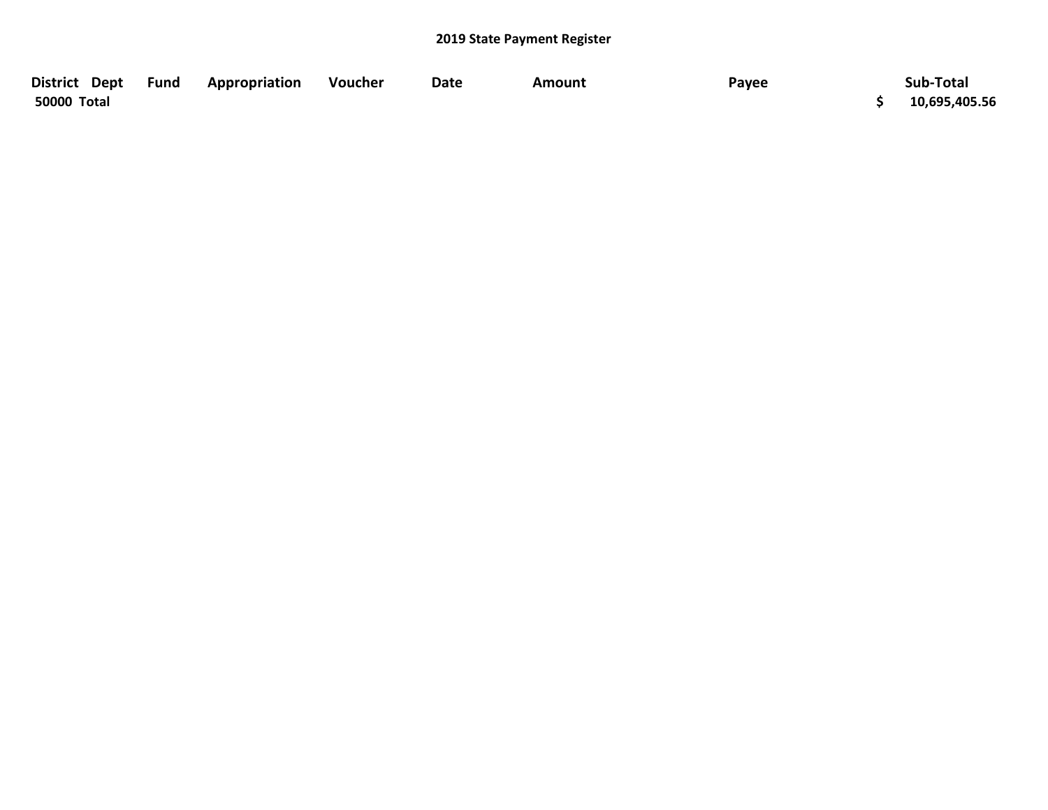| District Dept | Fund | Appropriation | Voucher | Date | Amount | Payee | Sub-Total     |
|---------------|------|---------------|---------|------|--------|-------|---------------|
| 50000 Total   |      |               |         |      |        |       | 10,695,405.56 |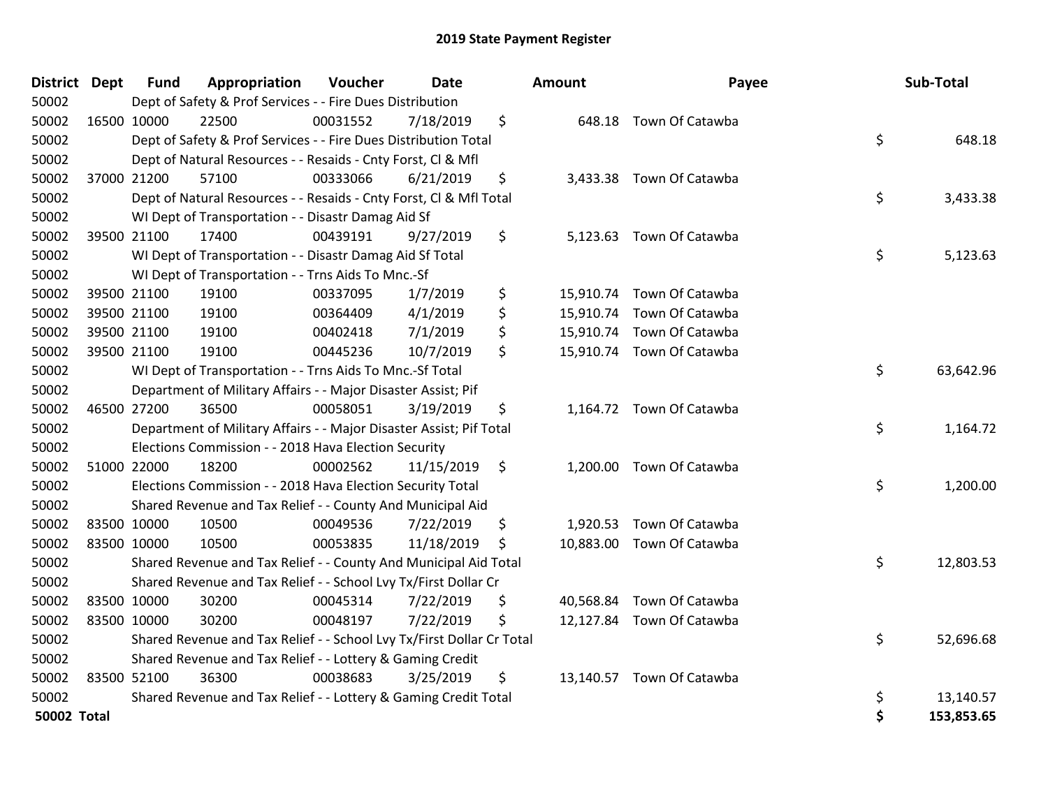|             | District Dept | <b>Fund</b> | Appropriation                                                         | Voucher  | Date       |    | <b>Amount</b> | Payee                     |    | Sub-Total  |
|-------------|---------------|-------------|-----------------------------------------------------------------------|----------|------------|----|---------------|---------------------------|----|------------|
| 50002       |               |             | Dept of Safety & Prof Services - - Fire Dues Distribution             |          |            |    |               |                           |    |            |
| 50002       | 16500 10000   |             | 22500                                                                 | 00031552 | 7/18/2019  | \$ |               | 648.18 Town Of Catawba    |    |            |
| 50002       |               |             | Dept of Safety & Prof Services - - Fire Dues Distribution Total       |          |            |    |               |                           | \$ | 648.18     |
| 50002       |               |             | Dept of Natural Resources - - Resaids - Cnty Forst, CI & Mfl          |          |            |    |               |                           |    |            |
| 50002       |               | 37000 21200 | 57100                                                                 | 00333066 | 6/21/2019  | \$ |               | 3,433.38 Town Of Catawba  |    |            |
| 50002       |               |             | Dept of Natural Resources - - Resaids - Cnty Forst, Cl & Mfl Total    |          |            |    |               |                           | \$ | 3,433.38   |
| 50002       |               |             | WI Dept of Transportation - - Disastr Damag Aid Sf                    |          |            |    |               |                           |    |            |
| 50002       |               | 39500 21100 | 17400                                                                 | 00439191 | 9/27/2019  | \$ |               | 5,123.63 Town Of Catawba  |    |            |
| 50002       |               |             | WI Dept of Transportation - - Disastr Damag Aid Sf Total              |          |            |    |               |                           | \$ | 5,123.63   |
| 50002       |               |             | WI Dept of Transportation - - Trns Aids To Mnc.-Sf                    |          |            |    |               |                           |    |            |
| 50002       |               | 39500 21100 | 19100                                                                 | 00337095 | 1/7/2019   | \$ |               | 15,910.74 Town Of Catawba |    |            |
| 50002       |               | 39500 21100 | 19100                                                                 | 00364409 | 4/1/2019   | \$ |               | 15,910.74 Town Of Catawba |    |            |
| 50002       |               | 39500 21100 | 19100                                                                 | 00402418 | 7/1/2019   | \$ |               | 15,910.74 Town Of Catawba |    |            |
| 50002       |               | 39500 21100 | 19100                                                                 | 00445236 | 10/7/2019  | \$ |               | 15,910.74 Town Of Catawba |    |            |
| 50002       |               |             | \$<br>WI Dept of Transportation - - Trns Aids To Mnc.-Sf Total        |          |            |    |               |                           |    |            |
| 50002       |               |             | Department of Military Affairs - - Major Disaster Assist; Pif         |          |            |    |               |                           |    |            |
| 50002       |               | 46500 27200 | 36500                                                                 | 00058051 | 3/19/2019  | \$ |               | 1,164.72 Town Of Catawba  |    |            |
| 50002       |               |             | Department of Military Affairs - - Major Disaster Assist; Pif Total   |          |            |    |               |                           | \$ | 1,164.72   |
| 50002       |               |             | Elections Commission - - 2018 Hava Election Security                  |          |            |    |               |                           |    |            |
| 50002       |               | 51000 22000 | 18200                                                                 | 00002562 | 11/15/2019 | \$ |               | 1,200.00 Town Of Catawba  |    |            |
| 50002       |               |             | Elections Commission - - 2018 Hava Election Security Total            |          |            |    |               |                           | \$ | 1,200.00   |
| 50002       |               |             | Shared Revenue and Tax Relief - - County And Municipal Aid            |          |            |    |               |                           |    |            |
| 50002       |               | 83500 10000 | 10500                                                                 | 00049536 | 7/22/2019  | \$ |               | 1,920.53 Town Of Catawba  |    |            |
| 50002       | 83500 10000   |             | 10500                                                                 | 00053835 | 11/18/2019 | \$ |               | 10,883.00 Town Of Catawba |    |            |
| 50002       |               |             | Shared Revenue and Tax Relief - - County And Municipal Aid Total      |          |            |    |               |                           | \$ | 12,803.53  |
| 50002       |               |             | Shared Revenue and Tax Relief - - School Lvy Tx/First Dollar Cr       |          |            |    |               |                           |    |            |
| 50002       |               | 83500 10000 | 30200                                                                 | 00045314 | 7/22/2019  | \$ |               | 40,568.84 Town Of Catawba |    |            |
| 50002       | 83500 10000   |             | 30200                                                                 | 00048197 | 7/22/2019  | \$ |               | 12,127.84 Town Of Catawba |    |            |
| 50002       |               |             | Shared Revenue and Tax Relief - - School Lvy Tx/First Dollar Cr Total |          |            |    |               |                           | \$ | 52,696.68  |
| 50002       |               |             | Shared Revenue and Tax Relief - - Lottery & Gaming Credit             |          |            |    |               |                           |    |            |
| 50002       | 83500 52100   |             | 36300                                                                 | 00038683 | 3/25/2019  | \$ | 13,140.57     | Town Of Catawba           |    |            |
| 50002       |               |             | Shared Revenue and Tax Relief - - Lottery & Gaming Credit Total       |          |            |    |               |                           | \$ | 13,140.57  |
| 50002 Total |               |             |                                                                       |          |            |    |               |                           | \$ | 153,853.65 |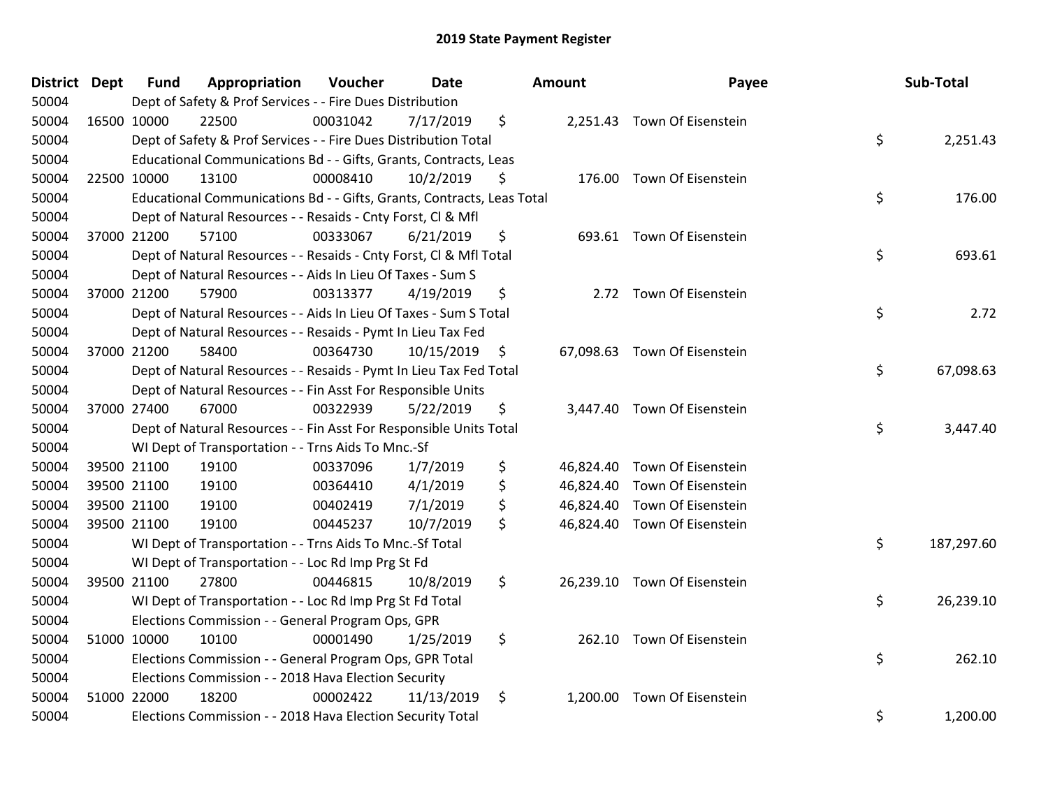| <b>District</b> | <b>Dept</b> | <b>Fund</b> | Appropriation                                                          | Voucher  | <b>Date</b> | <b>Amount</b> | Payee                        | Sub-Total        |
|-----------------|-------------|-------------|------------------------------------------------------------------------|----------|-------------|---------------|------------------------------|------------------|
| 50004           |             |             | Dept of Safety & Prof Services - - Fire Dues Distribution              |          |             |               |                              |                  |
| 50004           |             | 16500 10000 | 22500                                                                  | 00031042 | 7/17/2019   | \$            | 2,251.43 Town Of Eisenstein  |                  |
| 50004           |             |             | Dept of Safety & Prof Services - - Fire Dues Distribution Total        |          |             |               |                              | \$<br>2,251.43   |
| 50004           |             |             | Educational Communications Bd - - Gifts, Grants, Contracts, Leas       |          |             |               |                              |                  |
| 50004           |             | 22500 10000 | 13100                                                                  | 00008410 | 10/2/2019   | \$            | 176.00 Town Of Eisenstein    |                  |
| 50004           |             |             | Educational Communications Bd - - Gifts, Grants, Contracts, Leas Total |          |             |               |                              | \$<br>176.00     |
| 50004           |             |             | Dept of Natural Resources - - Resaids - Cnty Forst, Cl & Mfl           |          |             |               |                              |                  |
| 50004           |             | 37000 21200 | 57100                                                                  | 00333067 | 6/21/2019   | \$            | 693.61 Town Of Eisenstein    |                  |
| 50004           |             |             | Dept of Natural Resources - - Resaids - Cnty Forst, Cl & Mfl Total     |          |             |               |                              | \$<br>693.61     |
| 50004           |             |             | Dept of Natural Resources - - Aids In Lieu Of Taxes - Sum S            |          |             |               |                              |                  |
| 50004           |             | 37000 21200 | 57900                                                                  | 00313377 | 4/19/2019   | \$            | 2.72 Town Of Eisenstein      |                  |
| 50004           |             |             | Dept of Natural Resources - - Aids In Lieu Of Taxes - Sum S Total      |          |             |               |                              | \$<br>2.72       |
| 50004           |             |             | Dept of Natural Resources - - Resaids - Pymt In Lieu Tax Fed           |          |             |               |                              |                  |
| 50004           |             | 37000 21200 | 58400                                                                  | 00364730 | 10/15/2019  | \$            | 67,098.63 Town Of Eisenstein |                  |
| 50004           |             |             | Dept of Natural Resources - - Resaids - Pymt In Lieu Tax Fed Total     |          |             |               |                              | \$<br>67,098.63  |
| 50004           |             |             | Dept of Natural Resources - - Fin Asst For Responsible Units           |          |             |               |                              |                  |
| 50004           |             | 37000 27400 | 67000                                                                  | 00322939 | 5/22/2019   | \$            | 3,447.40 Town Of Eisenstein  |                  |
| 50004           |             |             | Dept of Natural Resources - - Fin Asst For Responsible Units Total     |          |             |               |                              | \$<br>3,447.40   |
| 50004           |             |             | WI Dept of Transportation - - Trns Aids To Mnc.-Sf                     |          |             |               |                              |                  |
| 50004           |             | 39500 21100 | 19100                                                                  | 00337096 | 1/7/2019    | \$            | 46,824.40 Town Of Eisenstein |                  |
| 50004           |             | 39500 21100 | 19100                                                                  | 00364410 | 4/1/2019    | \$            | 46,824.40 Town Of Eisenstein |                  |
| 50004           |             | 39500 21100 | 19100                                                                  | 00402419 | 7/1/2019    | \$            | 46,824.40 Town Of Eisenstein |                  |
| 50004           |             | 39500 21100 | 19100                                                                  | 00445237 | 10/7/2019   | \$            | 46,824.40 Town Of Eisenstein |                  |
| 50004           |             |             | WI Dept of Transportation - - Trns Aids To Mnc.-Sf Total               |          |             |               |                              | \$<br>187,297.60 |
| 50004           |             |             | WI Dept of Transportation - - Loc Rd Imp Prg St Fd                     |          |             |               |                              |                  |
| 50004           |             | 39500 21100 | 27800                                                                  | 00446815 | 10/8/2019   | \$            | 26,239.10 Town Of Eisenstein |                  |
| 50004           |             |             | WI Dept of Transportation - - Loc Rd Imp Prg St Fd Total               |          |             |               |                              | \$<br>26,239.10  |
| 50004           |             |             | Elections Commission - - General Program Ops, GPR                      |          |             |               |                              |                  |
| 50004           |             | 51000 10000 | 10100                                                                  | 00001490 | 1/25/2019   | \$            | 262.10 Town Of Eisenstein    |                  |
| 50004           |             |             | Elections Commission - - General Program Ops, GPR Total                |          |             |               |                              | \$<br>262.10     |
| 50004           |             |             | Elections Commission - - 2018 Hava Election Security                   |          |             |               |                              |                  |
| 50004           |             | 51000 22000 | 18200                                                                  | 00002422 | 11/13/2019  | \$            | 1,200.00 Town Of Eisenstein  |                  |
| 50004           |             |             | Elections Commission - - 2018 Hava Election Security Total             |          |             |               |                              | \$<br>1,200.00   |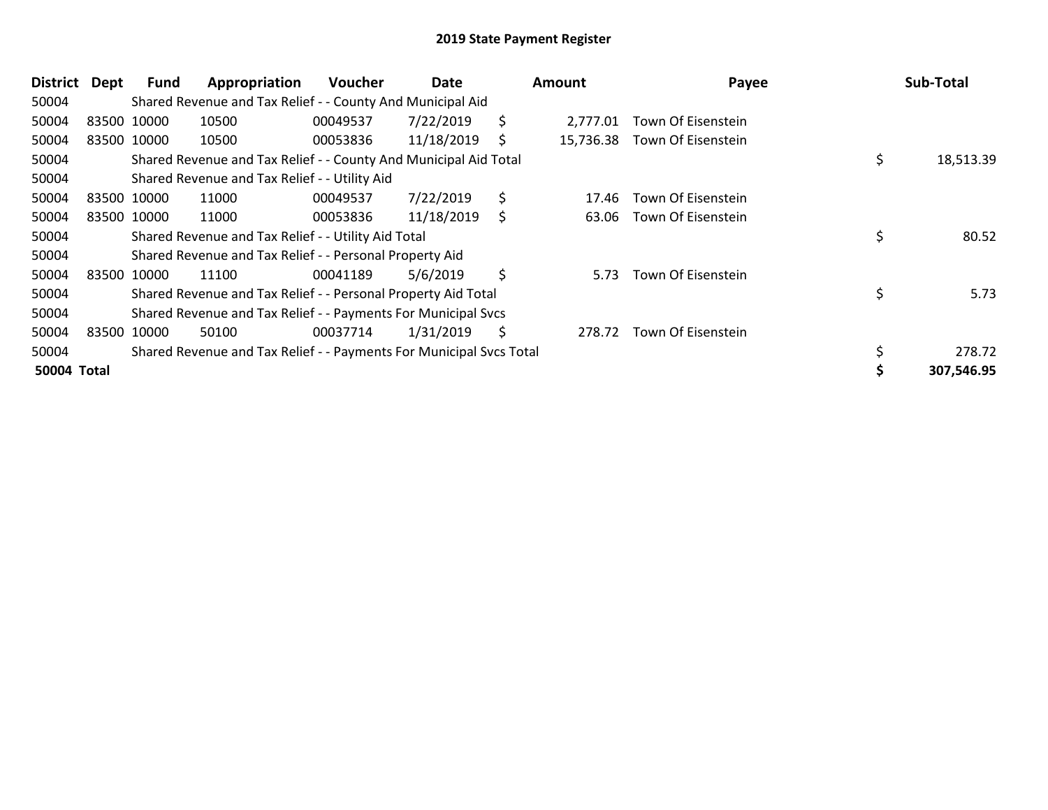| District           | Dept | <b>Fund</b> | Appropriation                                                       | <b>Voucher</b> | Date       |    | Amount    | Payee                    | Sub-Total       |
|--------------------|------|-------------|---------------------------------------------------------------------|----------------|------------|----|-----------|--------------------------|-----------------|
| 50004              |      |             | Shared Revenue and Tax Relief - - County And Municipal Aid          |                |            |    |           |                          |                 |
| 50004              |      | 83500 10000 | 10500                                                               | 00049537       | 7/22/2019  | \$ | 2.777.01  | Town Of Eisenstein       |                 |
| 50004              |      | 83500 10000 | 10500                                                               | 00053836       | 11/18/2019 | S  | 15,736.38 | Town Of Eisenstein       |                 |
| 50004              |      |             | Shared Revenue and Tax Relief - - County And Municipal Aid Total    |                |            |    |           |                          | \$<br>18,513.39 |
| 50004              |      |             | Shared Revenue and Tax Relief - - Utility Aid                       |                |            |    |           |                          |                 |
| 50004              |      | 83500 10000 | 11000                                                               | 00049537       | 7/22/2019  | \$ | 17.46     | Town Of Eisenstein       |                 |
| 50004              |      | 83500 10000 | 11000                                                               | 00053836       | 11/18/2019 | \$ |           | 63.06 Town Of Eisenstein |                 |
| 50004              |      |             | Shared Revenue and Tax Relief - - Utility Aid Total                 |                |            |    |           |                          | \$<br>80.52     |
| 50004              |      |             | Shared Revenue and Tax Relief - - Personal Property Aid             |                |            |    |           |                          |                 |
| 50004              |      | 83500 10000 | 11100                                                               | 00041189       | 5/6/2019   | \$ | 5.73      | Town Of Eisenstein       |                 |
| 50004              |      |             | Shared Revenue and Tax Relief - - Personal Property Aid Total       |                |            |    |           |                          | \$<br>5.73      |
| 50004              |      |             | Shared Revenue and Tax Relief - - Payments For Municipal Svcs       |                |            |    |           |                          |                 |
| 50004              |      | 83500 10000 | 50100                                                               | 00037714       | 1/31/2019  | \$ | 278.72    | Town Of Eisenstein       |                 |
| 50004              |      |             | Shared Revenue and Tax Relief - - Payments For Municipal Svcs Total |                |            |    |           |                          | \$<br>278.72    |
| <b>50004 Total</b> |      |             |                                                                     |                |            |    |           |                          | 307,546.95      |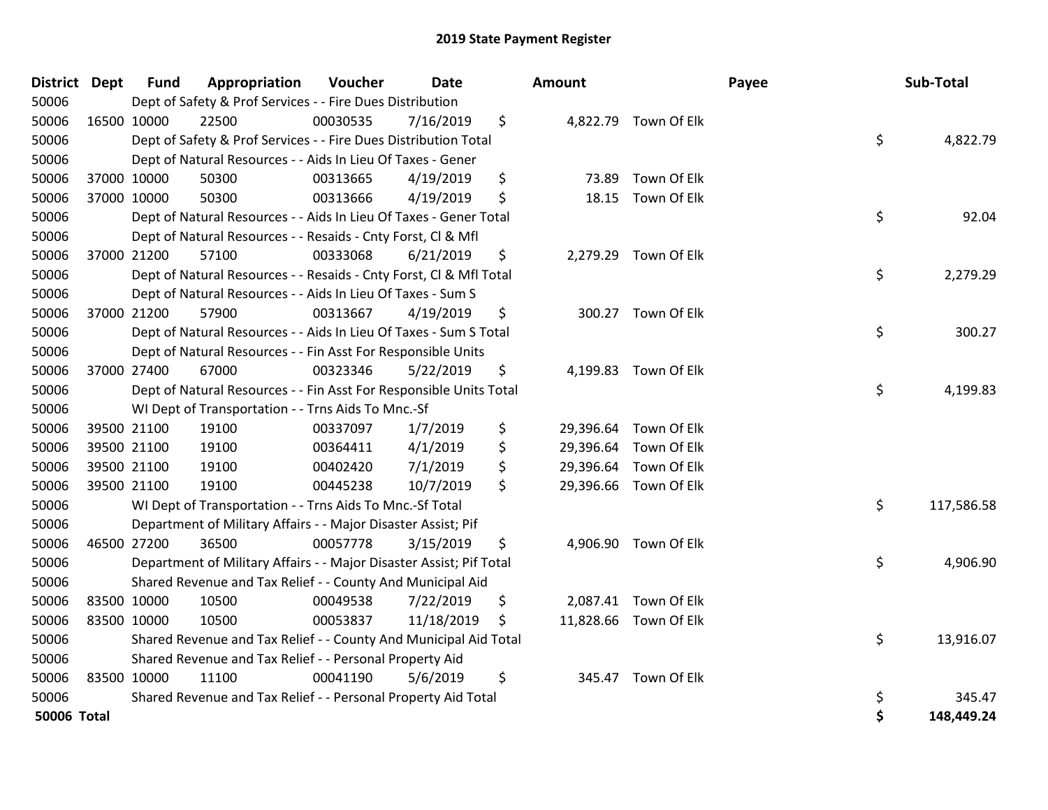| District Dept      |             | <b>Fund</b> | Appropriation                                                       | Voucher  | Date       | Amount         |                       | Payee | Sub-Total  |
|--------------------|-------------|-------------|---------------------------------------------------------------------|----------|------------|----------------|-----------------------|-------|------------|
| 50006              |             |             | Dept of Safety & Prof Services - - Fire Dues Distribution           |          |            |                |                       |       |            |
| 50006              | 16500 10000 |             | 22500                                                               | 00030535 | 7/16/2019  | \$             | 4,822.79 Town Of Elk  |       |            |
| 50006              |             |             | Dept of Safety & Prof Services - - Fire Dues Distribution Total     |          |            |                |                       | \$    | 4,822.79   |
| 50006              |             |             | Dept of Natural Resources - - Aids In Lieu Of Taxes - Gener         |          |            |                |                       |       |            |
| 50006              | 37000 10000 |             | 50300                                                               | 00313665 | 4/19/2019  | \$<br>73.89    | Town Of Elk           |       |            |
| 50006              | 37000 10000 |             | 50300                                                               | 00313666 | 4/19/2019  | \$<br>18.15    | Town Of Elk           |       |            |
| 50006              |             |             | Dept of Natural Resources - - Aids In Lieu Of Taxes - Gener Total   |          |            |                |                       | \$    | 92.04      |
| 50006              |             |             | Dept of Natural Resources - - Resaids - Cnty Forst, CI & Mfl        |          |            |                |                       |       |            |
| 50006              | 37000 21200 |             | 57100                                                               | 00333068 | 6/21/2019  | \$             | 2,279.29 Town Of Elk  |       |            |
| 50006              |             |             | Dept of Natural Resources - - Resaids - Cnty Forst, Cl & Mfl Total  |          |            |                |                       | \$    | 2,279.29   |
| 50006              |             |             | Dept of Natural Resources - - Aids In Lieu Of Taxes - Sum S         |          |            |                |                       |       |            |
| 50006              | 37000 21200 |             | 57900                                                               | 00313667 | 4/19/2019  | \$             | 300.27 Town Of Elk    |       |            |
| 50006              |             |             | Dept of Natural Resources - - Aids In Lieu Of Taxes - Sum S Total   |          |            |                |                       | \$    | 300.27     |
| 50006              |             |             | Dept of Natural Resources - - Fin Asst For Responsible Units        |          |            |                |                       |       |            |
| 50006              | 37000 27400 |             | 67000                                                               | 00323346 | 5/22/2019  | \$<br>4,199.83 | Town Of Elk           |       |            |
| 50006              |             |             | Dept of Natural Resources - - Fin Asst For Responsible Units Total  | \$       | 4,199.83   |                |                       |       |            |
| 50006              |             |             | WI Dept of Transportation - - Trns Aids To Mnc.-Sf                  |          |            |                |                       |       |            |
| 50006              | 39500 21100 |             | 19100                                                               | 00337097 | 1/7/2019   | \$             | 29,396.64 Town Of Elk |       |            |
| 50006              | 39500 21100 |             | 19100                                                               | 00364411 | 4/1/2019   | \$             | 29,396.64 Town Of Elk |       |            |
| 50006              | 39500 21100 |             | 19100                                                               | 00402420 | 7/1/2019   | \$             | 29,396.64 Town Of Elk |       |            |
| 50006              | 39500 21100 |             | 19100                                                               | 00445238 | 10/7/2019  | \$             | 29,396.66 Town Of Elk |       |            |
| 50006              |             |             | WI Dept of Transportation - - Trns Aids To Mnc.-Sf Total            |          |            |                |                       | \$    | 117,586.58 |
| 50006              |             |             | Department of Military Affairs - - Major Disaster Assist; Pif       |          |            |                |                       |       |            |
| 50006              | 46500 27200 |             | 36500                                                               | 00057778 | 3/15/2019  | \$<br>4,906.90 | Town Of Elk           |       |            |
| 50006              |             |             | Department of Military Affairs - - Major Disaster Assist; Pif Total |          |            |                |                       | \$    | 4,906.90   |
| 50006              |             |             | Shared Revenue and Tax Relief - - County And Municipal Aid          |          |            |                |                       |       |            |
| 50006              | 83500 10000 |             | 10500                                                               | 00049538 | 7/22/2019  | \$             | 2,087.41 Town Of Elk  |       |            |
| 50006              | 83500 10000 |             | 10500                                                               | 00053837 | 11/18/2019 | \$             | 11,828.66 Town Of Elk |       |            |
| 50006              |             |             | Shared Revenue and Tax Relief - - County And Municipal Aid Total    |          |            |                |                       | \$    | 13,916.07  |
| 50006              |             |             | Shared Revenue and Tax Relief - - Personal Property Aid             |          |            |                |                       |       |            |
| 50006              | 83500 10000 |             | 11100                                                               | 00041190 | 5/6/2019   | \$             | 345.47 Town Of Elk    |       |            |
| 50006              |             |             | Shared Revenue and Tax Relief - - Personal Property Aid Total       |          |            |                |                       | \$    | 345.47     |
| <b>50006 Total</b> |             |             |                                                                     |          |            |                |                       | \$    | 148,449.24 |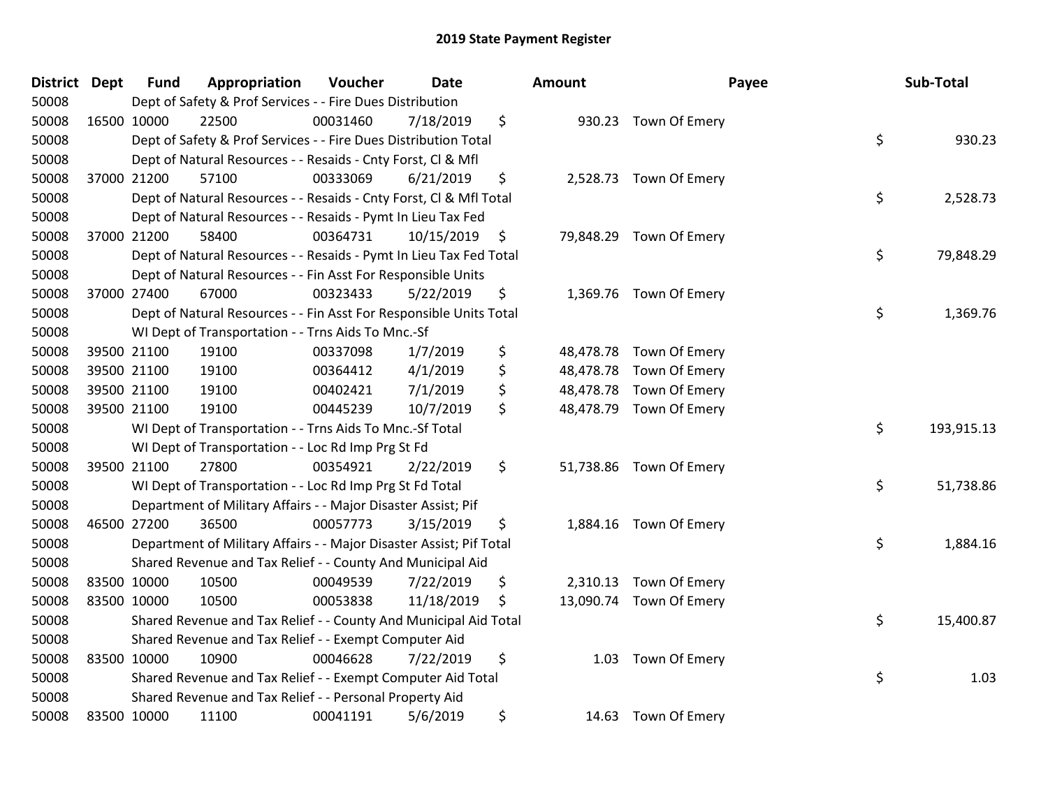| District Dept |             | <b>Fund</b> | Appropriation                                                       | Voucher  | <b>Date</b> |                    | Amount |                         | Payee | Sub-Total  |
|---------------|-------------|-------------|---------------------------------------------------------------------|----------|-------------|--------------------|--------|-------------------------|-------|------------|
| 50008         |             |             | Dept of Safety & Prof Services - - Fire Dues Distribution           |          |             |                    |        |                         |       |            |
| 50008         | 16500 10000 |             | 22500                                                               | 00031460 | 7/18/2019   | \$                 |        | 930.23 Town Of Emery    |       |            |
| 50008         |             |             | Dept of Safety & Prof Services - - Fire Dues Distribution Total     |          |             |                    |        |                         | \$    | 930.23     |
| 50008         |             |             | Dept of Natural Resources - - Resaids - Cnty Forst, CI & Mfl        |          |             |                    |        |                         |       |            |
| 50008         | 37000 21200 |             | 57100                                                               | 00333069 | 6/21/2019   | \$                 |        | 2,528.73 Town Of Emery  |       |            |
| 50008         |             |             | Dept of Natural Resources - - Resaids - Cnty Forst, Cl & Mfl Total  |          |             |                    |        |                         | \$    | 2,528.73   |
| 50008         |             |             | Dept of Natural Resources - - Resaids - Pymt In Lieu Tax Fed        |          |             |                    |        |                         |       |            |
| 50008         |             | 37000 21200 | 58400                                                               | 00364731 | 10/15/2019  | $\ddot{\varsigma}$ |        | 79,848.29 Town Of Emery |       |            |
| 50008         |             |             | Dept of Natural Resources - - Resaids - Pymt In Lieu Tax Fed Total  |          |             |                    |        |                         | \$    | 79,848.29  |
| 50008         |             |             | Dept of Natural Resources - - Fin Asst For Responsible Units        |          |             |                    |        |                         |       |            |
| 50008         | 37000 27400 |             | 67000                                                               | 00323433 | 5/22/2019   | \$                 |        | 1,369.76 Town Of Emery  |       |            |
| 50008         |             |             | Dept of Natural Resources - - Fin Asst For Responsible Units Total  |          |             |                    |        |                         | \$    | 1,369.76   |
| 50008         |             |             | WI Dept of Transportation - - Trns Aids To Mnc.-Sf                  |          |             |                    |        |                         |       |            |
| 50008         |             | 39500 21100 | 19100                                                               | 00337098 | 1/7/2019    | \$                 |        | 48,478.78 Town Of Emery |       |            |
| 50008         |             | 39500 21100 | 19100                                                               | 00364412 | 4/1/2019    | \$                 |        | 48,478.78 Town Of Emery |       |            |
| 50008         |             | 39500 21100 | 19100                                                               | 00402421 | 7/1/2019    | \$                 |        | 48,478.78 Town Of Emery |       |            |
| 50008         | 39500 21100 |             | 19100                                                               | 00445239 | 10/7/2019   | \$                 |        | 48,478.79 Town Of Emery |       |            |
| 50008         |             |             | WI Dept of Transportation - - Trns Aids To Mnc.-Sf Total            |          |             |                    |        |                         | \$    | 193,915.13 |
| 50008         |             |             | WI Dept of Transportation - - Loc Rd Imp Prg St Fd                  |          |             |                    |        |                         |       |            |
| 50008         | 39500 21100 |             | 27800                                                               | 00354921 | 2/22/2019   | \$                 |        | 51,738.86 Town Of Emery |       |            |
| 50008         |             |             | WI Dept of Transportation - - Loc Rd Imp Prg St Fd Total            |          |             |                    |        |                         | \$    | 51,738.86  |
| 50008         |             |             | Department of Military Affairs - - Major Disaster Assist; Pif       |          |             |                    |        |                         |       |            |
| 50008         |             | 46500 27200 | 36500                                                               | 00057773 | 3/15/2019   | \$                 |        | 1,884.16 Town Of Emery  |       |            |
| 50008         |             |             | Department of Military Affairs - - Major Disaster Assist; Pif Total |          |             |                    |        |                         | \$    | 1,884.16   |
| 50008         |             |             | Shared Revenue and Tax Relief - - County And Municipal Aid          |          |             |                    |        |                         |       |            |
| 50008         |             | 83500 10000 | 10500                                                               | 00049539 | 7/22/2019   | \$                 |        | 2,310.13 Town Of Emery  |       |            |
| 50008         |             | 83500 10000 | 10500                                                               | 00053838 | 11/18/2019  | \$                 |        | 13,090.74 Town Of Emery |       |            |
| 50008         |             |             | Shared Revenue and Tax Relief - - County And Municipal Aid Total    |          |             |                    |        |                         | \$    | 15,400.87  |
| 50008         |             |             | Shared Revenue and Tax Relief - - Exempt Computer Aid               |          |             |                    |        |                         |       |            |
| 50008         | 83500 10000 |             | 10900                                                               | 00046628 | 7/22/2019   | \$                 |        | 1.03 Town Of Emery      |       |            |
| 50008         |             |             | Shared Revenue and Tax Relief - - Exempt Computer Aid Total         |          |             |                    |        |                         | \$    | 1.03       |
| 50008         |             |             | Shared Revenue and Tax Relief - - Personal Property Aid             |          |             |                    |        |                         |       |            |
| 50008         |             | 83500 10000 | 11100                                                               | 00041191 | 5/6/2019    | \$                 |        | 14.63 Town Of Emery     |       |            |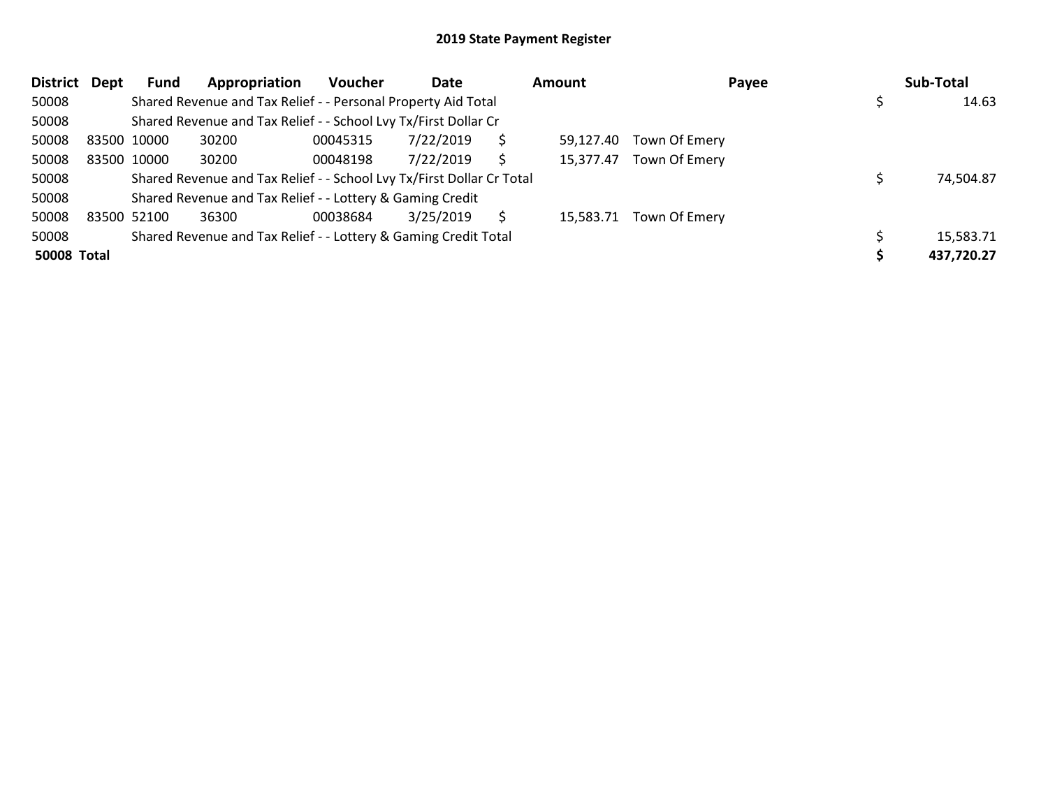| <b>District</b>    | Dept | Fund        | Appropriation                                                         | <b>Voucher</b> | Date      |    | Amount    | Payee                   | Sub-Total  |
|--------------------|------|-------------|-----------------------------------------------------------------------|----------------|-----------|----|-----------|-------------------------|------------|
| 50008              |      |             | Shared Revenue and Tax Relief - - Personal Property Aid Total         |                |           |    |           |                         | 14.63      |
| 50008              |      |             | Shared Revenue and Tax Relief - - School Lvy Tx/First Dollar Cr       |                |           |    |           |                         |            |
| 50008              |      | 83500 10000 | 30200                                                                 | 00045315       | 7/22/2019 | \$ | 59,127.40 | Town Of Emery           |            |
| 50008              |      | 83500 10000 | 30200                                                                 | 00048198       | 7/22/2019 | Ś  | 15,377.47 | Town Of Emery           |            |
| 50008              |      |             | Shared Revenue and Tax Relief - - School Lvy Tx/First Dollar Cr Total |                |           |    |           |                         | 74,504.87  |
| 50008              |      |             | Shared Revenue and Tax Relief - - Lottery & Gaming Credit             |                |           |    |           |                         |            |
| 50008              |      | 83500 52100 | 36300                                                                 | 00038684       | 3/25/2019 | S  |           | 15,583.71 Town Of Emery |            |
| 50008              |      |             | Shared Revenue and Tax Relief - - Lottery & Gaming Credit Total       |                |           |    |           |                         | 15,583.71  |
| <b>50008 Total</b> |      |             |                                                                       |                |           |    |           |                         | 437,720.27 |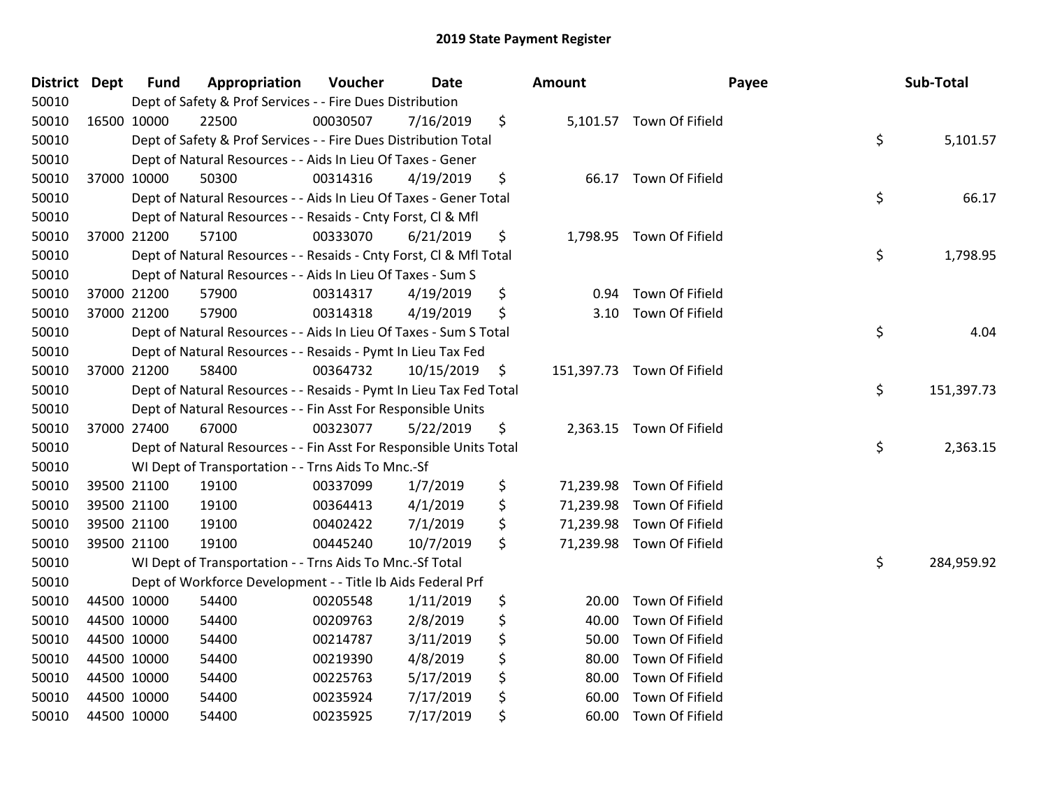| District Dept |             | <b>Fund</b> | Appropriation                                                      | Voucher  | <b>Date</b> | <b>Amount</b> | Payee                      | Sub-Total        |
|---------------|-------------|-------------|--------------------------------------------------------------------|----------|-------------|---------------|----------------------------|------------------|
| 50010         |             |             | Dept of Safety & Prof Services - - Fire Dues Distribution          |          |             |               |                            |                  |
| 50010         |             | 16500 10000 | 22500                                                              | 00030507 | 7/16/2019   | \$            | 5,101.57 Town Of Fifield   |                  |
| 50010         |             |             | Dept of Safety & Prof Services - - Fire Dues Distribution Total    |          |             |               |                            | \$<br>5,101.57   |
| 50010         |             |             | Dept of Natural Resources - - Aids In Lieu Of Taxes - Gener        |          |             |               |                            |                  |
| 50010         |             | 37000 10000 | 50300                                                              | 00314316 | 4/19/2019   | \$            | 66.17 Town Of Fifield      |                  |
| 50010         |             |             | Dept of Natural Resources - - Aids In Lieu Of Taxes - Gener Total  |          |             |               |                            | \$<br>66.17      |
| 50010         |             |             | Dept of Natural Resources - - Resaids - Cnty Forst, CI & Mfl       |          |             |               |                            |                  |
| 50010         |             | 37000 21200 | 57100                                                              | 00333070 | 6/21/2019   | \$            | 1,798.95 Town Of Fifield   |                  |
| 50010         |             |             | Dept of Natural Resources - - Resaids - Cnty Forst, Cl & Mfl Total |          |             |               |                            | \$<br>1,798.95   |
| 50010         |             |             | Dept of Natural Resources - - Aids In Lieu Of Taxes - Sum S        |          |             |               |                            |                  |
| 50010         |             | 37000 21200 | 57900                                                              | 00314317 | 4/19/2019   | \$<br>0.94    | Town Of Fifield            |                  |
| 50010         |             | 37000 21200 | 57900                                                              | 00314318 | 4/19/2019   | \$            | 3.10 Town Of Fifield       |                  |
| 50010         |             |             | Dept of Natural Resources - - Aids In Lieu Of Taxes - Sum S Total  |          |             |               |                            | \$<br>4.04       |
| 50010         |             |             | Dept of Natural Resources - - Resaids - Pymt In Lieu Tax Fed       |          |             |               |                            |                  |
| 50010         |             | 37000 21200 | 58400                                                              | 00364732 | 10/15/2019  | \$            | 151,397.73 Town Of Fifield |                  |
| 50010         |             |             | Dept of Natural Resources - - Resaids - Pymt In Lieu Tax Fed Total |          |             |               |                            | \$<br>151,397.73 |
| 50010         |             |             | Dept of Natural Resources - - Fin Asst For Responsible Units       |          |             |               |                            |                  |
| 50010         |             | 37000 27400 | 67000                                                              | 00323077 | 5/22/2019   | \$            | 2,363.15 Town Of Fifield   |                  |
| 50010         |             |             | Dept of Natural Resources - - Fin Asst For Responsible Units Total |          |             |               |                            | \$<br>2,363.15   |
| 50010         |             |             | WI Dept of Transportation - - Trns Aids To Mnc.-Sf                 |          |             |               |                            |                  |
| 50010         |             | 39500 21100 | 19100                                                              | 00337099 | 1/7/2019    | \$            | 71,239.98 Town Of Fifield  |                  |
| 50010         |             | 39500 21100 | 19100                                                              | 00364413 | 4/1/2019    | \$            | 71,239.98 Town Of Fifield  |                  |
| 50010         |             | 39500 21100 | 19100                                                              | 00402422 | 7/1/2019    | \$            | 71,239.98 Town Of Fifield  |                  |
| 50010         |             | 39500 21100 | 19100                                                              | 00445240 | 10/7/2019   | \$            | 71,239.98 Town Of Fifield  |                  |
| 50010         |             |             | WI Dept of Transportation - - Trns Aids To Mnc.-Sf Total           |          |             |               |                            | \$<br>284,959.92 |
| 50010         |             |             | Dept of Workforce Development - - Title Ib Aids Federal Prf        |          |             |               |                            |                  |
| 50010         |             | 44500 10000 | 54400                                                              | 00205548 | 1/11/2019   | \$<br>20.00   | Town Of Fifield            |                  |
| 50010         |             | 44500 10000 | 54400                                                              | 00209763 | 2/8/2019    | \$<br>40.00   | Town Of Fifield            |                  |
| 50010         | 44500 10000 |             | 54400                                                              | 00214787 | 3/11/2019   | \$<br>50.00   | Town Of Fifield            |                  |
| 50010         | 44500 10000 |             | 54400                                                              | 00219390 | 4/8/2019    | \$<br>80.00   | Town Of Fifield            |                  |
| 50010         | 44500 10000 |             | 54400                                                              | 00225763 | 5/17/2019   | \$<br>80.00   | Town Of Fifield            |                  |
| 50010         |             | 44500 10000 | 54400                                                              | 00235924 | 7/17/2019   | \$<br>60.00   | Town Of Fifield            |                  |
| 50010         |             | 44500 10000 | 54400                                                              | 00235925 | 7/17/2019   | \$<br>60.00   | Town Of Fifield            |                  |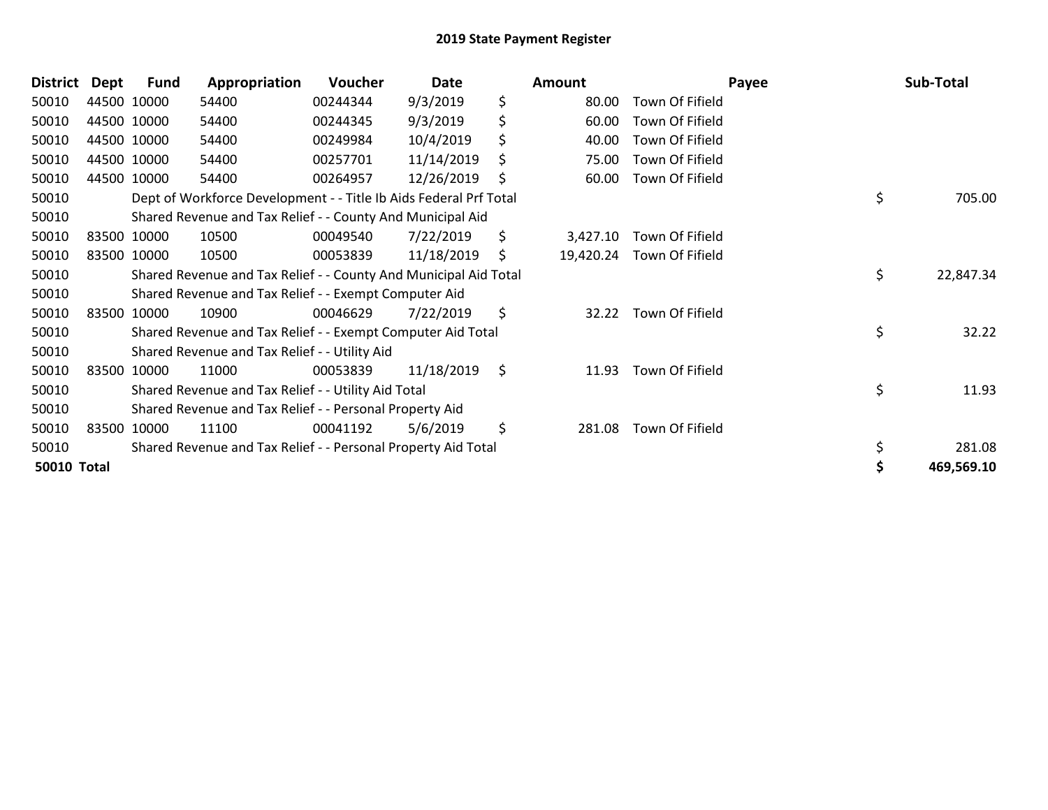| \$<br>9/3/2019<br>50010<br>44500 10000<br>00244344<br>Town Of Fifield<br>54400<br>80.00<br>\$<br>44500 10000<br>9/3/2019<br>60.00<br>Town Of Fifield<br>50010<br>54400<br>00244345 |            |
|------------------------------------------------------------------------------------------------------------------------------------------------------------------------------------|------------|
|                                                                                                                                                                                    |            |
|                                                                                                                                                                                    |            |
| \$<br>10/4/2019<br>Town Of Fifield<br>44500 10000<br>00249984<br>40.00<br>50010<br>54400                                                                                           |            |
| 44500 10000<br>00257701<br>11/14/2019<br>Town Of Fifield<br>50010<br>54400<br>\$<br>75.00                                                                                          |            |
| 12/26/2019<br>Town Of Fifield<br>44500 10000<br>60.00<br>50010<br>54400<br>00264957<br>\$                                                                                          |            |
| \$<br>50010<br>Dept of Workforce Development - - Title Ib Aids Federal Prf Total                                                                                                   | 705.00     |
| Shared Revenue and Tax Relief - - County And Municipal Aid<br>50010                                                                                                                |            |
| 50010<br>83500 10000<br>10500<br>00049540<br>7/22/2019<br>\$<br>Town Of Fifield<br>3,427.10                                                                                        |            |
| 50010<br>83500 10000<br>00053839<br>11/18/2019<br>19,420.24 Town Of Fifield<br>10500<br>\$                                                                                         |            |
| \$<br>Shared Revenue and Tax Relief - - County And Municipal Aid Total<br>50010                                                                                                    | 22,847.34  |
| Shared Revenue and Tax Relief - - Exempt Computer Aid<br>50010                                                                                                                     |            |
| \$<br>Town Of Fifield<br>50010<br>83500 10000<br>10900<br>00046629<br>7/22/2019<br>32.22                                                                                           |            |
| \$<br>Shared Revenue and Tax Relief - - Exempt Computer Aid Total<br>50010                                                                                                         | 32.22      |
| Shared Revenue and Tax Relief - - Utility Aid<br>50010                                                                                                                             |            |
| \$<br>Town Of Fifield<br>83500 10000<br>00053839<br>11/18/2019<br>50010<br>11000<br>11.93                                                                                          |            |
| \$<br>50010<br>Shared Revenue and Tax Relief - - Utility Aid Total                                                                                                                 | 11.93      |
| Shared Revenue and Tax Relief - - Personal Property Aid<br>50010                                                                                                                   |            |
| 5/6/2019<br>\$<br>83500 10000<br>11100<br>Town Of Fifield<br>50010<br>00041192<br>281.08                                                                                           |            |
| Shared Revenue and Tax Relief - - Personal Property Aid Total<br>50010                                                                                                             | 281.08     |
| <b>50010 Total</b>                                                                                                                                                                 | 469,569.10 |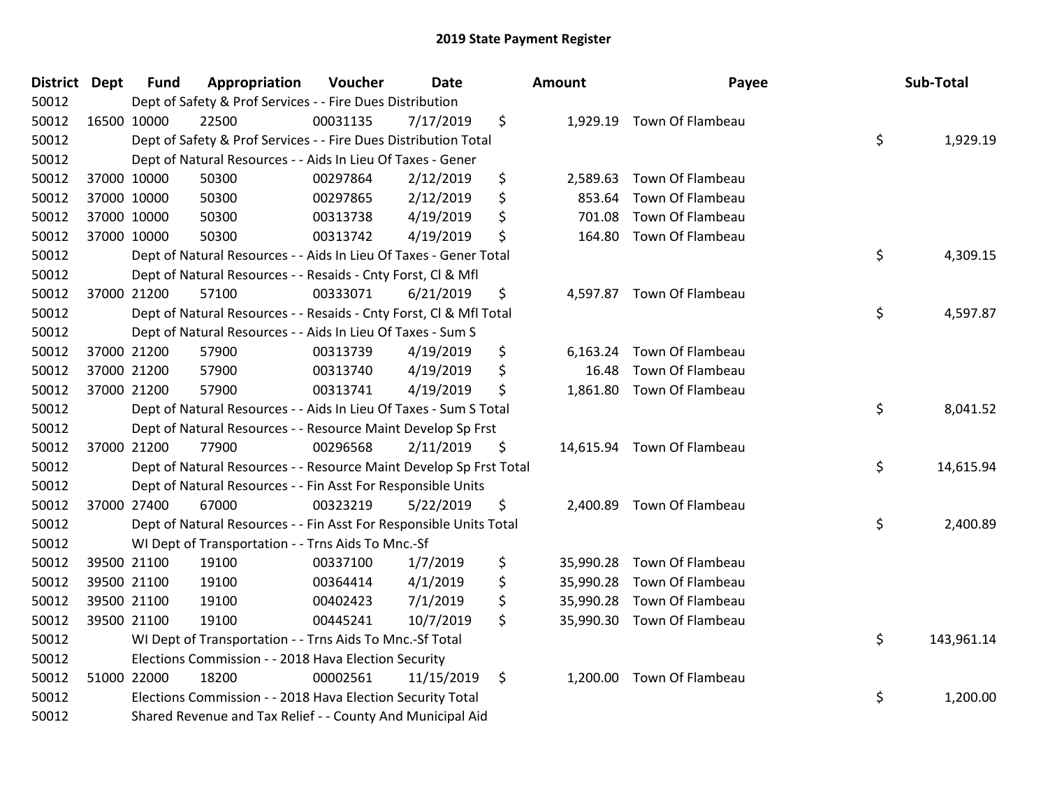| District Dept | <b>Fund</b> | Appropriation                                                      | Voucher  | Date       | Amount          | Payee                      | Sub-Total        |
|---------------|-------------|--------------------------------------------------------------------|----------|------------|-----------------|----------------------------|------------------|
| 50012         |             | Dept of Safety & Prof Services - - Fire Dues Distribution          |          |            |                 |                            |                  |
| 50012         | 16500 10000 | 22500                                                              | 00031135 | 7/17/2019  | \$              | 1,929.19 Town Of Flambeau  |                  |
| 50012         |             | Dept of Safety & Prof Services - - Fire Dues Distribution Total    |          |            |                 |                            | \$<br>1,929.19   |
| 50012         |             | Dept of Natural Resources - - Aids In Lieu Of Taxes - Gener        |          |            |                 |                            |                  |
| 50012         | 37000 10000 | 50300                                                              | 00297864 | 2/12/2019  | \$<br>2,589.63  | Town Of Flambeau           |                  |
| 50012         | 37000 10000 | 50300                                                              | 00297865 | 2/12/2019  | \$<br>853.64    | Town Of Flambeau           |                  |
| 50012         | 37000 10000 | 50300                                                              | 00313738 | 4/19/2019  | \$<br>701.08    | Town Of Flambeau           |                  |
| 50012         | 37000 10000 | 50300                                                              | 00313742 | 4/19/2019  | \$              | 164.80 Town Of Flambeau    |                  |
| 50012         |             | Dept of Natural Resources - - Aids In Lieu Of Taxes - Gener Total  |          |            |                 |                            | \$<br>4,309.15   |
| 50012         |             | Dept of Natural Resources - - Resaids - Cnty Forst, Cl & Mfl       |          |            |                 |                            |                  |
| 50012         | 37000 21200 | 57100                                                              | 00333071 | 6/21/2019  | \$              | 4,597.87 Town Of Flambeau  |                  |
| 50012         |             | Dept of Natural Resources - - Resaids - Cnty Forst, Cl & Mfl Total |          |            |                 |                            | \$<br>4,597.87   |
| 50012         |             | Dept of Natural Resources - - Aids In Lieu Of Taxes - Sum S        |          |            |                 |                            |                  |
| 50012         | 37000 21200 | 57900                                                              | 00313739 | 4/19/2019  | \$<br>6,163.24  | Town Of Flambeau           |                  |
| 50012         | 37000 21200 | 57900                                                              | 00313740 | 4/19/2019  | \$<br>16.48     | Town Of Flambeau           |                  |
| 50012         | 37000 21200 | 57900                                                              | 00313741 | 4/19/2019  | \$              | 1,861.80 Town Of Flambeau  |                  |
| 50012         |             | Dept of Natural Resources - - Aids In Lieu Of Taxes - Sum S Total  |          |            |                 |                            | \$<br>8,041.52   |
| 50012         |             | Dept of Natural Resources - - Resource Maint Develop Sp Frst       |          |            |                 |                            |                  |
| 50012         | 37000 21200 | 77900                                                              | 00296568 | 2/11/2019  | \$              | 14,615.94 Town Of Flambeau |                  |
| 50012         |             | Dept of Natural Resources - - Resource Maint Develop Sp Frst Total |          |            |                 |                            | \$<br>14,615.94  |
| 50012         |             | Dept of Natural Resources - - Fin Asst For Responsible Units       |          |            |                 |                            |                  |
| 50012         | 37000 27400 | 67000                                                              | 00323219 | 5/22/2019  | \$              | 2,400.89 Town Of Flambeau  |                  |
| 50012         |             | Dept of Natural Resources - - Fin Asst For Responsible Units Total |          |            |                 |                            | \$<br>2,400.89   |
| 50012         |             | WI Dept of Transportation - - Trns Aids To Mnc.-Sf                 |          |            |                 |                            |                  |
| 50012         | 39500 21100 | 19100                                                              | 00337100 | 1/7/2019   | \$<br>35,990.28 | Town Of Flambeau           |                  |
| 50012         | 39500 21100 | 19100                                                              | 00364414 | 4/1/2019   | \$              | 35,990.28 Town Of Flambeau |                  |
| 50012         | 39500 21100 | 19100                                                              | 00402423 | 7/1/2019   | \$              | 35,990.28 Town Of Flambeau |                  |
| 50012         | 39500 21100 | 19100                                                              | 00445241 | 10/7/2019  | \$              | 35,990.30 Town Of Flambeau |                  |
| 50012         |             | WI Dept of Transportation - - Trns Aids To Mnc.-Sf Total           |          |            |                 |                            | \$<br>143,961.14 |
| 50012         |             | Elections Commission - - 2018 Hava Election Security               |          |            |                 |                            |                  |
| 50012         | 51000 22000 | 18200                                                              | 00002561 | 11/15/2019 | \$              | 1,200.00 Town Of Flambeau  |                  |
| 50012         |             | Elections Commission - - 2018 Hava Election Security Total         |          |            |                 |                            | \$<br>1,200.00   |
| 50012         |             | Shared Revenue and Tax Relief - - County And Municipal Aid         |          |            |                 |                            |                  |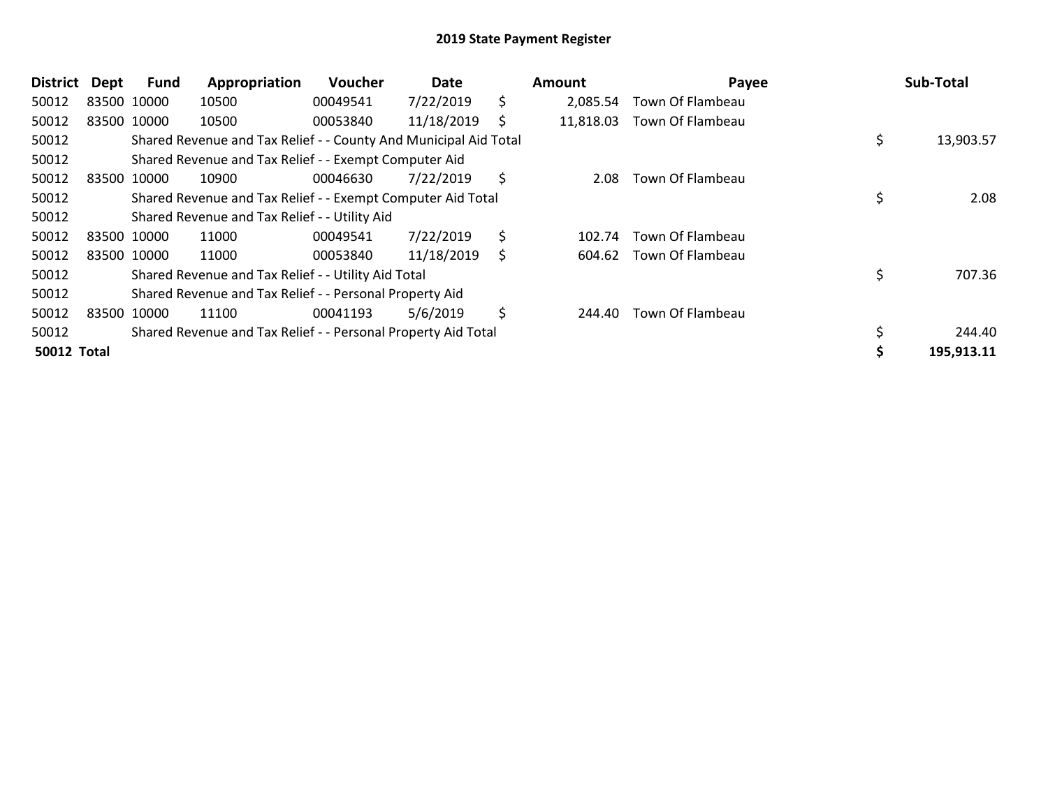| <b>District</b>    | Dept        | Fund        | Appropriation                                                    | Voucher  | Date       |    | Amount    | Payee            | Sub-Total       |
|--------------------|-------------|-------------|------------------------------------------------------------------|----------|------------|----|-----------|------------------|-----------------|
| 50012              | 83500 10000 |             | 10500                                                            | 00049541 | 7/22/2019  | \$ | 2,085.54  | Town Of Flambeau |                 |
| 50012              | 83500 10000 |             | 10500                                                            | 00053840 | 11/18/2019 | \$ | 11,818.03 | Town Of Flambeau |                 |
| 50012              |             |             | Shared Revenue and Tax Relief - - County And Municipal Aid Total |          |            |    |           |                  | \$<br>13,903.57 |
| 50012              |             |             | Shared Revenue and Tax Relief - - Exempt Computer Aid            |          |            |    |           |                  |                 |
| 50012              |             | 83500 10000 | 10900                                                            | 00046630 | 7/22/2019  | Ŝ. | 2.08      | Town Of Flambeau |                 |
| 50012              |             |             | Shared Revenue and Tax Relief - - Exempt Computer Aid Total      |          |            |    |           |                  | \$<br>2.08      |
| 50012              |             |             | Shared Revenue and Tax Relief - - Utility Aid                    |          |            |    |           |                  |                 |
| 50012              |             | 83500 10000 | 11000                                                            | 00049541 | 7/22/2019  | \$ | 102.74    | Town Of Flambeau |                 |
| 50012              | 83500 10000 |             | 11000                                                            | 00053840 | 11/18/2019 | \$ | 604.62    | Town Of Flambeau |                 |
| 50012              |             |             | Shared Revenue and Tax Relief - - Utility Aid Total              |          |            |    |           |                  | \$<br>707.36    |
| 50012              |             |             | Shared Revenue and Tax Relief - - Personal Property Aid          |          |            |    |           |                  |                 |
| 50012              |             | 83500 10000 | 11100                                                            | 00041193 | 5/6/2019   | \$ | 244.40    | Town Of Flambeau |                 |
| 50012              |             |             | Shared Revenue and Tax Relief - - Personal Property Aid Total    |          |            |    |           |                  | 244.40          |
| <b>50012 Total</b> |             |             |                                                                  |          |            |    |           |                  | 195,913.11      |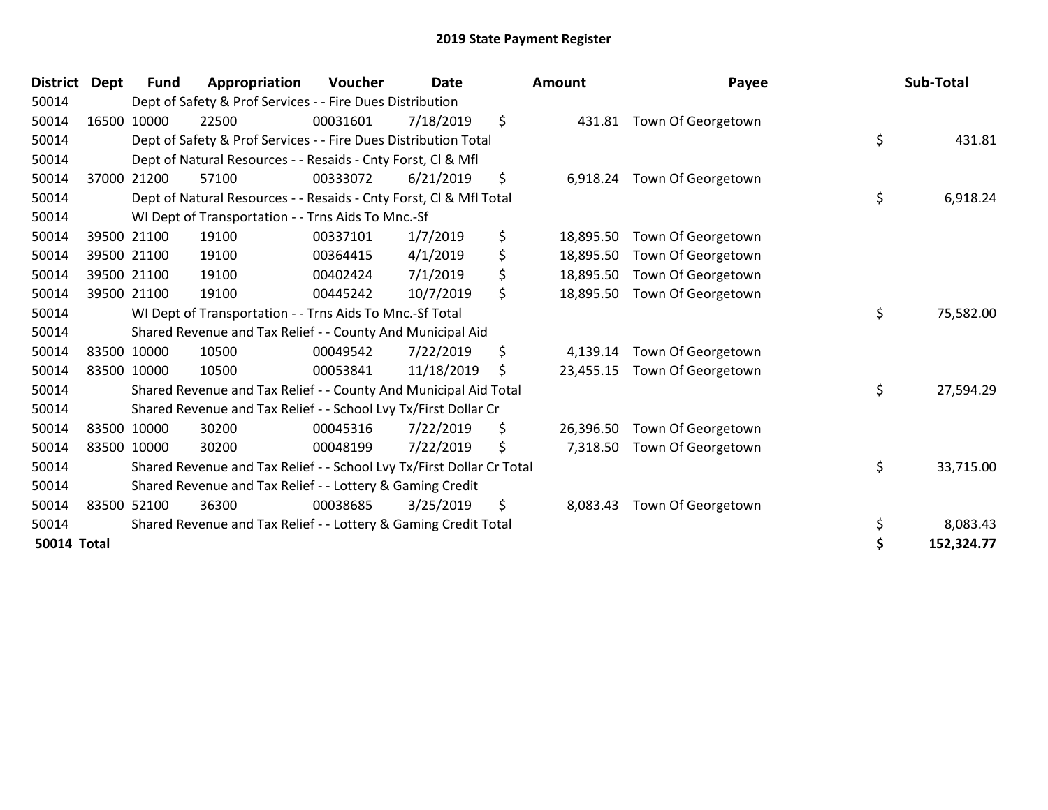| <b>District</b>    | Dept  | <b>Fund</b> | Appropriation                                                         | <b>Voucher</b> | <b>Date</b> | <b>Amount</b>   | Payee              | Sub-Total       |
|--------------------|-------|-------------|-----------------------------------------------------------------------|----------------|-------------|-----------------|--------------------|-----------------|
| 50014              |       |             | Dept of Safety & Prof Services - - Fire Dues Distribution             |                |             |                 |                    |                 |
| 50014              | 16500 | 10000       | 22500                                                                 | 00031601       | 7/18/2019   | \$<br>431.81    | Town Of Georgetown |                 |
| 50014              |       |             | Dept of Safety & Prof Services - - Fire Dues Distribution Total       |                |             |                 |                    | \$<br>431.81    |
| 50014              |       |             | Dept of Natural Resources - - Resaids - Cnty Forst, CI & Mfl          |                |             |                 |                    |                 |
| 50014              | 37000 | 21200       | 57100                                                                 | 00333072       | 6/21/2019   | \$<br>6,918.24  | Town Of Georgetown |                 |
| 50014              |       |             | Dept of Natural Resources - - Resaids - Cnty Forst, Cl & Mfl Total    |                |             |                 |                    | \$<br>6,918.24  |
| 50014              |       |             | WI Dept of Transportation - - Trns Aids To Mnc.-Sf                    |                |             |                 |                    |                 |
| 50014              |       | 39500 21100 | 19100                                                                 | 00337101       | 1/7/2019    | \$<br>18,895.50 | Town Of Georgetown |                 |
| 50014              |       | 39500 21100 | 19100                                                                 | 00364415       | 4/1/2019    | \$<br>18,895.50 | Town Of Georgetown |                 |
| 50014              |       | 39500 21100 | 19100                                                                 | 00402424       | 7/1/2019    | \$<br>18,895.50 | Town Of Georgetown |                 |
| 50014              |       | 39500 21100 | 19100                                                                 | 00445242       | 10/7/2019   | \$<br>18,895.50 | Town Of Georgetown |                 |
| 50014              |       |             | WI Dept of Transportation - - Trns Aids To Mnc.-Sf Total              |                |             |                 |                    | \$<br>75,582.00 |
| 50014              |       |             | Shared Revenue and Tax Relief - - County And Municipal Aid            |                |             |                 |                    |                 |
| 50014              |       | 83500 10000 | 10500                                                                 | 00049542       | 7/22/2019   | \$<br>4.139.14  | Town Of Georgetown |                 |
| 50014              |       | 83500 10000 | 10500                                                                 | 00053841       | 11/18/2019  | \$<br>23,455.15 | Town Of Georgetown |                 |
| 50014              |       |             | Shared Revenue and Tax Relief - - County And Municipal Aid Total      |                |             |                 |                    | \$<br>27,594.29 |
| 50014              |       |             | Shared Revenue and Tax Relief - - School Lvy Tx/First Dollar Cr       |                |             |                 |                    |                 |
| 50014              |       | 83500 10000 | 30200                                                                 | 00045316       | 7/22/2019   | \$<br>26,396.50 | Town Of Georgetown |                 |
| 50014              |       | 83500 10000 | 30200                                                                 | 00048199       | 7/22/2019   | \$<br>7,318.50  | Town Of Georgetown |                 |
| 50014              |       |             | Shared Revenue and Tax Relief - - School Lvy Tx/First Dollar Cr Total |                |             |                 |                    | \$<br>33,715.00 |
| 50014              |       |             | Shared Revenue and Tax Relief - - Lottery & Gaming Credit             |                |             |                 |                    |                 |
| 50014              |       | 83500 52100 | 36300                                                                 | 00038685       | 3/25/2019   | \$<br>8,083.43  | Town Of Georgetown |                 |
| 50014              |       |             | Shared Revenue and Tax Relief - - Lottery & Gaming Credit Total       |                |             |                 |                    | \$<br>8,083.43  |
| <b>50014 Total</b> |       |             |                                                                       |                |             |                 |                    | 152,324.77      |

| <b>Amount</b> | Payee              | Sub-Total |            |  |  |
|---------------|--------------------|-----------|------------|--|--|
| 431.81        | Town Of Georgetown |           |            |  |  |
|               |                    | \$        | 431.81     |  |  |
| 6,918.24      | Town Of Georgetown | \$        |            |  |  |
|               |                    |           | 6,918.24   |  |  |
| 18,895.50     | Town Of Georgetown |           |            |  |  |
| 18,895.50     | Town Of Georgetown |           |            |  |  |
| 18,895.50     | Town Of Georgetown |           |            |  |  |
| 18,895.50     | Town Of Georgetown |           |            |  |  |
|               |                    | \$        | 75,582.00  |  |  |
| 4,139.14      | Town Of Georgetown |           |            |  |  |
| 23,455.15     | Town Of Georgetown |           |            |  |  |
|               |                    | \$        | 27,594.29  |  |  |
| 26,396.50     | Town Of Georgetown |           |            |  |  |
| 7,318.50      | Town Of Georgetown |           |            |  |  |
|               |                    | \$        | 33,715.00  |  |  |
| 8,083.43      | Town Of Georgetown |           |            |  |  |
|               |                    | \$        | 8,083.43   |  |  |
|               |                    | \$        | 152,324.77 |  |  |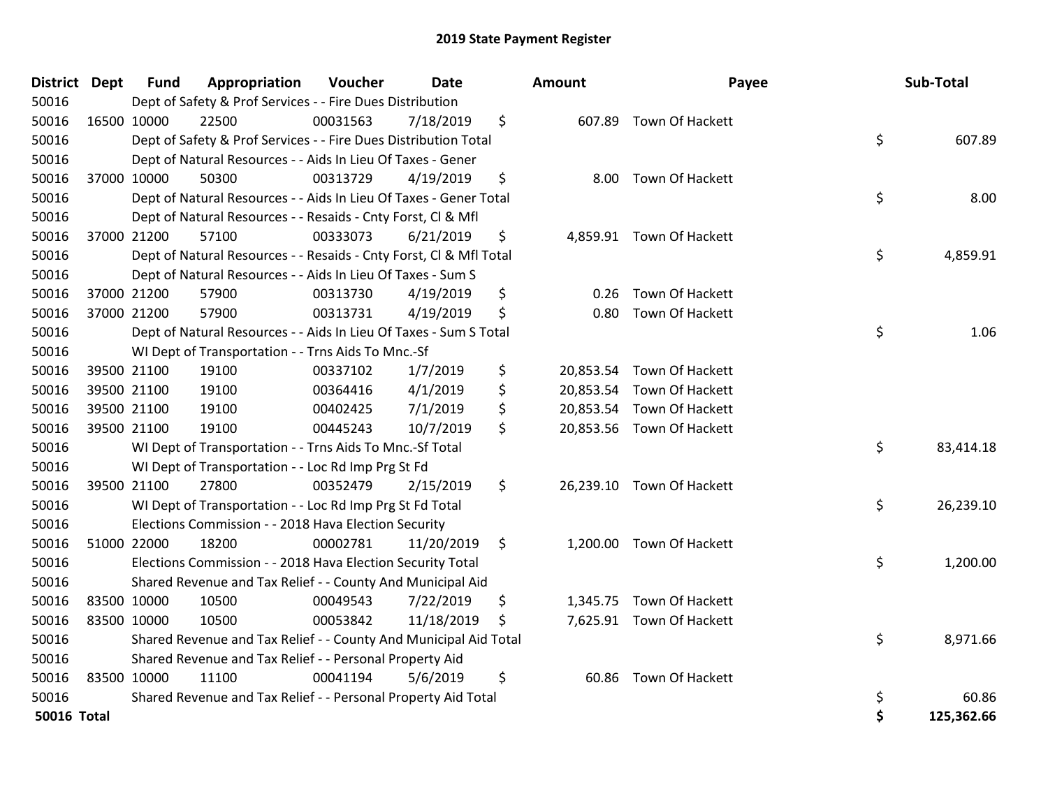| <b>District Dept</b> |             | <b>Fund</b> | Appropriation                                                      | Voucher  | Date       | Amount          | Payee                     |    | Sub-Total  |
|----------------------|-------------|-------------|--------------------------------------------------------------------|----------|------------|-----------------|---------------------------|----|------------|
| 50016                |             |             | Dept of Safety & Prof Services - - Fire Dues Distribution          |          |            |                 |                           |    |            |
| 50016                | 16500 10000 |             | 22500                                                              | 00031563 | 7/18/2019  | \$              | 607.89 Town Of Hackett    |    |            |
| 50016                |             |             | Dept of Safety & Prof Services - - Fire Dues Distribution Total    |          |            |                 |                           | \$ | 607.89     |
| 50016                |             |             | Dept of Natural Resources - - Aids In Lieu Of Taxes - Gener        |          |            |                 |                           |    |            |
| 50016                | 37000 10000 |             | 50300                                                              | 00313729 | 4/19/2019  | \$<br>8.00      | Town Of Hackett           |    |            |
| 50016                |             |             | Dept of Natural Resources - - Aids In Lieu Of Taxes - Gener Total  |          |            |                 |                           | \$ | 8.00       |
| 50016                |             |             | Dept of Natural Resources - - Resaids - Cnty Forst, Cl & Mfl       |          |            |                 |                           |    |            |
| 50016                | 37000 21200 |             | 57100                                                              | 00333073 | 6/21/2019  | \$              | 4,859.91 Town Of Hackett  |    |            |
| 50016                |             |             | Dept of Natural Resources - - Resaids - Cnty Forst, Cl & Mfl Total |          |            |                 |                           | \$ | 4,859.91   |
| 50016                |             |             | Dept of Natural Resources - - Aids In Lieu Of Taxes - Sum S        |          |            |                 |                           |    |            |
| 50016                | 37000 21200 |             | 57900                                                              | 00313730 | 4/19/2019  | \$<br>0.26      | Town Of Hackett           |    |            |
| 50016                | 37000 21200 |             | 57900                                                              | 00313731 | 4/19/2019  | \$<br>0.80      | Town Of Hackett           |    |            |
| 50016                |             |             | Dept of Natural Resources - - Aids In Lieu Of Taxes - Sum S Total  |          |            |                 |                           | \$ | 1.06       |
| 50016                |             |             | WI Dept of Transportation - - Trns Aids To Mnc.-Sf                 |          |            |                 |                           |    |            |
| 50016                | 39500 21100 |             | 19100                                                              | 00337102 | 1/7/2019   | \$<br>20,853.54 | Town Of Hackett           |    |            |
| 50016                | 39500 21100 |             | 19100                                                              | 00364416 | 4/1/2019   | \$              | 20,853.54 Town Of Hackett |    |            |
| 50016                | 39500 21100 |             | 19100                                                              | 00402425 | 7/1/2019   | \$              | 20,853.54 Town Of Hackett |    |            |
| 50016                | 39500 21100 |             | 19100                                                              | 00445243 | 10/7/2019  | \$              | 20,853.56 Town Of Hackett |    |            |
| 50016                |             |             | WI Dept of Transportation - - Trns Aids To Mnc.-Sf Total           |          |            |                 |                           | \$ | 83,414.18  |
| 50016                |             |             | WI Dept of Transportation - - Loc Rd Imp Prg St Fd                 |          |            |                 |                           |    |            |
| 50016                | 39500 21100 |             | 27800                                                              | 00352479 | 2/15/2019  | \$              | 26,239.10 Town Of Hackett |    |            |
| 50016                |             |             | WI Dept of Transportation - - Loc Rd Imp Prg St Fd Total           |          |            |                 |                           | \$ | 26,239.10  |
| 50016                |             |             | Elections Commission - - 2018 Hava Election Security               |          |            |                 |                           |    |            |
| 50016                | 51000 22000 |             | 18200                                                              | 00002781 | 11/20/2019 | \$              | 1,200.00 Town Of Hackett  |    |            |
| 50016                |             |             | Elections Commission - - 2018 Hava Election Security Total         |          |            |                 |                           | \$ | 1,200.00   |
| 50016                |             |             | Shared Revenue and Tax Relief - - County And Municipal Aid         |          |            |                 |                           |    |            |
| 50016                | 83500 10000 |             | 10500                                                              | 00049543 | 7/22/2019  | \$              | 1,345.75 Town Of Hackett  |    |            |
| 50016                | 83500 10000 |             | 10500                                                              | 00053842 | 11/18/2019 | \$              | 7,625.91 Town Of Hackett  |    |            |
| 50016                |             |             | Shared Revenue and Tax Relief - - County And Municipal Aid Total   |          |            |                 |                           | \$ | 8,971.66   |
| 50016                |             |             | Shared Revenue and Tax Relief - - Personal Property Aid            |          |            |                 |                           |    |            |
| 50016                | 83500 10000 |             | 11100                                                              | 00041194 | 5/6/2019   | \$<br>60.86     | Town Of Hackett           |    |            |
| 50016                |             |             | Shared Revenue and Tax Relief - - Personal Property Aid Total      |          |            |                 |                           | \$ | 60.86      |
| <b>50016 Total</b>   |             |             |                                                                    |          |            |                 |                           | Ś  | 125,362.66 |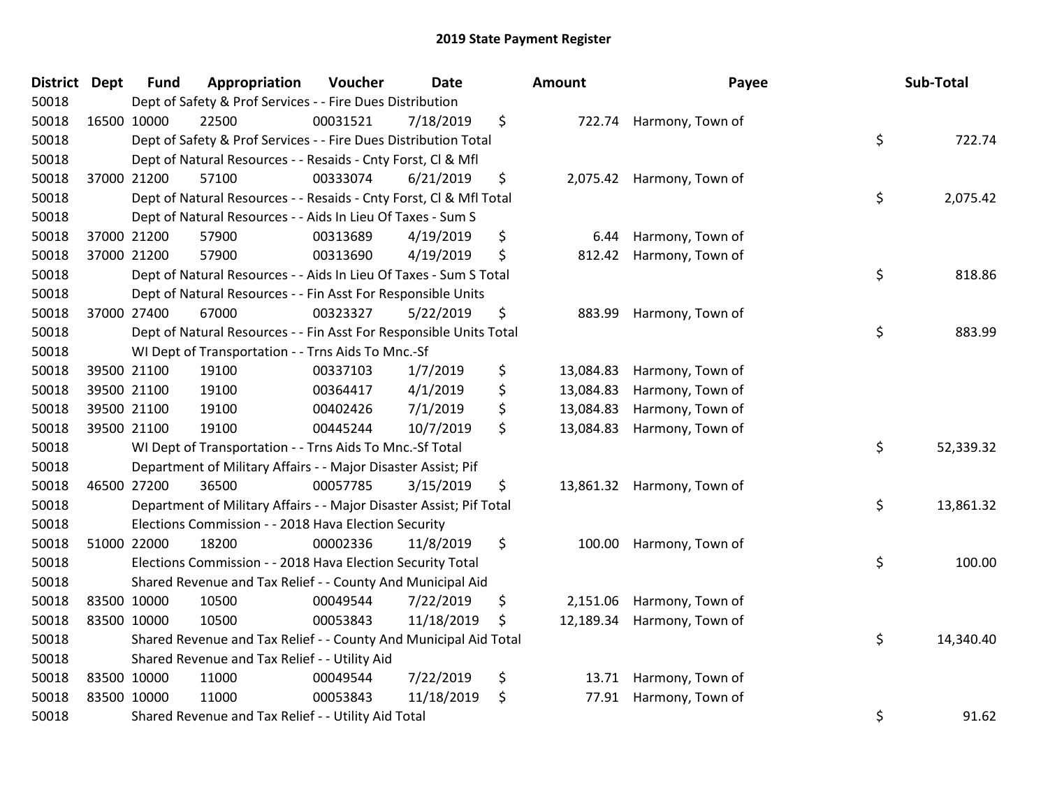| District Dept |             | <b>Fund</b> | Appropriation                                                       | Voucher  | <b>Date</b> | Amount          | Payee                      | Sub-Total       |
|---------------|-------------|-------------|---------------------------------------------------------------------|----------|-------------|-----------------|----------------------------|-----------------|
| 50018         |             |             | Dept of Safety & Prof Services - - Fire Dues Distribution           |          |             |                 |                            |                 |
| 50018         | 16500 10000 |             | 22500                                                               | 00031521 | 7/18/2019   | \$              | 722.74 Harmony, Town of    |                 |
| 50018         |             |             | Dept of Safety & Prof Services - - Fire Dues Distribution Total     |          |             |                 |                            | \$<br>722.74    |
| 50018         |             |             | Dept of Natural Resources - - Resaids - Cnty Forst, Cl & Mfl        |          |             |                 |                            |                 |
| 50018         | 37000 21200 |             | 57100                                                               | 00333074 | 6/21/2019   | \$              | 2,075.42 Harmony, Town of  |                 |
| 50018         |             |             | Dept of Natural Resources - - Resaids - Cnty Forst, Cl & Mfl Total  |          |             |                 |                            | \$<br>2,075.42  |
| 50018         |             |             | Dept of Natural Resources - - Aids In Lieu Of Taxes - Sum S         |          |             |                 |                            |                 |
| 50018         | 37000 21200 |             | 57900                                                               | 00313689 | 4/19/2019   | \$<br>6.44      | Harmony, Town of           |                 |
| 50018         | 37000 21200 |             | 57900                                                               | 00313690 | 4/19/2019   | \$<br>812.42    | Harmony, Town of           |                 |
| 50018         |             |             | Dept of Natural Resources - - Aids In Lieu Of Taxes - Sum S Total   |          |             |                 |                            | \$<br>818.86    |
| 50018         |             |             | Dept of Natural Resources - - Fin Asst For Responsible Units        |          |             |                 |                            |                 |
| 50018         | 37000 27400 |             | 67000                                                               | 00323327 | 5/22/2019   | \$              | 883.99 Harmony, Town of    |                 |
| 50018         |             |             | Dept of Natural Resources - - Fin Asst For Responsible Units Total  |          |             |                 |                            | \$<br>883.99    |
| 50018         |             |             | WI Dept of Transportation - - Trns Aids To Mnc.-Sf                  |          |             |                 |                            |                 |
| 50018         | 39500 21100 |             | 19100                                                               | 00337103 | 1/7/2019    | \$<br>13,084.83 | Harmony, Town of           |                 |
| 50018         | 39500 21100 |             | 19100                                                               | 00364417 | 4/1/2019    | \$<br>13,084.83 | Harmony, Town of           |                 |
| 50018         | 39500 21100 |             | 19100                                                               | 00402426 | 7/1/2019    | \$<br>13,084.83 | Harmony, Town of           |                 |
| 50018         | 39500 21100 |             | 19100                                                               | 00445244 | 10/7/2019   | \$              | 13,084.83 Harmony, Town of |                 |
| 50018         |             |             | WI Dept of Transportation - - Trns Aids To Mnc.-Sf Total            |          |             |                 |                            | \$<br>52,339.32 |
| 50018         |             |             | Department of Military Affairs - - Major Disaster Assist; Pif       |          |             |                 |                            |                 |
| 50018         | 46500 27200 |             | 36500                                                               | 00057785 | 3/15/2019   | \$              | 13,861.32 Harmony, Town of |                 |
| 50018         |             |             | Department of Military Affairs - - Major Disaster Assist; Pif Total |          |             |                 |                            | \$<br>13,861.32 |
| 50018         |             |             | Elections Commission - - 2018 Hava Election Security                |          |             |                 |                            |                 |
| 50018         | 51000 22000 |             | 18200                                                               | 00002336 | 11/8/2019   | \$<br>100.00    | Harmony, Town of           |                 |
| 50018         |             |             | Elections Commission - - 2018 Hava Election Security Total          |          |             |                 |                            | \$<br>100.00    |
| 50018         |             |             | Shared Revenue and Tax Relief - - County And Municipal Aid          |          |             |                 |                            |                 |
| 50018         | 83500 10000 |             | 10500                                                               | 00049544 | 7/22/2019   | \$<br>2,151.06  | Harmony, Town of           |                 |
| 50018         | 83500 10000 |             | 10500                                                               | 00053843 | 11/18/2019  | \$              | 12,189.34 Harmony, Town of |                 |
| 50018         |             |             | Shared Revenue and Tax Relief - - County And Municipal Aid Total    |          |             |                 |                            | \$<br>14,340.40 |
| 50018         |             |             | Shared Revenue and Tax Relief - - Utility Aid                       |          |             |                 |                            |                 |
| 50018         | 83500 10000 |             | 11000                                                               | 00049544 | 7/22/2019   | \$              | 13.71 Harmony, Town of     |                 |
| 50018         | 83500 10000 |             | 11000                                                               | 00053843 | 11/18/2019  | \$<br>77.91     | Harmony, Town of           |                 |
| 50018         |             |             | Shared Revenue and Tax Relief - - Utility Aid Total                 |          |             |                 |                            | \$<br>91.62     |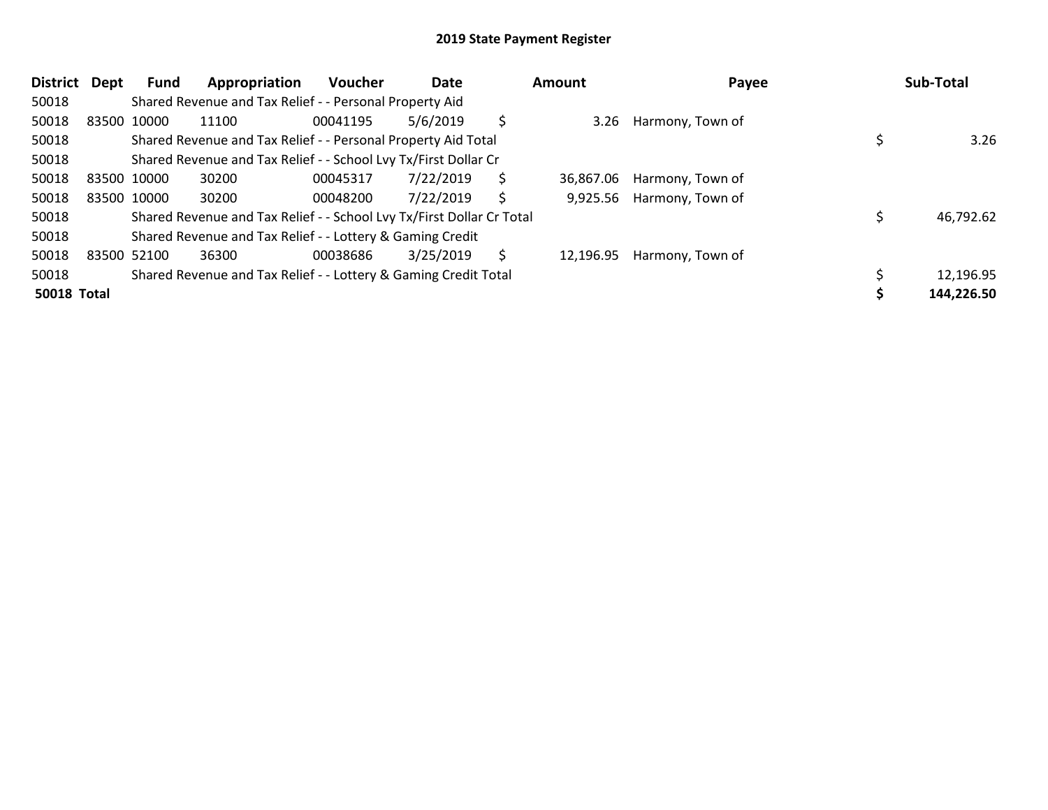| <b>District</b>    | Dept        | Fund        | Appropriation                                                         | <b>Voucher</b> | Date      |    | <b>Amount</b> | Payee            | Sub-Total  |
|--------------------|-------------|-------------|-----------------------------------------------------------------------|----------------|-----------|----|---------------|------------------|------------|
| 50018              |             |             | Shared Revenue and Tax Relief - - Personal Property Aid               |                |           |    |               |                  |            |
| 50018              |             | 83500 10000 | 11100                                                                 | 00041195       | 5/6/2019  | Ś  | 3.26          | Harmony, Town of |            |
| 50018              |             |             | Shared Revenue and Tax Relief - - Personal Property Aid Total         |                |           |    |               |                  | 3.26       |
| 50018              |             |             | Shared Revenue and Tax Relief - - School Lvy Tx/First Dollar Cr       |                |           |    |               |                  |            |
| 50018              | 83500 10000 |             | 30200                                                                 | 00045317       | 7/22/2019 | \$ | 36,867.06     | Harmony, Town of |            |
| 50018              |             | 83500 10000 | 30200                                                                 | 00048200       | 7/22/2019 | S  | 9,925.56      | Harmony, Town of |            |
| 50018              |             |             | Shared Revenue and Tax Relief - - School Lvy Tx/First Dollar Cr Total |                |           |    |               |                  | 46,792.62  |
| 50018              |             |             | Shared Revenue and Tax Relief - - Lottery & Gaming Credit             |                |           |    |               |                  |            |
| 50018              |             | 83500 52100 | 36300                                                                 | 00038686       | 3/25/2019 | Ŝ  | 12,196.95     | Harmony, Town of |            |
| 50018              |             |             | Shared Revenue and Tax Relief - - Lottery & Gaming Credit Total       |                |           |    |               |                  | 12,196.95  |
| <b>50018 Total</b> |             |             |                                                                       |                |           |    |               |                  | 144,226.50 |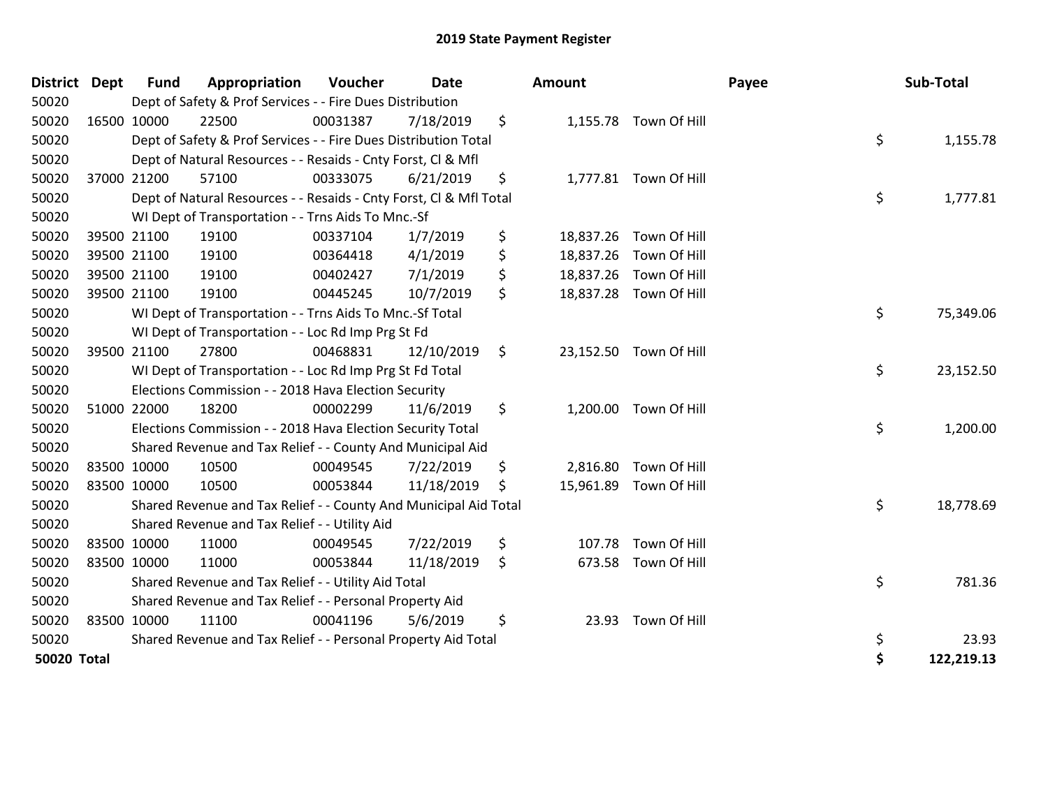| District Dept      |             | <b>Fund</b> | Appropriation                                                      | Voucher  | <b>Date</b> | <b>Amount</b>   |                        | Payee | Sub-Total  |
|--------------------|-------------|-------------|--------------------------------------------------------------------|----------|-------------|-----------------|------------------------|-------|------------|
| 50020              |             |             | Dept of Safety & Prof Services - - Fire Dues Distribution          |          |             |                 |                        |       |            |
| 50020              | 16500 10000 |             | 22500                                                              | 00031387 | 7/18/2019   | \$              | 1,155.78 Town Of Hill  |       |            |
| 50020              |             |             | Dept of Safety & Prof Services - - Fire Dues Distribution Total    |          |             |                 |                        | \$    | 1,155.78   |
| 50020              |             |             | Dept of Natural Resources - - Resaids - Cnty Forst, Cl & Mfl       |          |             |                 |                        |       |            |
| 50020              | 37000 21200 |             | 57100                                                              | 00333075 | 6/21/2019   | \$              | 1,777.81 Town Of Hill  |       |            |
| 50020              |             |             | Dept of Natural Resources - - Resaids - Cnty Forst, Cl & Mfl Total |          |             |                 |                        | \$    | 1,777.81   |
| 50020              |             |             | WI Dept of Transportation - - Trns Aids To Mnc.-Sf                 |          |             |                 |                        |       |            |
| 50020              |             | 39500 21100 | 19100                                                              | 00337104 | 1/7/2019    | \$<br>18,837.26 | Town Of Hill           |       |            |
| 50020              |             | 39500 21100 | 19100                                                              | 00364418 | 4/1/2019    | \$              | 18,837.26 Town Of Hill |       |            |
| 50020              |             | 39500 21100 | 19100                                                              | 00402427 | 7/1/2019    | \$              | 18,837.26 Town Of Hill |       |            |
| 50020              | 39500 21100 |             | 19100                                                              | 00445245 | 10/7/2019   | \$              | 18,837.28 Town Of Hill |       |            |
| 50020              |             |             | WI Dept of Transportation - - Trns Aids To Mnc.-Sf Total           |          |             |                 |                        | \$    | 75,349.06  |
| 50020              |             |             | WI Dept of Transportation - - Loc Rd Imp Prg St Fd                 |          |             |                 |                        |       |            |
| 50020              |             | 39500 21100 | 27800                                                              | 00468831 | 12/10/2019  | \$              | 23,152.50 Town Of Hill |       |            |
| 50020              |             |             | WI Dept of Transportation - - Loc Rd Imp Prg St Fd Total           |          |             |                 |                        | \$    | 23,152.50  |
| 50020              |             |             | Elections Commission - - 2018 Hava Election Security               |          |             |                 |                        |       |            |
| 50020              |             | 51000 22000 | 18200                                                              | 00002299 | 11/6/2019   | \$              | 1,200.00 Town Of Hill  |       |            |
| 50020              |             |             | Elections Commission - - 2018 Hava Election Security Total         |          |             |                 |                        | \$    | 1,200.00   |
| 50020              |             |             | Shared Revenue and Tax Relief - - County And Municipal Aid         |          |             |                 |                        |       |            |
| 50020              |             | 83500 10000 | 10500                                                              | 00049545 | 7/22/2019   | \$<br>2,816.80  | Town Of Hill           |       |            |
| 50020              | 83500 10000 |             | 10500                                                              | 00053844 | 11/18/2019  | \$              | 15,961.89 Town Of Hill |       |            |
| 50020              |             |             | Shared Revenue and Tax Relief - - County And Municipal Aid Total   |          |             |                 |                        | \$    | 18,778.69  |
| 50020              |             |             | Shared Revenue and Tax Relief - - Utility Aid                      |          |             |                 |                        |       |            |
| 50020              |             | 83500 10000 | 11000                                                              | 00049545 | 7/22/2019   | \$<br>107.78    | Town Of Hill           |       |            |
| 50020              | 83500 10000 |             | 11000                                                              | 00053844 | 11/18/2019  | \$<br>673.58    | Town Of Hill           |       |            |
| 50020              |             |             | Shared Revenue and Tax Relief - - Utility Aid Total                |          |             |                 |                        | \$    | 781.36     |
| 50020              |             |             | Shared Revenue and Tax Relief - - Personal Property Aid            |          |             |                 |                        |       |            |
| 50020              |             | 83500 10000 | 11100                                                              | 00041196 | 5/6/2019    | \$<br>23.93     | Town Of Hill           |       |            |
| 50020              |             |             | Shared Revenue and Tax Relief - - Personal Property Aid Total      |          |             |                 |                        | \$    | 23.93      |
| <b>50020 Total</b> |             |             |                                                                    |          |             |                 |                        | \$    | 122,219.13 |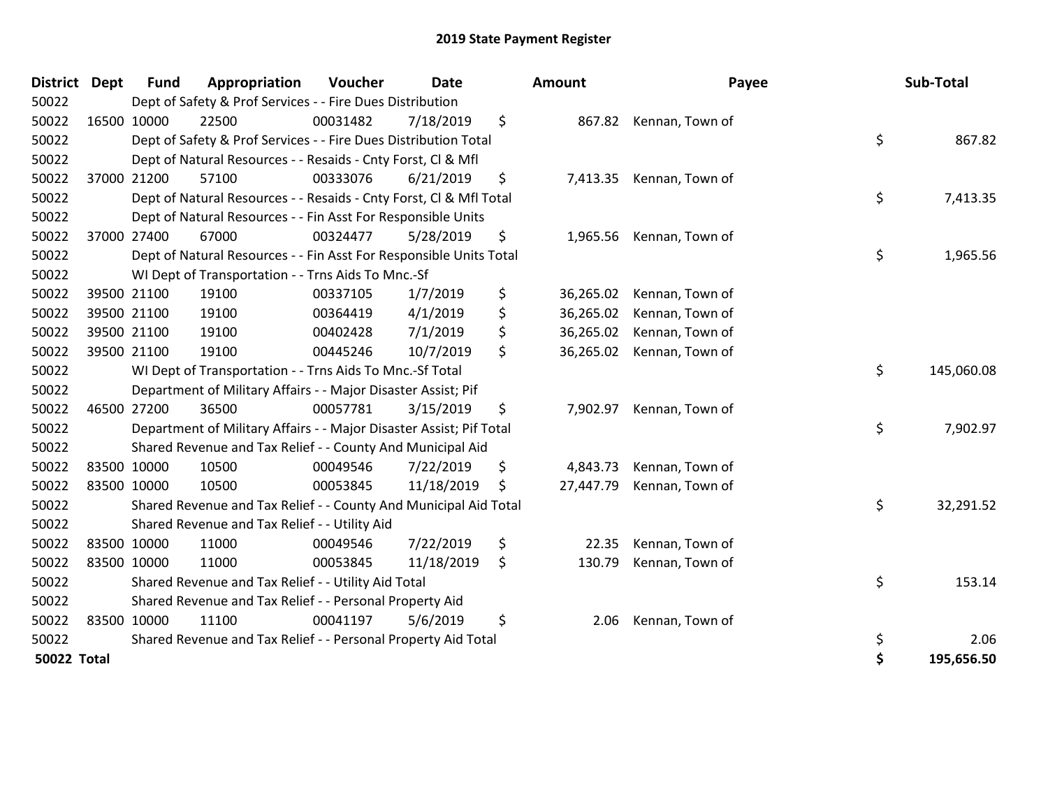| <b>District</b>    | <b>Dept</b> | <b>Fund</b> | Appropriation                                                       | Voucher  | <b>Date</b> | <b>Amount</b>   | Payee                    | Sub-Total        |
|--------------------|-------------|-------------|---------------------------------------------------------------------|----------|-------------|-----------------|--------------------------|------------------|
| 50022              |             |             | Dept of Safety & Prof Services - - Fire Dues Distribution           |          |             |                 |                          |                  |
| 50022              |             | 16500 10000 | 22500                                                               | 00031482 | 7/18/2019   | \$              | 867.82 Kennan, Town of   |                  |
| 50022              |             |             | Dept of Safety & Prof Services - - Fire Dues Distribution Total     |          |             |                 |                          | \$<br>867.82     |
| 50022              |             |             | Dept of Natural Resources - - Resaids - Cnty Forst, Cl & Mfl        |          |             |                 |                          |                  |
| 50022              |             | 37000 21200 | 57100                                                               | 00333076 | 6/21/2019   | \$              | 7,413.35 Kennan, Town of |                  |
| 50022              |             |             | Dept of Natural Resources - - Resaids - Cnty Forst, Cl & Mfl Total  |          |             |                 |                          | \$<br>7,413.35   |
| 50022              |             |             | Dept of Natural Resources - - Fin Asst For Responsible Units        |          |             |                 |                          |                  |
| 50022              |             | 37000 27400 | 67000                                                               | 00324477 | 5/28/2019   | \$<br>1,965.56  | Kennan, Town of          |                  |
| 50022              |             |             | Dept of Natural Resources - - Fin Asst For Responsible Units Total  |          |             |                 |                          | \$<br>1,965.56   |
| 50022              |             |             | WI Dept of Transportation - - Trns Aids To Mnc.-Sf                  |          |             |                 |                          |                  |
| 50022              |             | 39500 21100 | 19100                                                               | 00337105 | 1/7/2019    | \$<br>36,265.02 | Kennan, Town of          |                  |
| 50022              |             | 39500 21100 | 19100                                                               | 00364419 | 4/1/2019    | \$<br>36,265.02 | Kennan, Town of          |                  |
| 50022              | 39500 21100 |             | 19100                                                               | 00402428 | 7/1/2019    | \$<br>36,265.02 | Kennan, Town of          |                  |
| 50022              | 39500 21100 |             | 19100                                                               | 00445246 | 10/7/2019   | \$<br>36,265.02 | Kennan, Town of          |                  |
| 50022              |             |             | WI Dept of Transportation - - Trns Aids To Mnc.-Sf Total            |          |             |                 |                          | \$<br>145,060.08 |
| 50022              |             |             | Department of Military Affairs - - Major Disaster Assist; Pif       |          |             |                 |                          |                  |
| 50022              | 46500 27200 |             | 36500                                                               | 00057781 | 3/15/2019   | \$<br>7,902.97  | Kennan, Town of          |                  |
| 50022              |             |             | Department of Military Affairs - - Major Disaster Assist; Pif Total |          |             |                 |                          | \$<br>7,902.97   |
| 50022              |             |             | Shared Revenue and Tax Relief - - County And Municipal Aid          |          |             |                 |                          |                  |
| 50022              | 83500 10000 |             | 10500                                                               | 00049546 | 7/22/2019   | \$<br>4,843.73  | Kennan, Town of          |                  |
| 50022              | 83500 10000 |             | 10500                                                               | 00053845 | 11/18/2019  | \$<br>27,447.79 | Kennan, Town of          |                  |
| 50022              |             |             | Shared Revenue and Tax Relief - - County And Municipal Aid Total    |          |             |                 |                          | \$<br>32,291.52  |
| 50022              |             |             | Shared Revenue and Tax Relief - - Utility Aid                       |          |             |                 |                          |                  |
| 50022              | 83500 10000 |             | 11000                                                               | 00049546 | 7/22/2019   | \$<br>22.35     | Kennan, Town of          |                  |
| 50022              | 83500 10000 |             | 11000                                                               | 00053845 | 11/18/2019  | \$<br>130.79    | Kennan, Town of          |                  |
| 50022              |             |             | Shared Revenue and Tax Relief - - Utility Aid Total                 |          |             |                 |                          | \$<br>153.14     |
| 50022              |             |             | Shared Revenue and Tax Relief - - Personal Property Aid             |          |             |                 |                          |                  |
| 50022              | 83500 10000 |             | 11100                                                               | 00041197 | 5/6/2019    | \$<br>2.06      | Kennan, Town of          |                  |
| 50022              |             |             | Shared Revenue and Tax Relief - - Personal Property Aid Total       |          |             |                 |                          | \$<br>2.06       |
| <b>50022 Total</b> |             |             |                                                                     |          |             |                 |                          | \$<br>195,656.50 |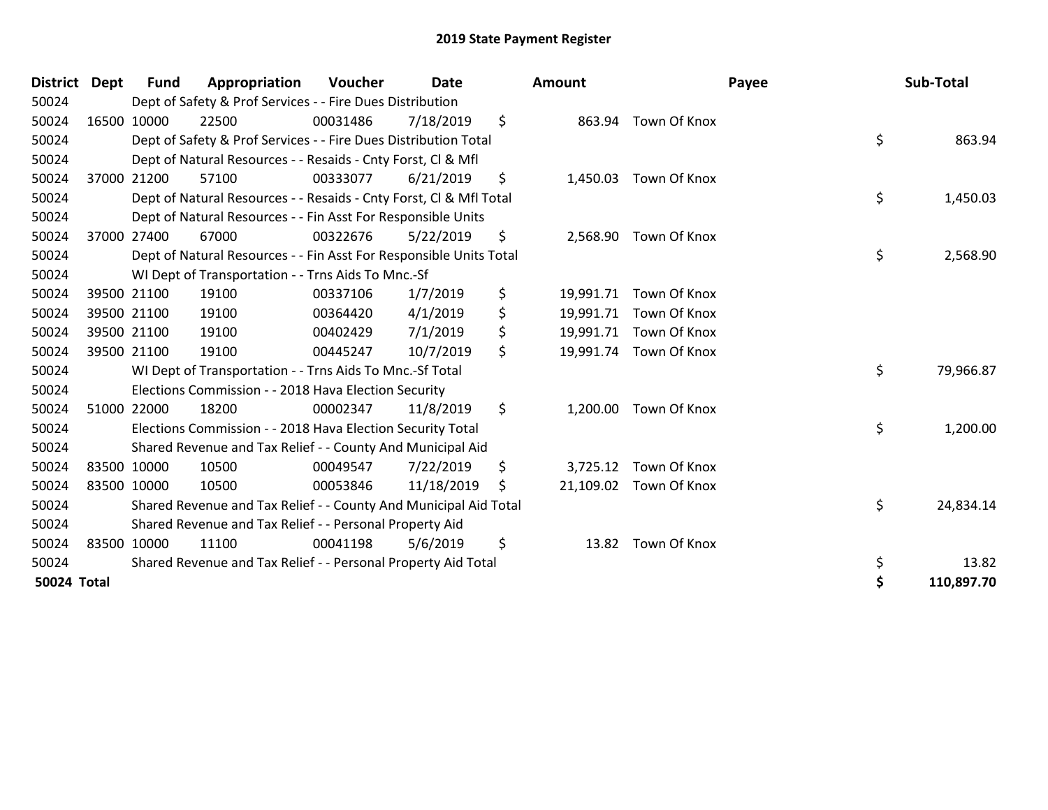| <b>District</b> | Dept        | Fund | Appropriation                                                      | Voucher  | <b>Date</b> | Amount          |                        | Payee | Sub-Total  |
|-----------------|-------------|------|--------------------------------------------------------------------|----------|-------------|-----------------|------------------------|-------|------------|
| 50024           |             |      | Dept of Safety & Prof Services - - Fire Dues Distribution          |          |             |                 |                        |       |            |
| 50024           | 16500 10000 |      | 22500                                                              | 00031486 | 7/18/2019   | \$              | 863.94 Town Of Knox    |       |            |
| 50024           |             |      | Dept of Safety & Prof Services - - Fire Dues Distribution Total    |          |             |                 |                        | \$    | 863.94     |
| 50024           |             |      | Dept of Natural Resources - - Resaids - Cnty Forst, CI & Mfl       |          |             |                 |                        |       |            |
| 50024           | 37000 21200 |      | 57100                                                              | 00333077 | 6/21/2019   | \$              | 1,450.03 Town Of Knox  |       |            |
| 50024           |             |      | Dept of Natural Resources - - Resaids - Cnty Forst, CI & Mfl Total |          |             |                 |                        | \$    | 1,450.03   |
| 50024           |             |      | Dept of Natural Resources - - Fin Asst For Responsible Units       |          |             |                 |                        |       |            |
| 50024           | 37000 27400 |      | 67000                                                              | 00322676 | 5/22/2019   | \$              | 2,568.90 Town Of Knox  |       |            |
| 50024           |             |      | Dept of Natural Resources - - Fin Asst For Responsible Units Total |          |             |                 |                        | \$    | 2,568.90   |
| 50024           |             |      | WI Dept of Transportation - - Trns Aids To Mnc.-Sf                 |          |             |                 |                        |       |            |
| 50024           | 39500 21100 |      | 19100                                                              | 00337106 | 1/7/2019    | \$<br>19,991.71 | Town Of Knox           |       |            |
| 50024           | 39500 21100 |      | 19100                                                              | 00364420 | 4/1/2019    | \$              | 19,991.71 Town Of Knox |       |            |
| 50024           | 39500 21100 |      | 19100                                                              | 00402429 | 7/1/2019    | \$              | 19,991.71 Town Of Knox |       |            |
| 50024           | 39500 21100 |      | 19100                                                              | 00445247 | 10/7/2019   | \$              | 19,991.74 Town Of Knox |       |            |
| 50024           |             |      | WI Dept of Transportation - - Trns Aids To Mnc.-Sf Total           |          |             |                 |                        | \$    | 79,966.87  |
| 50024           |             |      | Elections Commission - - 2018 Hava Election Security               |          |             |                 |                        |       |            |
| 50024           | 51000 22000 |      | 18200                                                              | 00002347 | 11/8/2019   | \$<br>1,200.00  | Town Of Knox           |       |            |
| 50024           |             |      | Elections Commission - - 2018 Hava Election Security Total         |          |             |                 |                        | \$    | 1,200.00   |
| 50024           |             |      | Shared Revenue and Tax Relief - - County And Municipal Aid         |          |             |                 |                        |       |            |
| 50024           | 83500 10000 |      | 10500                                                              | 00049547 | 7/22/2019   | \$              | 3,725.12 Town Of Knox  |       |            |
| 50024           | 83500 10000 |      | 10500                                                              | 00053846 | 11/18/2019  | \$              | 21,109.02 Town Of Knox |       |            |
| 50024           |             |      | Shared Revenue and Tax Relief - - County And Municipal Aid Total   |          |             |                 |                        | \$    | 24,834.14  |
| 50024           |             |      | Shared Revenue and Tax Relief - - Personal Property Aid            |          |             |                 |                        |       |            |
| 50024           | 83500 10000 |      | 11100                                                              | 00041198 | 5/6/2019    | \$              | 13.82 Town Of Knox     |       |            |
| 50024           |             |      | Shared Revenue and Tax Relief - - Personal Property Aid Total      |          |             |                 |                        | \$    | 13.82      |
| 50024 Total     |             |      |                                                                    |          |             |                 |                        | \$    | 110,897.70 |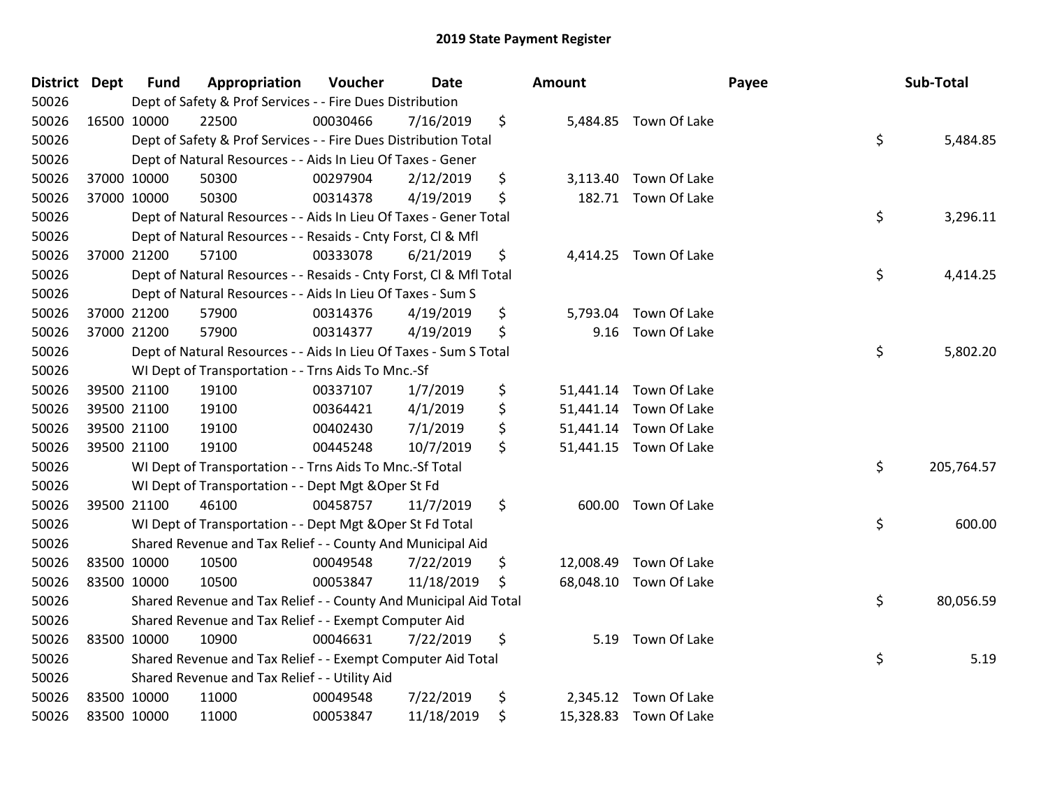| District Dept |             | <b>Fund</b> | Appropriation                                                      | Voucher  | <b>Date</b> | <b>Amount</b>   |                        | Payee | Sub-Total  |
|---------------|-------------|-------------|--------------------------------------------------------------------|----------|-------------|-----------------|------------------------|-------|------------|
| 50026         |             |             | Dept of Safety & Prof Services - - Fire Dues Distribution          |          |             |                 |                        |       |            |
| 50026         | 16500 10000 |             | 22500                                                              | 00030466 | 7/16/2019   | \$              | 5,484.85 Town Of Lake  |       |            |
| 50026         |             |             | Dept of Safety & Prof Services - - Fire Dues Distribution Total    |          |             |                 |                        | \$    | 5,484.85   |
| 50026         |             |             | Dept of Natural Resources - - Aids In Lieu Of Taxes - Gener        |          |             |                 |                        |       |            |
| 50026         | 37000 10000 |             | 50300                                                              | 00297904 | 2/12/2019   | \$              | 3,113.40 Town Of Lake  |       |            |
| 50026         | 37000 10000 |             | 50300                                                              | 00314378 | 4/19/2019   | \$              | 182.71 Town Of Lake    |       |            |
| 50026         |             |             | Dept of Natural Resources - - Aids In Lieu Of Taxes - Gener Total  |          |             |                 |                        | \$    | 3,296.11   |
| 50026         |             |             | Dept of Natural Resources - - Resaids - Cnty Forst, Cl & Mfl       |          |             |                 |                        |       |            |
| 50026         | 37000 21200 |             | 57100                                                              | 00333078 | 6/21/2019   | \$              | 4,414.25 Town Of Lake  |       |            |
| 50026         |             |             | Dept of Natural Resources - - Resaids - Cnty Forst, Cl & Mfl Total |          |             |                 |                        | \$    | 4,414.25   |
| 50026         |             |             | Dept of Natural Resources - - Aids In Lieu Of Taxes - Sum S        |          |             |                 |                        |       |            |
| 50026         |             | 37000 21200 | 57900                                                              | 00314376 | 4/19/2019   | \$<br>5,793.04  | Town Of Lake           |       |            |
| 50026         | 37000 21200 |             | 57900                                                              | 00314377 | 4/19/2019   | \$<br>9.16      | Town Of Lake           |       |            |
| 50026         |             |             | Dept of Natural Resources - - Aids In Lieu Of Taxes - Sum S Total  |          |             |                 |                        | \$    | 5,802.20   |
| 50026         |             |             | WI Dept of Transportation - - Trns Aids To Mnc.-Sf                 |          |             |                 |                        |       |            |
| 50026         |             | 39500 21100 | 19100                                                              | 00337107 | 1/7/2019    | \$<br>51,441.14 | Town Of Lake           |       |            |
| 50026         |             | 39500 21100 | 19100                                                              | 00364421 | 4/1/2019    | \$              | 51,441.14 Town Of Lake |       |            |
| 50026         | 39500 21100 |             | 19100                                                              | 00402430 | 7/1/2019    | \$              | 51,441.14 Town Of Lake |       |            |
| 50026         | 39500 21100 |             | 19100                                                              | 00445248 | 10/7/2019   | \$              | 51,441.15 Town Of Lake |       |            |
| 50026         |             |             | WI Dept of Transportation - - Trns Aids To Mnc.-Sf Total           |          |             |                 |                        | \$    | 205,764.57 |
| 50026         |             |             | WI Dept of Transportation - - Dept Mgt & Oper St Fd                |          |             |                 |                        |       |            |
| 50026         | 39500 21100 |             | 46100                                                              | 00458757 | 11/7/2019   | \$              | 600.00 Town Of Lake    |       |            |
| 50026         |             |             | WI Dept of Transportation - - Dept Mgt & Oper St Fd Total          |          |             |                 |                        | \$    | 600.00     |
| 50026         |             |             | Shared Revenue and Tax Relief - - County And Municipal Aid         |          |             |                 |                        |       |            |
| 50026         |             | 83500 10000 | 10500                                                              | 00049548 | 7/22/2019   | \$              | 12,008.49 Town Of Lake |       |            |
| 50026         |             | 83500 10000 | 10500                                                              | 00053847 | 11/18/2019  | \$              | 68,048.10 Town Of Lake |       |            |
| 50026         |             |             | Shared Revenue and Tax Relief - - County And Municipal Aid Total   |          |             |                 |                        | \$    | 80,056.59  |
| 50026         |             |             | Shared Revenue and Tax Relief - - Exempt Computer Aid              |          |             |                 |                        |       |            |
| 50026         | 83500 10000 |             | 10900                                                              | 00046631 | 7/22/2019   | \$              | 5.19 Town Of Lake      |       |            |
| 50026         |             |             | Shared Revenue and Tax Relief - - Exempt Computer Aid Total        |          |             |                 |                        | \$    | 5.19       |
| 50026         |             |             | Shared Revenue and Tax Relief - - Utility Aid                      |          |             |                 |                        |       |            |
| 50026         | 83500 10000 |             | 11000                                                              | 00049548 | 7/22/2019   | \$              | 2,345.12 Town Of Lake  |       |            |
| 50026         | 83500 10000 |             | 11000                                                              | 00053847 | 11/18/2019  | \$              | 15,328.83 Town Of Lake |       |            |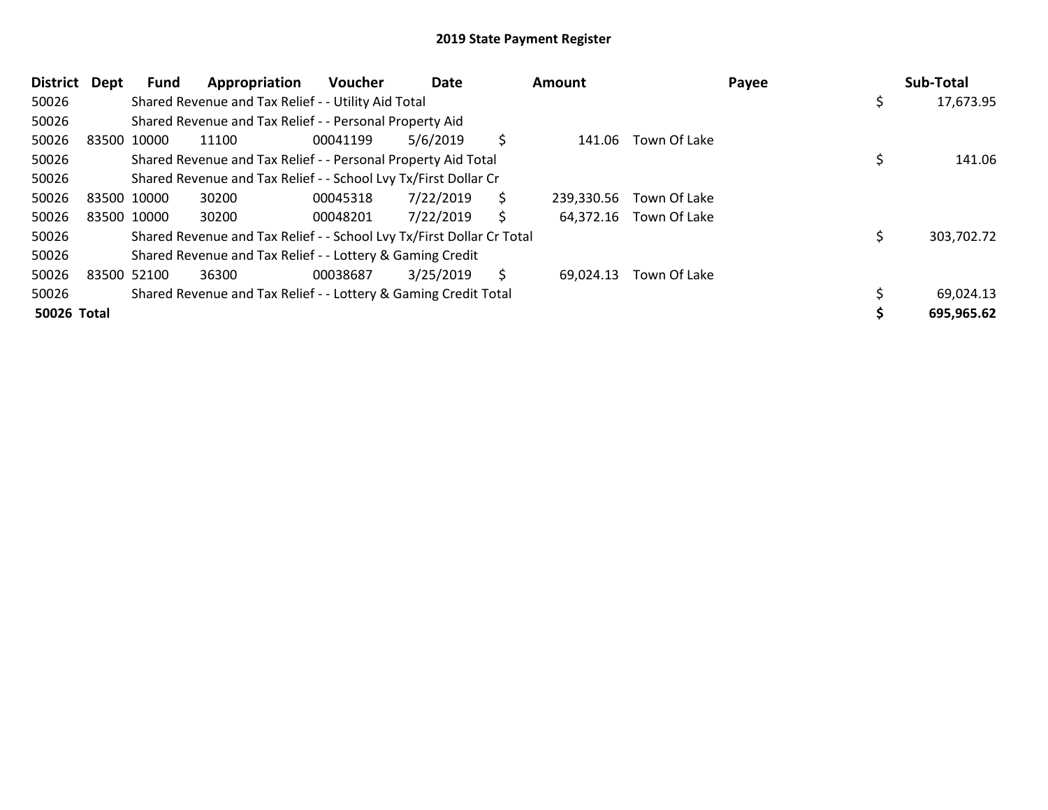| District Dept |             | Fund | Appropriation                                                         | Voucher  | Date      |    | Amount     |                        | Payee | Sub-Total  |
|---------------|-------------|------|-----------------------------------------------------------------------|----------|-----------|----|------------|------------------------|-------|------------|
| 50026         |             |      | Shared Revenue and Tax Relief - - Utility Aid Total                   |          |           |    |            |                        | S     | 17,673.95  |
| 50026         |             |      | Shared Revenue and Tax Relief - - Personal Property Aid               |          |           |    |            |                        |       |            |
| 50026         | 83500 10000 |      | 11100                                                                 | 00041199 | 5/6/2019  | \$ | 141.06     | Town Of Lake           |       |            |
| 50026         |             |      | Shared Revenue and Tax Relief - - Personal Property Aid Total         |          |           |    |            |                        |       | 141.06     |
| 50026         |             |      | Shared Revenue and Tax Relief - - School Lvy Tx/First Dollar Cr       |          |           |    |            |                        |       |            |
| 50026         | 83500 10000 |      | 30200                                                                 | 00045318 | 7/22/2019 | \$ | 239,330.56 | Town Of Lake           |       |            |
| 50026         | 83500 10000 |      | 30200                                                                 | 00048201 | 7/22/2019 | \$ |            | 64,372.16 Town Of Lake |       |            |
| 50026         |             |      | Shared Revenue and Tax Relief - - School Lvy Tx/First Dollar Cr Total |          |           |    |            |                        |       | 303,702.72 |
| 50026         |             |      | Shared Revenue and Tax Relief - - Lottery & Gaming Credit             |          |           |    |            |                        |       |            |
| 50026         | 83500 52100 |      | 36300                                                                 | 00038687 | 3/25/2019 | S  | 69.024.13  | Town Of Lake           |       |            |
| 50026         |             |      | Shared Revenue and Tax Relief - - Lottery & Gaming Credit Total       |          |           |    |            |                        |       | 69,024.13  |
| 50026 Total   |             |      |                                                                       |          |           |    |            |                        |       | 695,965.62 |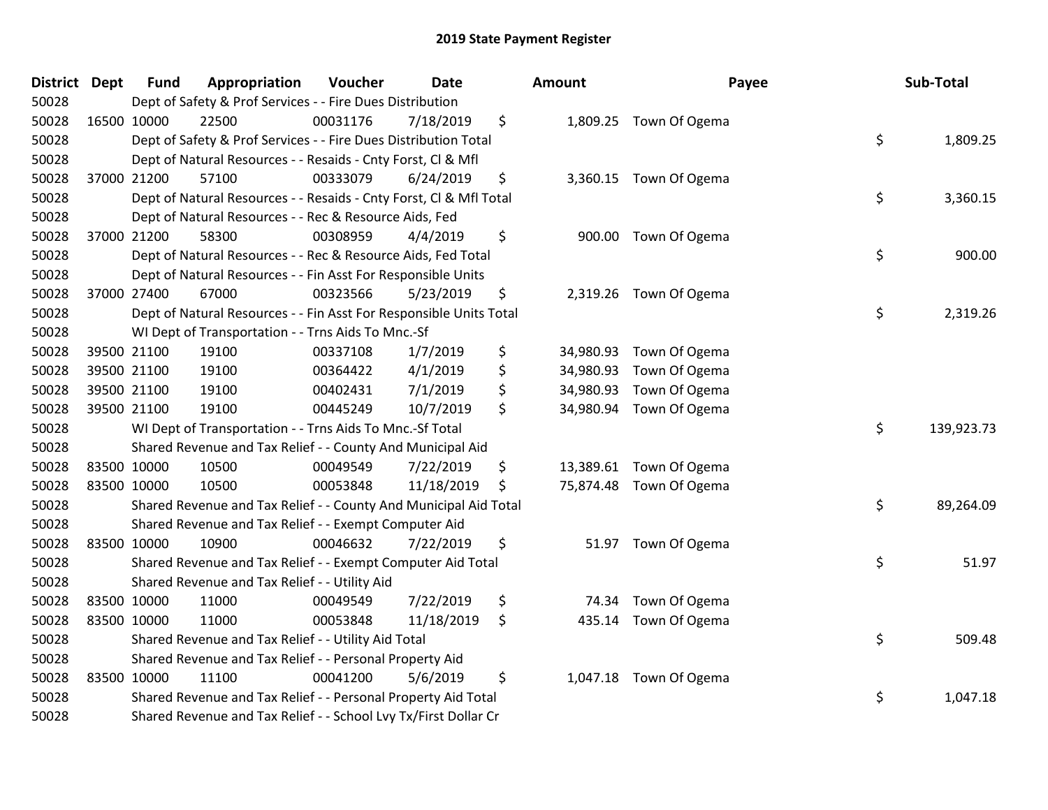| District Dept |             | <b>Fund</b> | Appropriation                                                      | Voucher  | <b>Date</b> | <b>Amount</b>   | Payee                   | Sub-Total        |
|---------------|-------------|-------------|--------------------------------------------------------------------|----------|-------------|-----------------|-------------------------|------------------|
| 50028         |             |             | Dept of Safety & Prof Services - - Fire Dues Distribution          |          |             |                 |                         |                  |
| 50028         |             | 16500 10000 | 22500                                                              | 00031176 | 7/18/2019   | \$              | 1,809.25 Town Of Ogema  |                  |
| 50028         |             |             | Dept of Safety & Prof Services - - Fire Dues Distribution Total    |          |             |                 |                         | \$<br>1,809.25   |
| 50028         |             |             | Dept of Natural Resources - - Resaids - Cnty Forst, Cl & Mfl       |          |             |                 |                         |                  |
| 50028         |             | 37000 21200 | 57100                                                              | 00333079 | 6/24/2019   | \$              | 3,360.15 Town Of Ogema  |                  |
| 50028         |             |             | Dept of Natural Resources - - Resaids - Cnty Forst, CI & Mfl Total |          |             |                 |                         | \$<br>3,360.15   |
| 50028         |             |             | Dept of Natural Resources - - Rec & Resource Aids, Fed             |          |             |                 |                         |                  |
| 50028         |             | 37000 21200 | 58300                                                              | 00308959 | 4/4/2019    | \$              | 900.00 Town Of Ogema    |                  |
| 50028         |             |             | Dept of Natural Resources - - Rec & Resource Aids, Fed Total       |          |             |                 |                         | \$<br>900.00     |
| 50028         |             |             | Dept of Natural Resources - - Fin Asst For Responsible Units       |          |             |                 |                         |                  |
| 50028         |             | 37000 27400 | 67000                                                              | 00323566 | 5/23/2019   | \$              | 2,319.26 Town Of Ogema  |                  |
| 50028         |             |             | Dept of Natural Resources - - Fin Asst For Responsible Units Total |          |             |                 |                         | \$<br>2,319.26   |
| 50028         |             |             | WI Dept of Transportation - - Trns Aids To Mnc.-Sf                 |          |             |                 |                         |                  |
| 50028         |             | 39500 21100 | 19100                                                              | 00337108 | 1/7/2019    | \$              | 34,980.93 Town Of Ogema |                  |
| 50028         |             | 39500 21100 | 19100                                                              | 00364422 | 4/1/2019    | \$<br>34,980.93 | Town Of Ogema           |                  |
| 50028         |             | 39500 21100 | 19100                                                              | 00402431 | 7/1/2019    | \$<br>34,980.93 | Town Of Ogema           |                  |
| 50028         |             | 39500 21100 | 19100                                                              | 00445249 | 10/7/2019   | \$              | 34,980.94 Town Of Ogema |                  |
| 50028         |             |             | WI Dept of Transportation - - Trns Aids To Mnc.-Sf Total           |          |             |                 |                         | \$<br>139,923.73 |
| 50028         |             |             | Shared Revenue and Tax Relief - - County And Municipal Aid         |          |             |                 |                         |                  |
| 50028         |             | 83500 10000 | 10500                                                              | 00049549 | 7/22/2019   | \$              | 13,389.61 Town Of Ogema |                  |
| 50028         |             | 83500 10000 | 10500                                                              | 00053848 | 11/18/2019  | \$              | 75,874.48 Town Of Ogema |                  |
| 50028         |             |             | Shared Revenue and Tax Relief - - County And Municipal Aid Total   |          |             |                 |                         | \$<br>89,264.09  |
| 50028         |             |             | Shared Revenue and Tax Relief - - Exempt Computer Aid              |          |             |                 |                         |                  |
| 50028         |             | 83500 10000 | 10900                                                              | 00046632 | 7/22/2019   | \$              | 51.97 Town Of Ogema     |                  |
| 50028         |             |             | Shared Revenue and Tax Relief - - Exempt Computer Aid Total        |          |             |                 |                         | \$<br>51.97      |
| 50028         |             |             | Shared Revenue and Tax Relief - - Utility Aid                      |          |             |                 |                         |                  |
| 50028         | 83500 10000 |             | 11000                                                              | 00049549 | 7/22/2019   | \$<br>74.34     | Town Of Ogema           |                  |
| 50028         |             | 83500 10000 | 11000                                                              | 00053848 | 11/18/2019  | \$              | 435.14 Town Of Ogema    |                  |
| 50028         |             |             | Shared Revenue and Tax Relief - - Utility Aid Total                |          |             |                 |                         | \$<br>509.48     |
| 50028         |             |             | Shared Revenue and Tax Relief - - Personal Property Aid            |          |             |                 |                         |                  |
| 50028         |             | 83500 10000 | 11100                                                              | 00041200 | 5/6/2019    | \$              | 1,047.18 Town Of Ogema  |                  |
| 50028         |             |             | Shared Revenue and Tax Relief - - Personal Property Aid Total      |          |             |                 |                         | \$<br>1,047.18   |
| 50028         |             |             | Shared Revenue and Tax Relief - - School Lvy Tx/First Dollar Cr    |          |             |                 |                         |                  |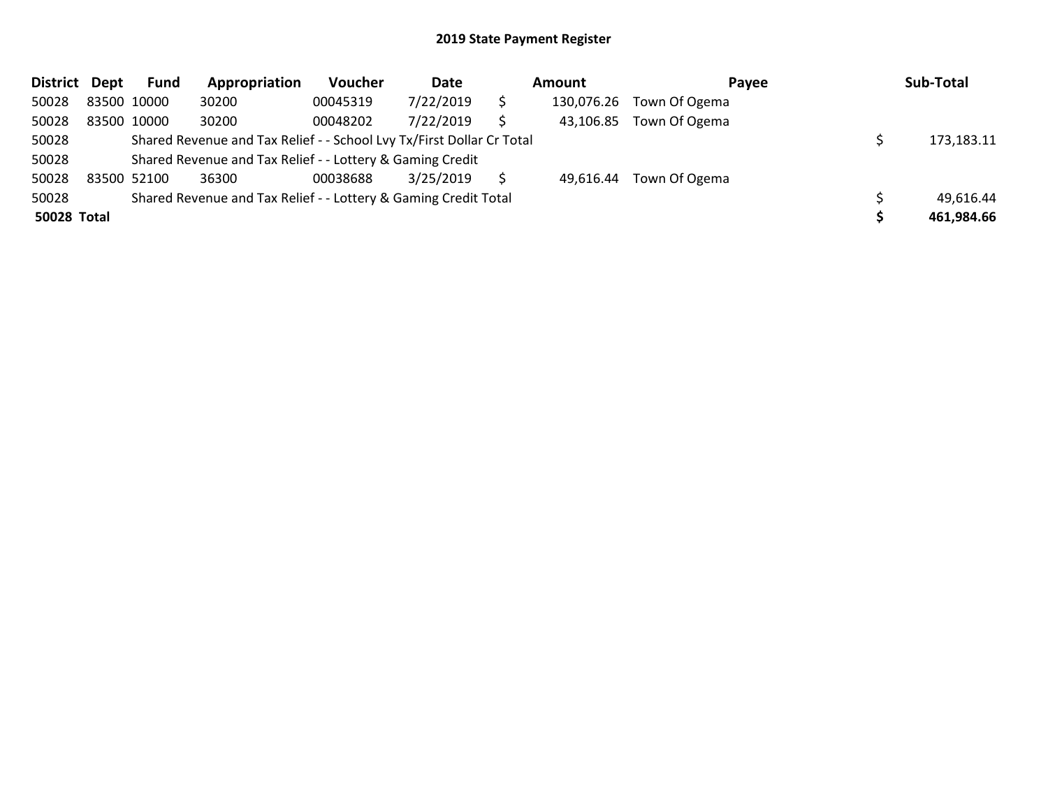| District Dept |             | <b>Fund</b> | Appropriation                                                         | Voucher  | Date      | Amount     | Payee                   | Sub-Total  |
|---------------|-------------|-------------|-----------------------------------------------------------------------|----------|-----------|------------|-------------------------|------------|
| 50028         | 83500 10000 |             | 30200                                                                 | 00045319 | 7/22/2019 | 130,076.26 | Town Of Ogema           |            |
| 50028         |             | 83500 10000 | 30200                                                                 | 00048202 | 7/22/2019 | 43,106.85  | Town Of Ogema           |            |
| 50028         |             |             | Shared Revenue and Tax Relief - - School Lvy Tx/First Dollar Cr Total |          |           |            |                         | 173,183.11 |
| 50028         |             |             | Shared Revenue and Tax Relief - - Lottery & Gaming Credit             |          |           |            |                         |            |
| 50028         |             | 83500 52100 | 36300                                                                 | 00038688 | 3/25/2019 |            | 49,616.44 Town Of Ogema |            |
| 50028         |             |             | Shared Revenue and Tax Relief - - Lottery & Gaming Credit Total       |          |           |            |                         | 49,616.44  |
| 50028 Total   |             |             |                                                                       |          |           |            |                         | 461,984.66 |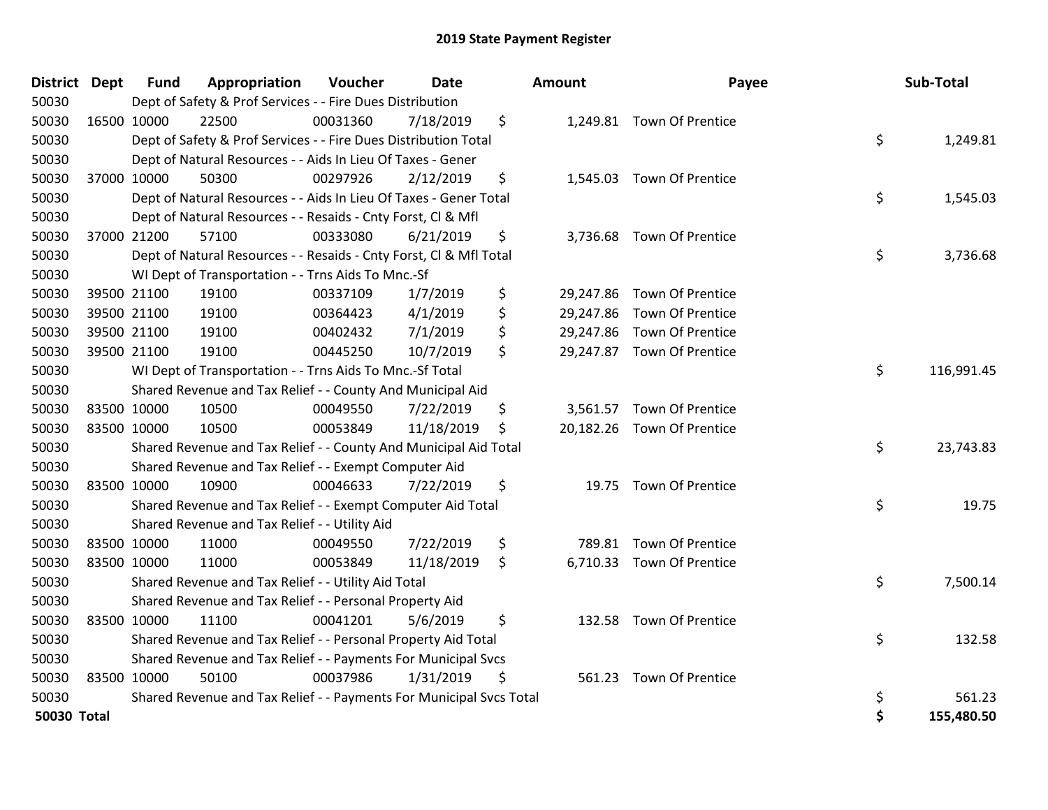| District Dept      |             | <b>Fund</b> | Appropriation                                                       | Voucher  | Date       | Amount       | Payee                      | Sub-Total        |
|--------------------|-------------|-------------|---------------------------------------------------------------------|----------|------------|--------------|----------------------------|------------------|
| 50030              |             |             | Dept of Safety & Prof Services - - Fire Dues Distribution           |          |            |              |                            |                  |
| 50030              | 16500 10000 |             | 22500                                                               | 00031360 | 7/18/2019  | \$           | 1,249.81 Town Of Prentice  |                  |
| 50030              |             |             | Dept of Safety & Prof Services - - Fire Dues Distribution Total     |          |            |              |                            | \$<br>1,249.81   |
| 50030              |             |             | Dept of Natural Resources - - Aids In Lieu Of Taxes - Gener         |          |            |              |                            |                  |
| 50030              |             | 37000 10000 | 50300                                                               | 00297926 | 2/12/2019  | \$           | 1,545.03 Town Of Prentice  |                  |
| 50030              |             |             | Dept of Natural Resources - - Aids In Lieu Of Taxes - Gener Total   |          |            |              |                            | \$<br>1,545.03   |
| 50030              |             |             | Dept of Natural Resources - - Resaids - Cnty Forst, Cl & Mfl        |          |            |              |                            |                  |
| 50030              |             | 37000 21200 | 57100                                                               | 00333080 | 6/21/2019  | \$           | 3,736.68 Town Of Prentice  |                  |
| 50030              |             |             | Dept of Natural Resources - - Resaids - Cnty Forst, Cl & Mfl Total  |          |            |              |                            | \$<br>3,736.68   |
| 50030              |             |             | WI Dept of Transportation - - Trns Aids To Mnc.-Sf                  |          |            |              |                            |                  |
| 50030              |             | 39500 21100 | 19100                                                               | 00337109 | 1/7/2019   | \$           | 29,247.86 Town Of Prentice |                  |
| 50030              |             | 39500 21100 | 19100                                                               | 00364423 | 4/1/2019   | \$           | 29,247.86 Town Of Prentice |                  |
| 50030              |             | 39500 21100 | 19100                                                               | 00402432 | 7/1/2019   | \$           | 29,247.86 Town Of Prentice |                  |
| 50030              |             | 39500 21100 | 19100                                                               | 00445250 | 10/7/2019  | \$           | 29,247.87 Town Of Prentice |                  |
| 50030              |             |             | WI Dept of Transportation - - Trns Aids To Mnc.-Sf Total            |          |            |              |                            | \$<br>116,991.45 |
| 50030              |             |             | Shared Revenue and Tax Relief - - County And Municipal Aid          |          |            |              |                            |                  |
| 50030              |             | 83500 10000 | 10500                                                               | 00049550 | 7/22/2019  | \$           | 3,561.57 Town Of Prentice  |                  |
| 50030              | 83500 10000 |             | 10500                                                               | 00053849 | 11/18/2019 | \$           | 20,182.26 Town Of Prentice |                  |
| 50030              |             |             | Shared Revenue and Tax Relief - - County And Municipal Aid Total    |          |            |              |                            | \$<br>23,743.83  |
| 50030              |             |             | Shared Revenue and Tax Relief - - Exempt Computer Aid               |          |            |              |                            |                  |
| 50030              | 83500 10000 |             | 10900                                                               | 00046633 | 7/22/2019  | \$           | 19.75 Town Of Prentice     |                  |
| 50030              |             |             | Shared Revenue and Tax Relief - - Exempt Computer Aid Total         |          |            |              |                            | \$<br>19.75      |
| 50030              |             |             | Shared Revenue and Tax Relief - - Utility Aid                       |          |            |              |                            |                  |
| 50030              |             | 83500 10000 | 11000                                                               | 00049550 | 7/22/2019  | \$<br>789.81 | <b>Town Of Prentice</b>    |                  |
| 50030              | 83500 10000 |             | 11000                                                               | 00053849 | 11/18/2019 | \$           | 6,710.33 Town Of Prentice  |                  |
| 50030              |             |             | Shared Revenue and Tax Relief - - Utility Aid Total                 |          |            |              |                            | \$<br>7,500.14   |
| 50030              |             |             | Shared Revenue and Tax Relief - - Personal Property Aid             |          |            |              |                            |                  |
| 50030              | 83500 10000 |             | 11100                                                               | 00041201 | 5/6/2019   | \$           | 132.58 Town Of Prentice    |                  |
| 50030              |             |             | Shared Revenue and Tax Relief - - Personal Property Aid Total       |          |            |              |                            | \$<br>132.58     |
| 50030              |             |             | Shared Revenue and Tax Relief - - Payments For Municipal Svcs       |          |            |              |                            |                  |
| 50030              | 83500 10000 |             | 50100                                                               | 00037986 | 1/31/2019  | \$<br>561.23 | <b>Town Of Prentice</b>    |                  |
| 50030              |             |             | Shared Revenue and Tax Relief - - Payments For Municipal Svcs Total |          |            |              |                            | \$<br>561.23     |
| <b>50030 Total</b> |             |             |                                                                     |          |            |              |                            | \$<br>155,480.50 |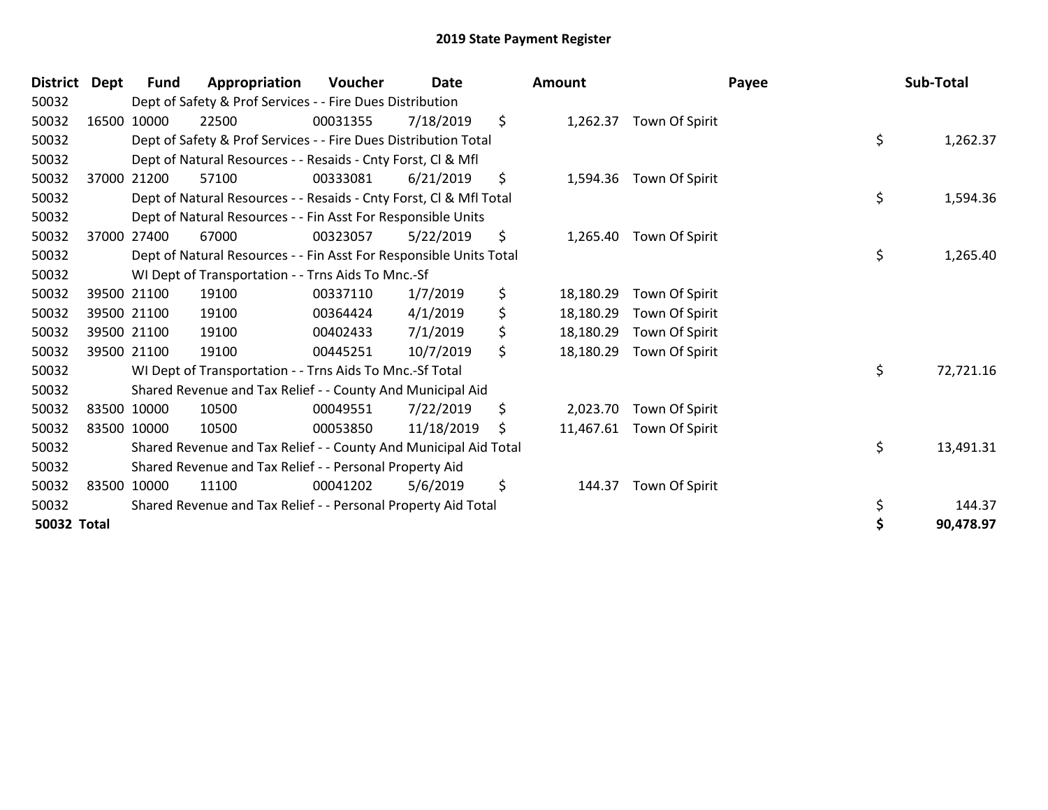| <b>District</b>    | Dept | <b>Fund</b> | Appropriation                                                      | <b>Voucher</b> | Date       | Amount          |                          | Payee | Sub-Total |
|--------------------|------|-------------|--------------------------------------------------------------------|----------------|------------|-----------------|--------------------------|-------|-----------|
| 50032              |      |             | Dept of Safety & Prof Services - - Fire Dues Distribution          |                |            |                 |                          |       |           |
| 50032              |      | 16500 10000 | 22500                                                              | 00031355       | 7/18/2019  | \$<br>1,262.37  | Town Of Spirit           |       |           |
| 50032              |      |             | Dept of Safety & Prof Services - - Fire Dues Distribution Total    |                |            |                 |                          | \$    | 1,262.37  |
| 50032              |      |             | Dept of Natural Resources - - Resaids - Cnty Forst, CI & Mfl       |                |            |                 |                          |       |           |
| 50032              |      | 37000 21200 | 57100                                                              | 00333081       | 6/21/2019  | \$<br>1,594.36  | Town Of Spirit           |       |           |
| 50032              |      |             | Dept of Natural Resources - - Resaids - Cnty Forst, Cl & Mfl Total |                |            |                 |                          | \$    | 1,594.36  |
| 50032              |      |             | Dept of Natural Resources - - Fin Asst For Responsible Units       |                |            |                 |                          |       |           |
| 50032              |      | 37000 27400 | 67000                                                              | 00323057       | 5/22/2019  | \$<br>1,265.40  | Town Of Spirit           |       |           |
| 50032              |      |             | Dept of Natural Resources - - Fin Asst For Responsible Units Total |                |            |                 |                          | \$    | 1,265.40  |
| 50032              |      |             | WI Dept of Transportation - - Trns Aids To Mnc.-Sf                 |                |            |                 |                          |       |           |
| 50032              |      | 39500 21100 | 19100                                                              | 00337110       | 1/7/2019   | \$<br>18,180.29 | Town Of Spirit           |       |           |
| 50032              |      | 39500 21100 | 19100                                                              | 00364424       | 4/1/2019   | \$<br>18,180.29 | Town Of Spirit           |       |           |
| 50032              |      | 39500 21100 | 19100                                                              | 00402433       | 7/1/2019   | \$<br>18,180.29 | Town Of Spirit           |       |           |
| 50032              |      | 39500 21100 | 19100                                                              | 00445251       | 10/7/2019  | \$<br>18,180.29 | Town Of Spirit           |       |           |
| 50032              |      |             | WI Dept of Transportation - - Trns Aids To Mnc.-Sf Total           |                |            |                 |                          | \$    | 72,721.16 |
| 50032              |      |             | Shared Revenue and Tax Relief - - County And Municipal Aid         |                |            |                 |                          |       |           |
| 50032              |      | 83500 10000 | 10500                                                              | 00049551       | 7/22/2019  | \$<br>2,023.70  | Town Of Spirit           |       |           |
| 50032              |      | 83500 10000 | 10500                                                              | 00053850       | 11/18/2019 | \$              | 11,467.61 Town Of Spirit |       |           |
| 50032              |      |             | Shared Revenue and Tax Relief - - County And Municipal Aid Total   |                |            |                 |                          | \$    | 13,491.31 |
| 50032              |      |             | Shared Revenue and Tax Relief - - Personal Property Aid            |                |            |                 |                          |       |           |
| 50032              |      | 83500 10000 | 11100                                                              | 00041202       | 5/6/2019   | \$<br>144.37    | Town Of Spirit           |       |           |
| 50032              |      |             | Shared Revenue and Tax Relief - - Personal Property Aid Total      |                |            |                 |                          | \$    | 144.37    |
| <b>50032 Total</b> |      |             |                                                                    |                |            |                 |                          |       | 90,478.97 |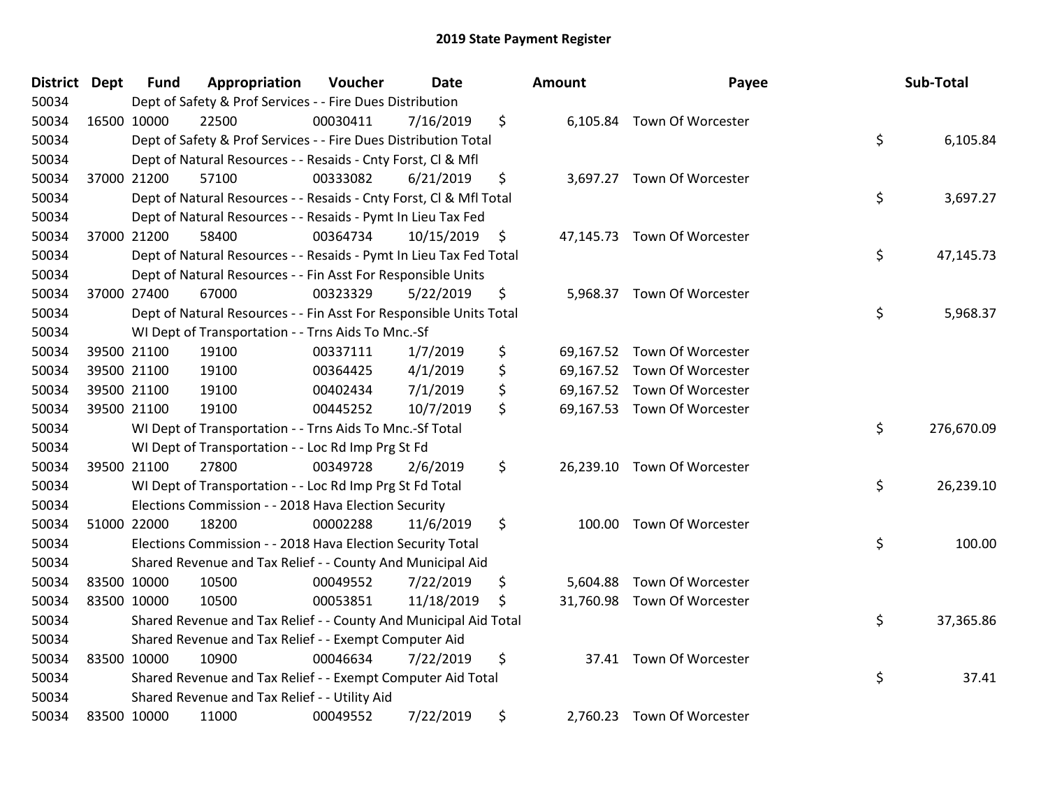| <b>District</b> | <b>Dept</b> | <b>Fund</b> | Appropriation                                                      | Voucher  | <b>Date</b> | <b>Amount</b>  | Payee                       | Sub-Total        |
|-----------------|-------------|-------------|--------------------------------------------------------------------|----------|-------------|----------------|-----------------------------|------------------|
| 50034           |             |             | Dept of Safety & Prof Services - - Fire Dues Distribution          |          |             |                |                             |                  |
| 50034           |             | 16500 10000 | 22500                                                              | 00030411 | 7/16/2019   | \$             | 6,105.84 Town Of Worcester  |                  |
| 50034           |             |             | Dept of Safety & Prof Services - - Fire Dues Distribution Total    |          |             |                |                             | \$<br>6,105.84   |
| 50034           |             |             | Dept of Natural Resources - - Resaids - Cnty Forst, CI & Mfl       |          |             |                |                             |                  |
| 50034           |             | 37000 21200 | 57100                                                              | 00333082 | 6/21/2019   | \$             | 3,697.27 Town Of Worcester  |                  |
| 50034           |             |             | Dept of Natural Resources - - Resaids - Cnty Forst, Cl & Mfl Total |          |             |                |                             | \$<br>3,697.27   |
| 50034           |             |             | Dept of Natural Resources - - Resaids - Pymt In Lieu Tax Fed       |          |             |                |                             |                  |
| 50034           |             | 37000 21200 | 58400                                                              | 00364734 | 10/15/2019  | \$             | 47,145.73 Town Of Worcester |                  |
| 50034           |             |             | Dept of Natural Resources - - Resaids - Pymt In Lieu Tax Fed Total |          |             |                |                             | \$<br>47,145.73  |
| 50034           |             |             | Dept of Natural Resources - - Fin Asst For Responsible Units       |          |             |                |                             |                  |
| 50034           |             | 37000 27400 | 67000                                                              | 00323329 | 5/22/2019   | \$             | 5,968.37 Town Of Worcester  |                  |
| 50034           |             |             | Dept of Natural Resources - - Fin Asst For Responsible Units Total |          |             |                |                             | \$<br>5,968.37   |
| 50034           |             |             | WI Dept of Transportation - - Trns Aids To Mnc.-Sf                 |          |             |                |                             |                  |
| 50034           |             | 39500 21100 | 19100                                                              | 00337111 | 1/7/2019    | \$             | 69,167.52 Town Of Worcester |                  |
| 50034           |             | 39500 21100 | 19100                                                              | 00364425 | 4/1/2019    | \$             | 69,167.52 Town Of Worcester |                  |
| 50034           |             | 39500 21100 | 19100                                                              | 00402434 | 7/1/2019    | \$             | 69,167.52 Town Of Worcester |                  |
| 50034           |             | 39500 21100 | 19100                                                              | 00445252 | 10/7/2019   | \$             | 69,167.53 Town Of Worcester |                  |
| 50034           |             |             | WI Dept of Transportation - - Trns Aids To Mnc.-Sf Total           |          |             |                |                             | \$<br>276,670.09 |
| 50034           |             |             | WI Dept of Transportation - - Loc Rd Imp Prg St Fd                 |          |             |                |                             |                  |
| 50034           |             | 39500 21100 | 27800                                                              | 00349728 | 2/6/2019    | \$             | 26,239.10 Town Of Worcester |                  |
| 50034           |             |             | WI Dept of Transportation - - Loc Rd Imp Prg St Fd Total           |          |             |                |                             | \$<br>26,239.10  |
| 50034           |             |             | Elections Commission - - 2018 Hava Election Security               |          |             |                |                             |                  |
| 50034           |             | 51000 22000 | 18200                                                              | 00002288 | 11/6/2019   | \$             | 100.00 Town Of Worcester    |                  |
| 50034           |             |             | Elections Commission - - 2018 Hava Election Security Total         |          |             |                |                             | \$<br>100.00     |
| 50034           |             |             | Shared Revenue and Tax Relief - - County And Municipal Aid         |          |             |                |                             |                  |
| 50034           |             | 83500 10000 | 10500                                                              | 00049552 | 7/22/2019   | \$<br>5,604.88 | Town Of Worcester           |                  |
| 50034           |             | 83500 10000 | 10500                                                              | 00053851 | 11/18/2019  | \$             | 31,760.98 Town Of Worcester |                  |
| 50034           |             |             | Shared Revenue and Tax Relief - - County And Municipal Aid Total   |          |             |                |                             | \$<br>37,365.86  |
| 50034           |             |             | Shared Revenue and Tax Relief - - Exempt Computer Aid              |          |             |                |                             |                  |
| 50034           |             | 83500 10000 | 10900                                                              | 00046634 | 7/22/2019   | \$             | 37.41 Town Of Worcester     |                  |
| 50034           |             |             | Shared Revenue and Tax Relief - - Exempt Computer Aid Total        |          |             |                |                             | \$<br>37.41      |
| 50034           |             |             | Shared Revenue and Tax Relief - - Utility Aid                      |          |             |                |                             |                  |
| 50034           |             | 83500 10000 | 11000                                                              | 00049552 | 7/22/2019   | \$             | 2,760.23 Town Of Worcester  |                  |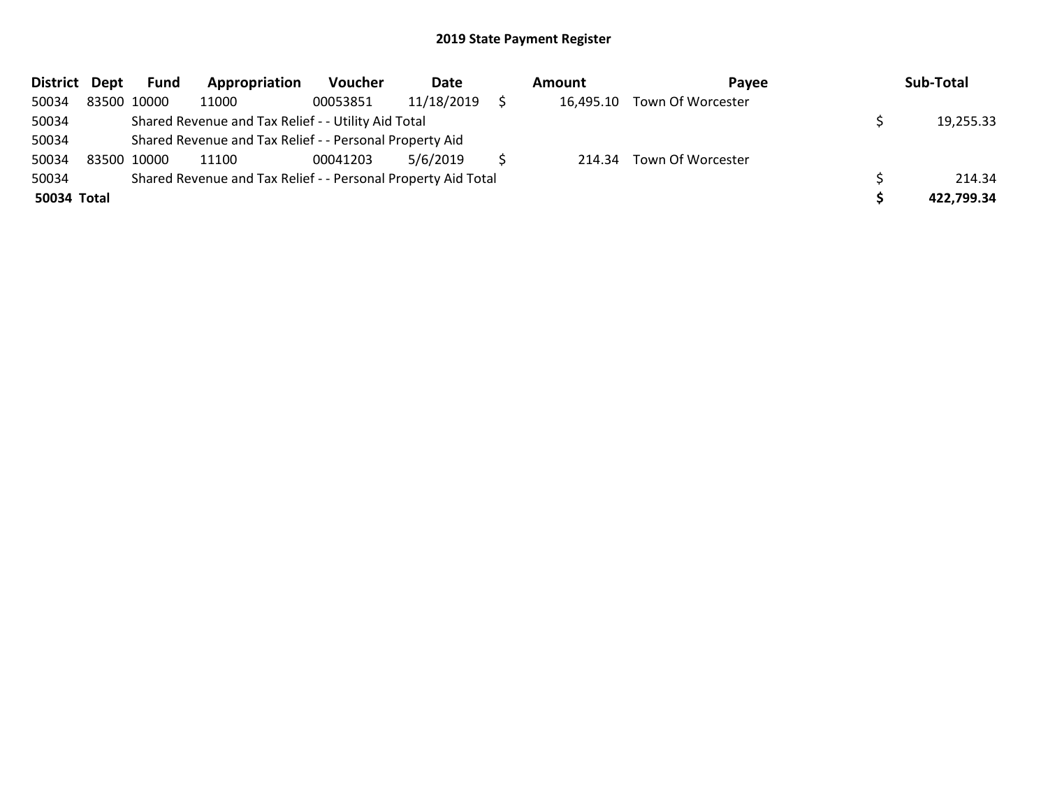| District Dept | Fund        | Appropriation                                                 | Voucher  | Date       | Amount |           | <b>Pavee</b>             |  | Sub-Total  |  |
|---------------|-------------|---------------------------------------------------------------|----------|------------|--------|-----------|--------------------------|--|------------|--|
| 50034         | 83500 10000 | 11000                                                         | 00053851 | 11/18/2019 |        | 16,495.10 | Town Of Worcester        |  |            |  |
| 50034         |             | Shared Revenue and Tax Relief - - Utility Aid Total           |          |            |        |           |                          |  | 19,255.33  |  |
| 50034         |             | Shared Revenue and Tax Relief - - Personal Property Aid       |          |            |        |           |                          |  |            |  |
| 50034         | 83500 10000 | 11100                                                         | 00041203 | 5/6/2019   |        |           | 214.34 Town Of Worcester |  |            |  |
| 50034         |             | Shared Revenue and Tax Relief - - Personal Property Aid Total |          |            |        |           |                          |  | 214.34     |  |
| 50034 Total   |             |                                                               |          |            |        |           |                          |  | 422,799.34 |  |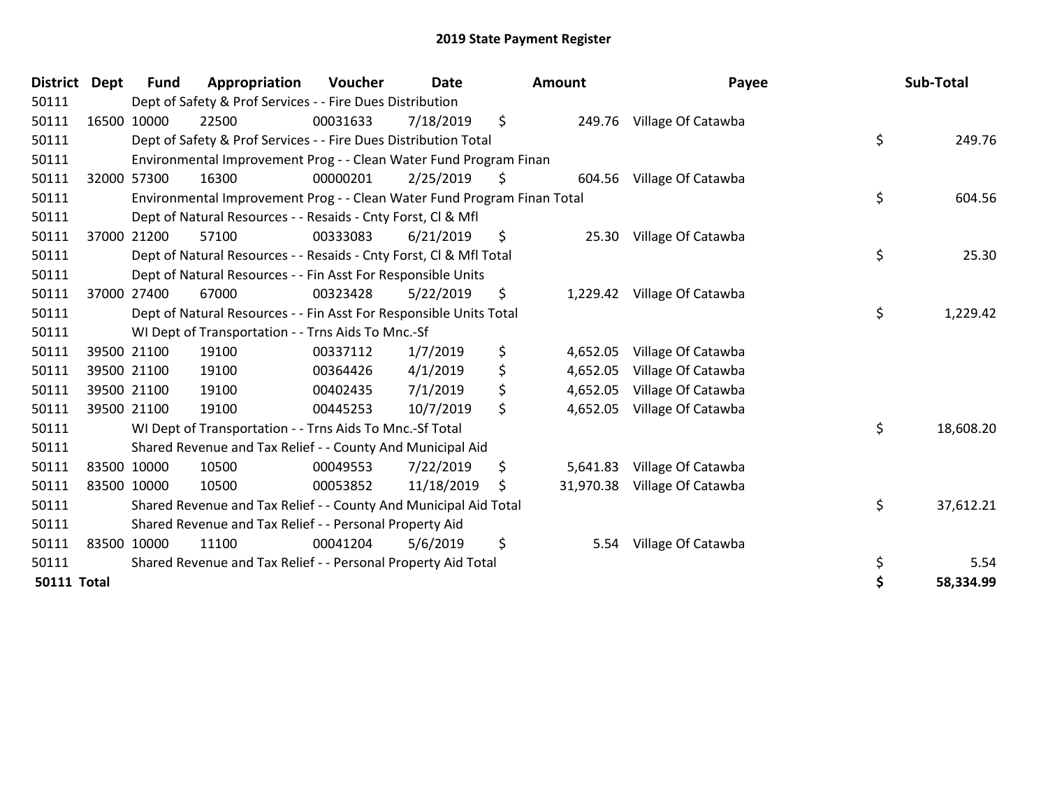| <b>District</b>    | <b>Dept</b> | <b>Fund</b> | Appropriation                                                           | <b>Voucher</b> | <b>Date</b> |     | Amount   | Payee                        | Sub-Total       |
|--------------------|-------------|-------------|-------------------------------------------------------------------------|----------------|-------------|-----|----------|------------------------------|-----------------|
| 50111              |             |             | Dept of Safety & Prof Services - - Fire Dues Distribution               |                |             |     |          |                              |                 |
| 50111              |             | 16500 10000 | 22500                                                                   | 00031633       | 7/18/2019   | \$  |          | 249.76 Village Of Catawba    |                 |
| 50111              |             |             | Dept of Safety & Prof Services - - Fire Dues Distribution Total         |                |             |     |          |                              | \$<br>249.76    |
| 50111              |             |             | Environmental Improvement Prog - - Clean Water Fund Program Finan       |                |             |     |          |                              |                 |
| 50111              | 32000 57300 |             | 16300                                                                   | 00000201       | 2/25/2019   | \$  |          | 604.56 Village Of Catawba    |                 |
| 50111              |             |             | Environmental Improvement Prog - - Clean Water Fund Program Finan Total |                |             |     |          |                              | \$<br>604.56    |
| 50111              |             |             | Dept of Natural Resources - - Resaids - Cnty Forst, CI & Mfl            |                |             |     |          |                              |                 |
| 50111              |             | 37000 21200 | 57100                                                                   | 00333083       | 6/21/2019   | \$. |          | 25.30 Village Of Catawba     |                 |
| 50111              |             |             | Dept of Natural Resources - - Resaids - Cnty Forst, CI & Mfl Total      |                |             |     |          |                              | \$<br>25.30     |
| 50111              |             |             | Dept of Natural Resources - - Fin Asst For Responsible Units            |                |             |     |          |                              |                 |
| 50111              |             | 37000 27400 | 67000                                                                   | 00323428       | 5/22/2019   | \$  |          | 1,229.42 Village Of Catawba  |                 |
| 50111              |             |             | Dept of Natural Resources - - Fin Asst For Responsible Units Total      |                |             |     |          |                              | \$<br>1,229.42  |
| 50111              |             |             | WI Dept of Transportation - - Trns Aids To Mnc.-Sf                      |                |             |     |          |                              |                 |
| 50111              |             | 39500 21100 | 19100                                                                   | 00337112       | 1/7/2019    | \$  | 4,652.05 | Village Of Catawba           |                 |
| 50111              |             | 39500 21100 | 19100                                                                   | 00364426       | 4/1/2019    | \$  | 4,652.05 | Village Of Catawba           |                 |
| 50111              |             | 39500 21100 | 19100                                                                   | 00402435       | 7/1/2019    | \$  | 4,652.05 | Village Of Catawba           |                 |
| 50111              |             | 39500 21100 | 19100                                                                   | 00445253       | 10/7/2019   | \$  | 4,652.05 | Village Of Catawba           |                 |
| 50111              |             |             | WI Dept of Transportation - - Trns Aids To Mnc.-Sf Total                |                |             |     |          |                              | \$<br>18,608.20 |
| 50111              |             |             | Shared Revenue and Tax Relief - - County And Municipal Aid              |                |             |     |          |                              |                 |
| 50111              | 83500 10000 |             | 10500                                                                   | 00049553       | 7/22/2019   | \$  | 5,641.83 | Village Of Catawba           |                 |
| 50111              | 83500 10000 |             | 10500                                                                   | 00053852       | 11/18/2019  | \$  |          | 31,970.38 Village Of Catawba |                 |
| 50111              |             |             | Shared Revenue and Tax Relief - - County And Municipal Aid Total        |                |             |     |          |                              | \$<br>37,612.21 |
| 50111              |             |             | Shared Revenue and Tax Relief - - Personal Property Aid                 |                |             |     |          |                              |                 |
| 50111              | 83500 10000 |             | 11100                                                                   | 00041204       | 5/6/2019    | \$  | 5.54     | Village Of Catawba           |                 |
| 50111              |             |             | Shared Revenue and Tax Relief - - Personal Property Aid Total           |                |             |     |          |                              | \$<br>5.54      |
| <b>50111 Total</b> |             |             |                                                                         |                |             |     |          |                              | 58,334.99       |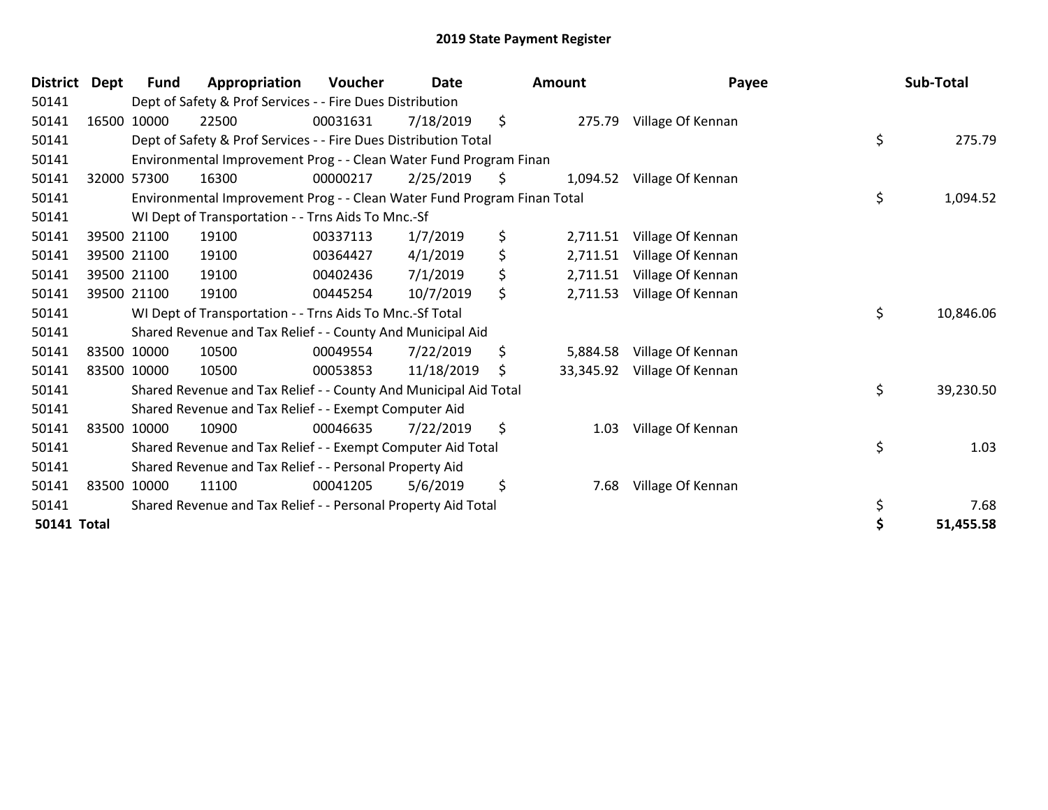| <b>District</b>    | Dept | <b>Fund</b> | Appropriation                                                           | <b>Voucher</b> | Date       |     | Amount    | Payee             |    | Sub-Total |
|--------------------|------|-------------|-------------------------------------------------------------------------|----------------|------------|-----|-----------|-------------------|----|-----------|
| 50141              |      |             | Dept of Safety & Prof Services - - Fire Dues Distribution               |                |            |     |           |                   |    |           |
| 50141              |      | 16500 10000 | 22500                                                                   | 00031631       | 7/18/2019  | \$  | 275.79    | Village Of Kennan |    |           |
| 50141              |      |             | Dept of Safety & Prof Services - - Fire Dues Distribution Total         |                |            |     |           |                   | \$ | 275.79    |
| 50141              |      |             | Environmental Improvement Prog - - Clean Water Fund Program Finan       |                |            |     |           |                   |    |           |
| 50141              |      | 32000 57300 | 16300                                                                   | 00000217       | 2/25/2019  | S.  | 1,094.52  | Village Of Kennan |    |           |
| 50141              |      |             | Environmental Improvement Prog - - Clean Water Fund Program Finan Total |                |            |     |           |                   | \$ | 1,094.52  |
| 50141              |      |             | WI Dept of Transportation - - Trns Aids To Mnc.-Sf                      |                |            |     |           |                   |    |           |
| 50141              |      | 39500 21100 | 19100                                                                   | 00337113       | 1/7/2019   | \$  | 2,711.51  | Village Of Kennan |    |           |
| 50141              |      | 39500 21100 | 19100                                                                   | 00364427       | 4/1/2019   | \$  | 2,711.51  | Village Of Kennan |    |           |
| 50141              |      | 39500 21100 | 19100                                                                   | 00402436       | 7/1/2019   | \$  | 2,711.51  | Village Of Kennan |    |           |
| 50141              |      | 39500 21100 | 19100                                                                   | 00445254       | 10/7/2019  | \$. | 2,711.53  | Village Of Kennan |    |           |
| 50141              |      |             | WI Dept of Transportation - - Trns Aids To Mnc.-Sf Total                |                |            |     |           |                   | \$ | 10,846.06 |
| 50141              |      |             | Shared Revenue and Tax Relief - - County And Municipal Aid              |                |            |     |           |                   |    |           |
| 50141              |      | 83500 10000 | 10500                                                                   | 00049554       | 7/22/2019  | \$  | 5,884.58  | Village Of Kennan |    |           |
| 50141              |      | 83500 10000 | 10500                                                                   | 00053853       | 11/18/2019 | \$  | 33,345.92 | Village Of Kennan |    |           |
| 50141              |      |             | Shared Revenue and Tax Relief - - County And Municipal Aid Total        |                |            |     |           |                   | \$ | 39,230.50 |
| 50141              |      |             | Shared Revenue and Tax Relief - - Exempt Computer Aid                   |                |            |     |           |                   |    |           |
| 50141              |      | 83500 10000 | 10900                                                                   | 00046635       | 7/22/2019  | \$  | 1.03      | Village Of Kennan |    |           |
| 50141              |      |             | Shared Revenue and Tax Relief - - Exempt Computer Aid Total             |                |            |     |           |                   | \$ | 1.03      |
| 50141              |      |             | Shared Revenue and Tax Relief - - Personal Property Aid                 |                |            |     |           |                   |    |           |
| 50141              |      | 83500 10000 | 11100                                                                   | 00041205       | 5/6/2019   | \$  | 7.68      | Village Of Kennan |    |           |
| 50141              |      |             | Shared Revenue and Tax Relief - - Personal Property Aid Total           |                |            |     |           |                   | \$ | 7.68      |
| <b>50141 Total</b> |      |             |                                                                         |                |            |     |           |                   | Ś  | 51,455.58 |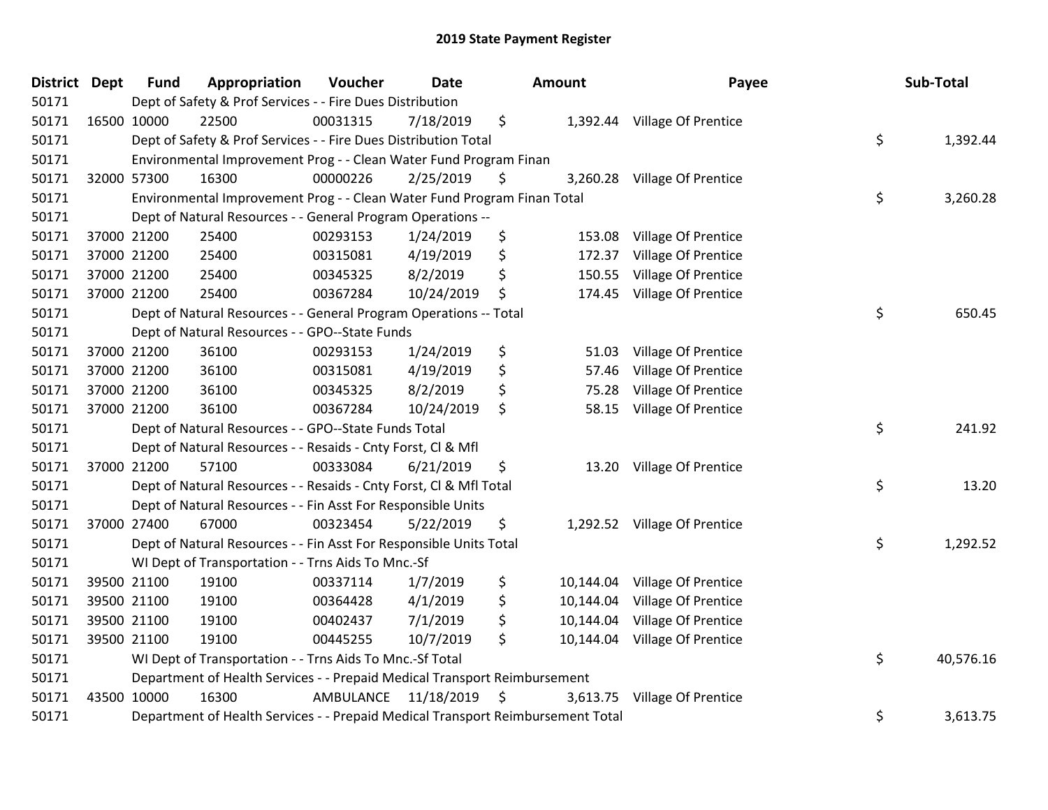| <b>District</b> | <b>Dept</b> | <b>Fund</b> | Appropriation                                                                   | Voucher   | <b>Date</b> | <b>Amount</b>   | Payee                        | Sub-Total       |
|-----------------|-------------|-------------|---------------------------------------------------------------------------------|-----------|-------------|-----------------|------------------------------|-----------------|
| 50171           |             |             | Dept of Safety & Prof Services - - Fire Dues Distribution                       |           |             |                 |                              |                 |
| 50171           |             | 16500 10000 | 22500                                                                           | 00031315  | 7/18/2019   | \$              | 1,392.44 Village Of Prentice |                 |
| 50171           |             |             | Dept of Safety & Prof Services - - Fire Dues Distribution Total                 |           |             |                 |                              | \$<br>1,392.44  |
| 50171           |             |             | Environmental Improvement Prog - - Clean Water Fund Program Finan               |           |             |                 |                              |                 |
| 50171           |             | 32000 57300 | 16300                                                                           | 00000226  | 2/25/2019   | \$              | 3,260.28 Village Of Prentice |                 |
| 50171           |             |             | Environmental Improvement Prog - - Clean Water Fund Program Finan Total         |           |             |                 |                              | \$<br>3,260.28  |
| 50171           |             |             | Dept of Natural Resources - - General Program Operations --                     |           |             |                 |                              |                 |
| 50171           |             | 37000 21200 | 25400                                                                           | 00293153  | 1/24/2019   | \$<br>153.08    | Village Of Prentice          |                 |
| 50171           |             | 37000 21200 | 25400                                                                           | 00315081  | 4/19/2019   | \$<br>172.37    | Village Of Prentice          |                 |
| 50171           |             | 37000 21200 | 25400                                                                           | 00345325  | 8/2/2019    | \$<br>150.55    | Village Of Prentice          |                 |
| 50171           |             | 37000 21200 | 25400                                                                           | 00367284  | 10/24/2019  | \$<br>174.45    | Village Of Prentice          |                 |
| 50171           |             |             | Dept of Natural Resources - - General Program Operations -- Total               |           |             |                 |                              | \$<br>650.45    |
| 50171           |             |             | Dept of Natural Resources - - GPO--State Funds                                  |           |             |                 |                              |                 |
| 50171           |             | 37000 21200 | 36100                                                                           | 00293153  | 1/24/2019   | \$<br>51.03     | Village Of Prentice          |                 |
| 50171           |             | 37000 21200 | 36100                                                                           | 00315081  | 4/19/2019   | \$<br>57.46     | Village Of Prentice          |                 |
| 50171           |             | 37000 21200 | 36100                                                                           | 00345325  | 8/2/2019    | \$<br>75.28     | Village Of Prentice          |                 |
| 50171           |             | 37000 21200 | 36100                                                                           | 00367284  | 10/24/2019  | \$<br>58.15     | Village Of Prentice          |                 |
| 50171           |             |             | Dept of Natural Resources - - GPO--State Funds Total                            |           |             |                 |                              | \$<br>241.92    |
| 50171           |             |             | Dept of Natural Resources - - Resaids - Cnty Forst, Cl & Mfl                    |           |             |                 |                              |                 |
| 50171           |             | 37000 21200 | 57100                                                                           | 00333084  | 6/21/2019   | \$              | 13.20 Village Of Prentice    |                 |
| 50171           |             |             | Dept of Natural Resources - - Resaids - Cnty Forst, Cl & Mfl Total              |           |             |                 |                              | \$<br>13.20     |
| 50171           |             |             | Dept of Natural Resources - - Fin Asst For Responsible Units                    |           |             |                 |                              |                 |
| 50171           |             | 37000 27400 | 67000                                                                           | 00323454  | 5/22/2019   | \$              | 1,292.52 Village Of Prentice |                 |
| 50171           |             |             | Dept of Natural Resources - - Fin Asst For Responsible Units Total              |           |             |                 |                              | \$<br>1,292.52  |
| 50171           |             |             | WI Dept of Transportation - - Trns Aids To Mnc.-Sf                              |           |             |                 |                              |                 |
| 50171           |             | 39500 21100 | 19100                                                                           | 00337114  | 1/7/2019    | \$<br>10,144.04 | Village Of Prentice          |                 |
| 50171           |             | 39500 21100 | 19100                                                                           | 00364428  | 4/1/2019    | \$<br>10,144.04 | Village Of Prentice          |                 |
| 50171           |             | 39500 21100 | 19100                                                                           | 00402437  | 7/1/2019    | \$<br>10,144.04 | Village Of Prentice          |                 |
| 50171           |             | 39500 21100 | 19100                                                                           | 00445255  | 10/7/2019   | \$<br>10,144.04 | Village Of Prentice          |                 |
| 50171           |             |             | WI Dept of Transportation - - Trns Aids To Mnc.-Sf Total                        |           |             |                 |                              | \$<br>40,576.16 |
| 50171           |             |             | Department of Health Services - - Prepaid Medical Transport Reimbursement       |           |             |                 |                              |                 |
| 50171           |             | 43500 10000 | 16300                                                                           | AMBULANCE | 11/18/2019  | \$<br>3,613.75  | Village Of Prentice          |                 |
| 50171           |             |             | Department of Health Services - - Prepaid Medical Transport Reimbursement Total |           |             |                 |                              | \$<br>3,613.75  |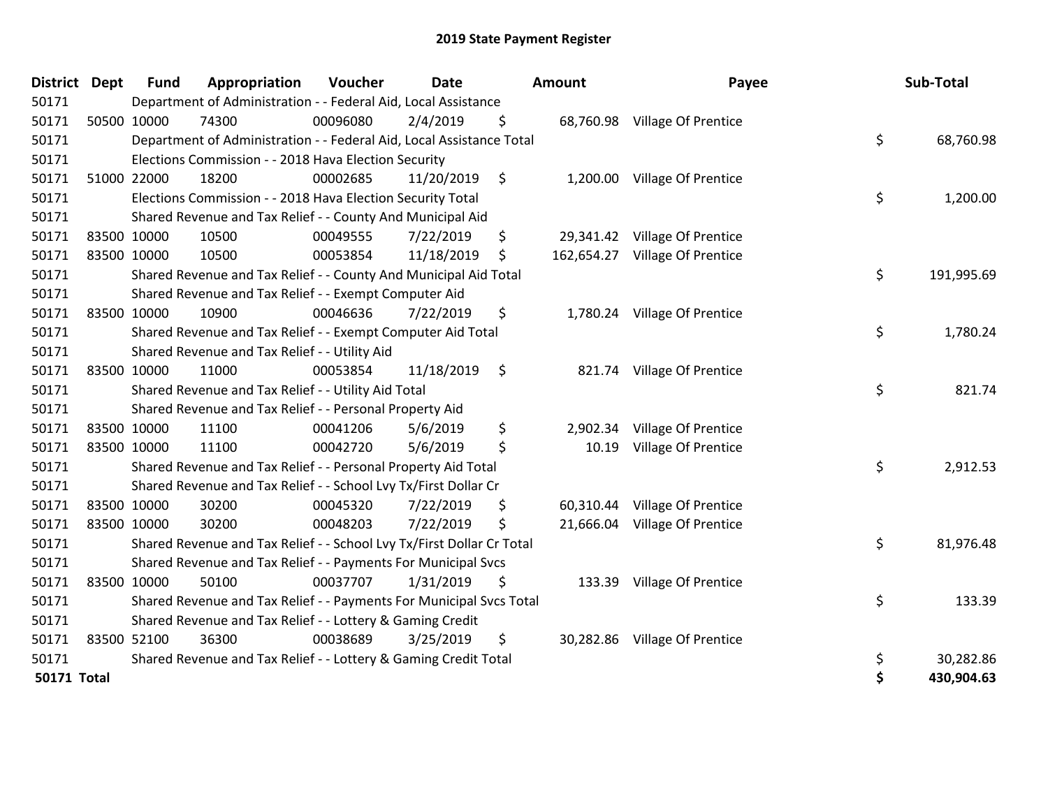| District           | <b>Dept</b> | <b>Fund</b> | Appropriation                                                         | Voucher  | Date       | <b>Amount</b>  | Payee                          | Sub-Total        |
|--------------------|-------------|-------------|-----------------------------------------------------------------------|----------|------------|----------------|--------------------------------|------------------|
| 50171              |             |             | Department of Administration - - Federal Aid, Local Assistance        |          |            |                |                                |                  |
| 50171              |             | 50500 10000 | 74300                                                                 | 00096080 | 2/4/2019   | \$             | 68,760.98 Village Of Prentice  |                  |
| 50171              |             |             | Department of Administration - - Federal Aid, Local Assistance Total  |          |            |                |                                | \$<br>68,760.98  |
| 50171              |             |             | Elections Commission - - 2018 Hava Election Security                  |          |            |                |                                |                  |
| 50171              |             | 51000 22000 | 18200                                                                 | 00002685 | 11/20/2019 | \$             | 1,200.00 Village Of Prentice   |                  |
| 50171              |             |             | Elections Commission - - 2018 Hava Election Security Total            |          |            |                |                                | \$<br>1,200.00   |
| 50171              |             |             | Shared Revenue and Tax Relief - - County And Municipal Aid            |          |            |                |                                |                  |
| 50171              |             | 83500 10000 | 10500                                                                 | 00049555 | 7/22/2019  | \$             | 29,341.42 Village Of Prentice  |                  |
| 50171              |             | 83500 10000 | 10500                                                                 | 00053854 | 11/18/2019 | \$             | 162,654.27 Village Of Prentice |                  |
| 50171              |             |             | Shared Revenue and Tax Relief - - County And Municipal Aid Total      |          |            |                |                                | \$<br>191,995.69 |
| 50171              |             |             | Shared Revenue and Tax Relief - - Exempt Computer Aid                 |          |            |                |                                |                  |
| 50171              |             | 83500 10000 | 10900                                                                 | 00046636 | 7/22/2019  | \$             | 1,780.24 Village Of Prentice   |                  |
| 50171              |             |             | Shared Revenue and Tax Relief - - Exempt Computer Aid Total           |          |            |                |                                | \$<br>1,780.24   |
| 50171              |             |             | Shared Revenue and Tax Relief - - Utility Aid                         |          |            |                |                                |                  |
| 50171              |             | 83500 10000 | 11000                                                                 | 00053854 | 11/18/2019 | \$             | 821.74 Village Of Prentice     |                  |
| 50171              |             |             | Shared Revenue and Tax Relief - - Utility Aid Total                   |          |            |                |                                | \$<br>821.74     |
| 50171              |             |             | Shared Revenue and Tax Relief - - Personal Property Aid               |          |            |                |                                |                  |
| 50171              |             | 83500 10000 | 11100                                                                 | 00041206 | 5/6/2019   | \$<br>2,902.34 | Village Of Prentice            |                  |
| 50171              |             | 83500 10000 | 11100                                                                 | 00042720 | 5/6/2019   | \$<br>10.19    | Village Of Prentice            |                  |
| 50171              |             |             | Shared Revenue and Tax Relief - - Personal Property Aid Total         |          |            |                |                                | \$<br>2,912.53   |
| 50171              |             |             | Shared Revenue and Tax Relief - - School Lvy Tx/First Dollar Cr       |          |            |                |                                |                  |
| 50171              |             | 83500 10000 | 30200                                                                 | 00045320 | 7/22/2019  | \$             | 60,310.44 Village Of Prentice  |                  |
| 50171              | 83500 10000 |             | 30200                                                                 | 00048203 | 7/22/2019  | \$             | 21,666.04 Village Of Prentice  |                  |
| 50171              |             |             | Shared Revenue and Tax Relief - - School Lvy Tx/First Dollar Cr Total |          |            |                |                                | \$<br>81,976.48  |
| 50171              |             |             | Shared Revenue and Tax Relief - - Payments For Municipal Svcs         |          |            |                |                                |                  |
| 50171              |             | 83500 10000 | 50100                                                                 | 00037707 | 1/31/2019  | \$             | 133.39 Village Of Prentice     |                  |
| 50171              |             |             | Shared Revenue and Tax Relief - - Payments For Municipal Svcs Total   |          |            |                |                                | \$<br>133.39     |
| 50171              |             |             | Shared Revenue and Tax Relief - - Lottery & Gaming Credit             |          |            |                |                                |                  |
| 50171              |             | 83500 52100 | 36300                                                                 | 00038689 | 3/25/2019  | \$             | 30,282.86 Village Of Prentice  |                  |
| 50171              |             |             | Shared Revenue and Tax Relief - - Lottery & Gaming Credit Total       |          |            |                |                                | \$<br>30,282.86  |
| <b>50171 Total</b> |             |             |                                                                       |          |            |                |                                | \$<br>430,904.63 |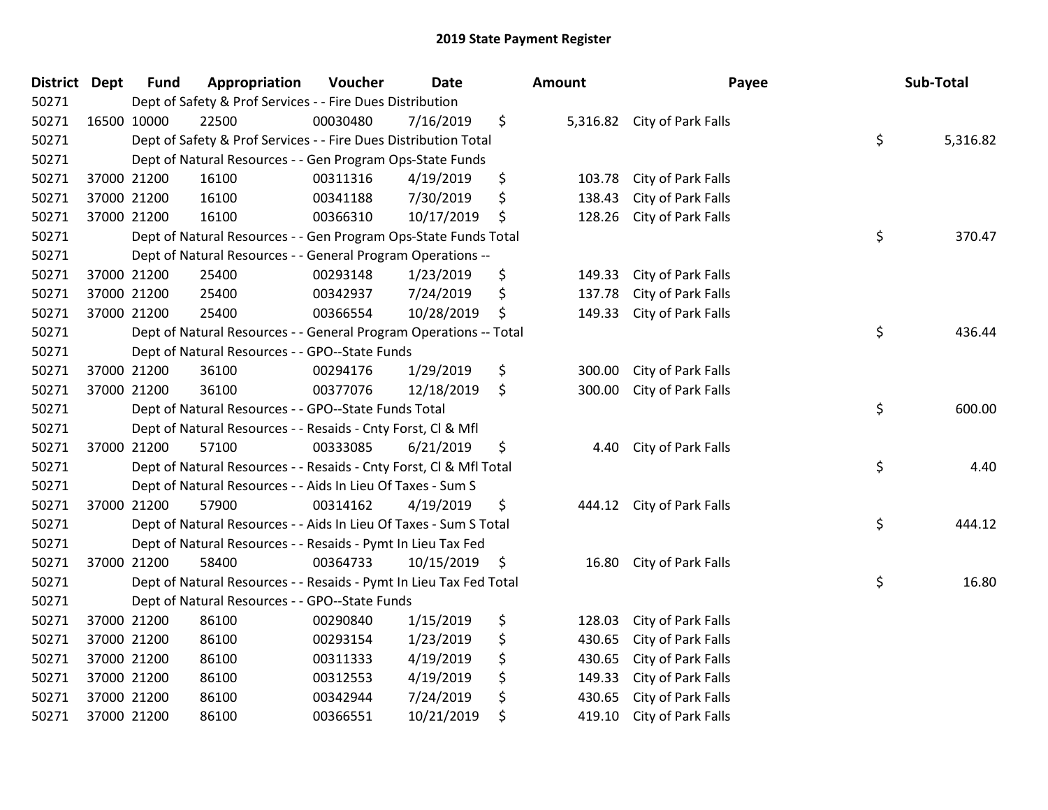| <b>District Dept</b> |             | <b>Fund</b> | Appropriation                                                      | Voucher  | <b>Date</b> | <b>Amount</b> | Payee                       | Sub-Total      |
|----------------------|-------------|-------------|--------------------------------------------------------------------|----------|-------------|---------------|-----------------------------|----------------|
| 50271                |             |             | Dept of Safety & Prof Services - - Fire Dues Distribution          |          |             |               |                             |                |
| 50271                | 16500 10000 |             | 22500                                                              | 00030480 | 7/16/2019   | \$            | 5,316.82 City of Park Falls |                |
| 50271                |             |             | Dept of Safety & Prof Services - - Fire Dues Distribution Total    |          |             |               |                             | \$<br>5,316.82 |
| 50271                |             |             | Dept of Natural Resources - - Gen Program Ops-State Funds          |          |             |               |                             |                |
| 50271                |             | 37000 21200 | 16100                                                              | 00311316 | 4/19/2019   | \$<br>103.78  | City of Park Falls          |                |
| 50271                |             | 37000 21200 | 16100                                                              | 00341188 | 7/30/2019   | \$<br>138.43  | City of Park Falls          |                |
| 50271                |             | 37000 21200 | 16100                                                              | 00366310 | 10/17/2019  | \$<br>128.26  | City of Park Falls          |                |
| 50271                |             |             | Dept of Natural Resources - - Gen Program Ops-State Funds Total    |          |             |               |                             | \$<br>370.47   |
| 50271                |             |             | Dept of Natural Resources - - General Program Operations --        |          |             |               |                             |                |
| 50271                | 37000 21200 |             | 25400                                                              | 00293148 | 1/23/2019   | \$<br>149.33  | City of Park Falls          |                |
| 50271                |             | 37000 21200 | 25400                                                              | 00342937 | 7/24/2019   | \$<br>137.78  | City of Park Falls          |                |
| 50271                |             | 37000 21200 | 25400                                                              | 00366554 | 10/28/2019  | \$<br>149.33  | City of Park Falls          |                |
| 50271                |             |             | Dept of Natural Resources - - General Program Operations -- Total  |          |             |               |                             | \$<br>436.44   |
| 50271                |             |             | Dept of Natural Resources - - GPO--State Funds                     |          |             |               |                             |                |
| 50271                |             | 37000 21200 | 36100                                                              | 00294176 | 1/29/2019   | \$<br>300.00  | City of Park Falls          |                |
| 50271                |             | 37000 21200 | 36100                                                              | 00377076 | 12/18/2019  | \$<br>300.00  | City of Park Falls          |                |
| 50271                |             |             | Dept of Natural Resources - - GPO--State Funds Total               |          |             |               |                             | \$<br>600.00   |
| 50271                |             |             | Dept of Natural Resources - - Resaids - Cnty Forst, Cl & Mfl       |          |             |               |                             |                |
| 50271                |             | 37000 21200 | 57100                                                              | 00333085 | 6/21/2019   | \$<br>4.40    | City of Park Falls          |                |
| 50271                |             |             | Dept of Natural Resources - - Resaids - Cnty Forst, Cl & Mfl Total |          |             |               |                             | \$<br>4.40     |
| 50271                |             |             | Dept of Natural Resources - - Aids In Lieu Of Taxes - Sum S        |          |             |               |                             |                |
| 50271                |             | 37000 21200 | 57900                                                              | 00314162 | 4/19/2019   | \$<br>444.12  | City of Park Falls          |                |
| 50271                |             |             | Dept of Natural Resources - - Aids In Lieu Of Taxes - Sum S Total  |          |             |               |                             | \$<br>444.12   |
| 50271                |             |             | Dept of Natural Resources - - Resaids - Pymt In Lieu Tax Fed       |          |             |               |                             |                |
| 50271                |             | 37000 21200 | 58400                                                              | 00364733 | 10/15/2019  | \$<br>16.80   | City of Park Falls          |                |
| 50271                |             |             | Dept of Natural Resources - - Resaids - Pymt In Lieu Tax Fed Total |          |             |               |                             | \$<br>16.80    |
| 50271                |             |             | Dept of Natural Resources - - GPO--State Funds                     |          |             |               |                             |                |
| 50271                |             | 37000 21200 | 86100                                                              | 00290840 | 1/15/2019   | \$<br>128.03  | City of Park Falls          |                |
| 50271                | 37000 21200 |             | 86100                                                              | 00293154 | 1/23/2019   | \$<br>430.65  | City of Park Falls          |                |
| 50271                | 37000 21200 |             | 86100                                                              | 00311333 | 4/19/2019   | \$<br>430.65  | City of Park Falls          |                |
| 50271                | 37000 21200 |             | 86100                                                              | 00312553 | 4/19/2019   | \$<br>149.33  | City of Park Falls          |                |
| 50271                |             | 37000 21200 | 86100                                                              | 00342944 | 7/24/2019   | \$<br>430.65  | City of Park Falls          |                |
| 50271                |             | 37000 21200 | 86100                                                              | 00366551 | 10/21/2019  | \$<br>419.10  | City of Park Falls          |                |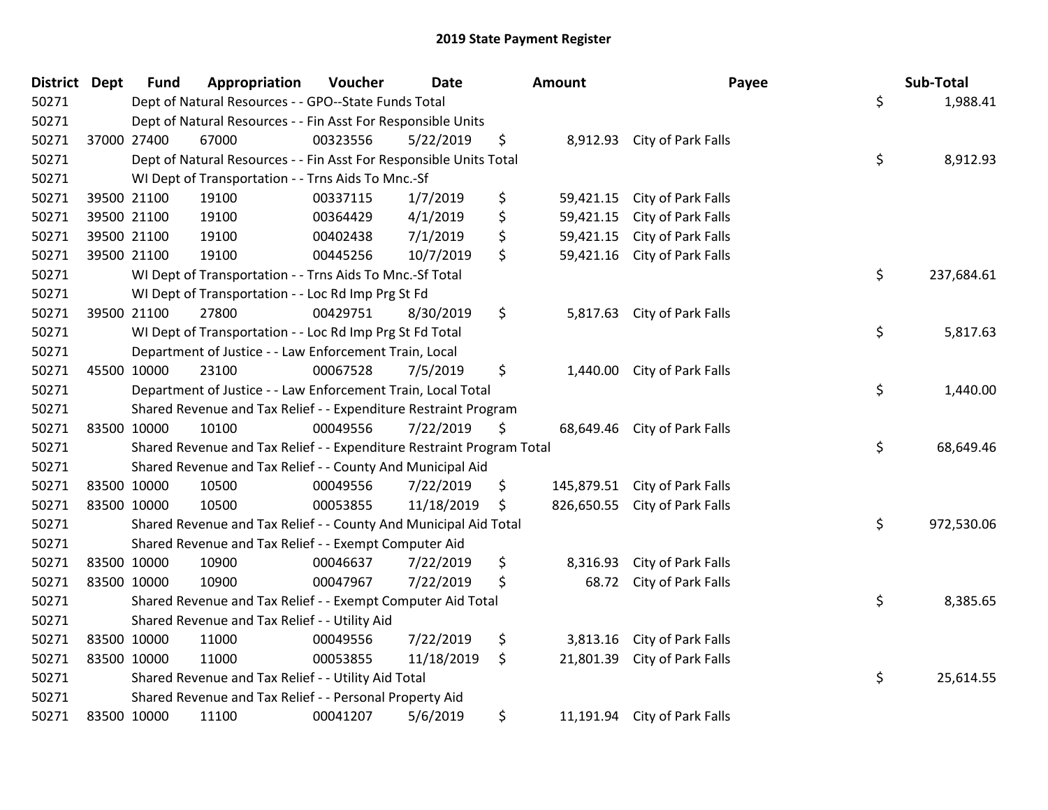| District Dept | <b>Fund</b> | Appropriation                                                         | Voucher  | <b>Date</b> | Amount           | Payee                         | Sub-Total        |
|---------------|-------------|-----------------------------------------------------------------------|----------|-------------|------------------|-------------------------------|------------------|
| 50271         |             | Dept of Natural Resources - - GPO--State Funds Total                  |          |             |                  |                               | \$<br>1,988.41   |
| 50271         |             | Dept of Natural Resources - - Fin Asst For Responsible Units          |          |             |                  |                               |                  |
| 50271         | 37000 27400 | 67000                                                                 | 00323556 | 5/22/2019   | \$               | 8,912.93 City of Park Falls   |                  |
| 50271         |             | Dept of Natural Resources - - Fin Asst For Responsible Units Total    |          |             |                  |                               | \$<br>8,912.93   |
| 50271         |             | WI Dept of Transportation - - Trns Aids To Mnc.-Sf                    |          |             |                  |                               |                  |
| 50271         | 39500 21100 | 19100                                                                 | 00337115 | 1/7/2019    | \$<br>59,421.15  | City of Park Falls            |                  |
| 50271         | 39500 21100 | 19100                                                                 | 00364429 | 4/1/2019    | \$<br>59,421.15  | City of Park Falls            |                  |
| 50271         | 39500 21100 | 19100                                                                 | 00402438 | 7/1/2019    | \$<br>59,421.15  | City of Park Falls            |                  |
| 50271         | 39500 21100 | 19100                                                                 | 00445256 | 10/7/2019   | \$<br>59,421.16  | City of Park Falls            |                  |
| 50271         |             | WI Dept of Transportation - - Trns Aids To Mnc.-Sf Total              |          |             |                  |                               | \$<br>237,684.61 |
| 50271         |             | WI Dept of Transportation - - Loc Rd Imp Prg St Fd                    |          |             |                  |                               |                  |
| 50271         | 39500 21100 | 27800                                                                 | 00429751 | 8/30/2019   | \$               | 5,817.63 City of Park Falls   |                  |
| 50271         |             | WI Dept of Transportation - - Loc Rd Imp Prg St Fd Total              |          |             |                  |                               | \$<br>5,817.63   |
| 50271         |             | Department of Justice - - Law Enforcement Train, Local                |          |             |                  |                               |                  |
| 50271         | 45500 10000 | 23100                                                                 | 00067528 | 7/5/2019    | \$<br>1,440.00   | City of Park Falls            |                  |
| 50271         |             | Department of Justice - - Law Enforcement Train, Local Total          |          |             |                  |                               | \$<br>1,440.00   |
| 50271         |             | Shared Revenue and Tax Relief - - Expenditure Restraint Program       |          |             |                  |                               |                  |
| 50271         | 83500 10000 | 10100                                                                 | 00049556 | 7/22/2019   | \$<br>68,649.46  | City of Park Falls            |                  |
| 50271         |             | Shared Revenue and Tax Relief - - Expenditure Restraint Program Total |          |             |                  |                               | \$<br>68,649.46  |
| 50271         |             | Shared Revenue and Tax Relief - - County And Municipal Aid            |          |             |                  |                               |                  |
| 50271         | 83500 10000 | 10500                                                                 | 00049556 | 7/22/2019   | \$<br>145,879.51 | City of Park Falls            |                  |
| 50271         | 83500 10000 | 10500                                                                 | 00053855 | 11/18/2019  | \$               | 826,650.55 City of Park Falls |                  |
| 50271         |             | Shared Revenue and Tax Relief - - County And Municipal Aid Total      |          |             |                  |                               | \$<br>972,530.06 |
| 50271         |             | Shared Revenue and Tax Relief - - Exempt Computer Aid                 |          |             |                  |                               |                  |
| 50271         | 83500 10000 | 10900                                                                 | 00046637 | 7/22/2019   | \$<br>8,316.93   | City of Park Falls            |                  |
| 50271         | 83500 10000 | 10900                                                                 | 00047967 | 7/22/2019   | \$<br>68.72      | City of Park Falls            |                  |
| 50271         |             | Shared Revenue and Tax Relief - - Exempt Computer Aid Total           |          |             |                  |                               | \$<br>8,385.65   |
| 50271         |             | Shared Revenue and Tax Relief - - Utility Aid                         |          |             |                  |                               |                  |
| 50271         | 83500 10000 | 11000                                                                 | 00049556 | 7/22/2019   | \$<br>3,813.16   | City of Park Falls            |                  |
| 50271         | 83500 10000 | 11000                                                                 | 00053855 | 11/18/2019  | \$<br>21,801.39  | City of Park Falls            |                  |
| 50271         |             | Shared Revenue and Tax Relief - - Utility Aid Total                   |          |             |                  |                               | \$<br>25,614.55  |
| 50271         |             | Shared Revenue and Tax Relief - - Personal Property Aid               |          |             |                  |                               |                  |
| 50271         | 83500 10000 | 11100                                                                 | 00041207 | 5/6/2019    | \$               | 11,191.94 City of Park Falls  |                  |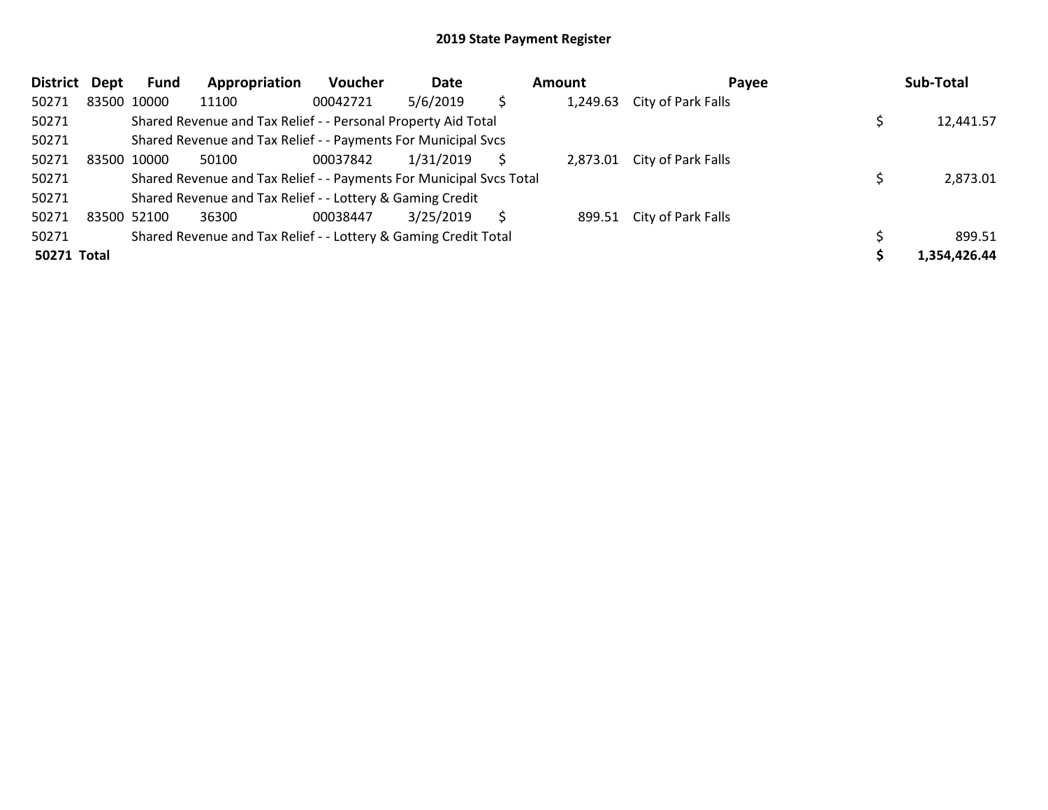| <b>District</b> | <b>Dept</b> | <b>Fund</b> | Appropriation                                                       | <b>Voucher</b> | Date      | <b>Amount</b><br>Payee |          | Sub-Total                 |              |
|-----------------|-------------|-------------|---------------------------------------------------------------------|----------------|-----------|------------------------|----------|---------------------------|--------------|
| 50271           |             | 83500 10000 | 11100                                                               | 00042721       | 5/6/2019  | \$                     | 1,249.63 | City of Park Falls        |              |
| 50271           |             |             | Shared Revenue and Tax Relief - - Personal Property Aid Total       |                |           |                        |          |                           | 12,441.57    |
| 50271           |             |             | Shared Revenue and Tax Relief - - Payments For Municipal Svcs       |                |           |                        |          |                           |              |
| 50271           |             | 83500 10000 | 50100                                                               | 00037842       | 1/31/2019 |                        | 2,873.01 | City of Park Falls        |              |
| 50271           |             |             | Shared Revenue and Tax Relief - - Payments For Municipal Svcs Total |                |           |                        |          |                           | 2,873.01     |
| 50271           |             |             | Shared Revenue and Tax Relief - - Lottery & Gaming Credit           |                |           |                        |          |                           |              |
| 50271           |             | 83500 52100 | 36300                                                               | 00038447       | 3/25/2019 | Ŝ                      |          | 899.51 City of Park Falls |              |
| 50271           |             |             | Shared Revenue and Tax Relief - - Lottery & Gaming Credit Total     |                |           |                        |          |                           | 899.51       |
| 50271 Total     |             |             |                                                                     |                |           |                        |          |                           | 1,354,426.44 |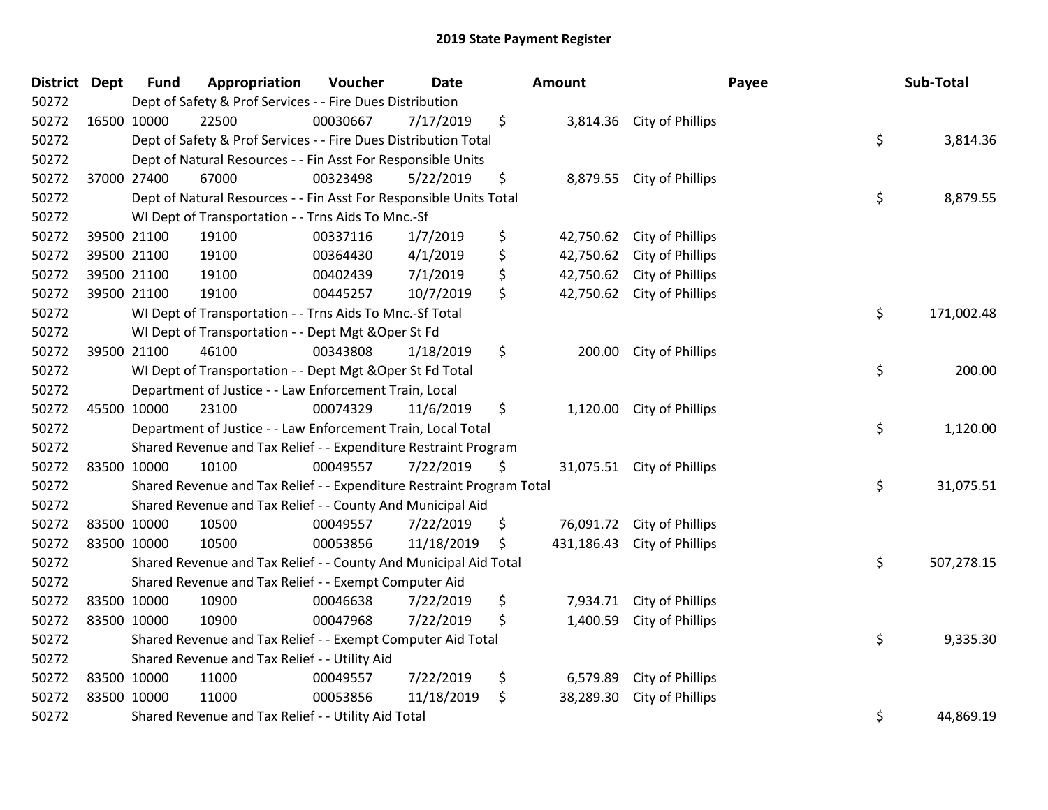| District Dept |             | <b>Fund</b> | Appropriation                                                         | Voucher  | <b>Date</b> |    | Amount     |                            | Payee | Sub-Total  |
|---------------|-------------|-------------|-----------------------------------------------------------------------|----------|-------------|----|------------|----------------------------|-------|------------|
| 50272         |             |             | Dept of Safety & Prof Services - - Fire Dues Distribution             |          |             |    |            |                            |       |            |
| 50272         | 16500 10000 |             | 22500                                                                 | 00030667 | 7/17/2019   | \$ |            | 3,814.36 City of Phillips  |       |            |
| 50272         |             |             | Dept of Safety & Prof Services - - Fire Dues Distribution Total       |          |             |    |            |                            | \$    | 3,814.36   |
| 50272         |             |             | Dept of Natural Resources - - Fin Asst For Responsible Units          |          |             |    |            |                            |       |            |
| 50272         |             | 37000 27400 | 67000                                                                 | 00323498 | 5/22/2019   | \$ | 8,879.55   | City of Phillips           |       |            |
| 50272         |             |             | Dept of Natural Resources - - Fin Asst For Responsible Units Total    |          |             |    |            |                            | \$    | 8,879.55   |
| 50272         |             |             | WI Dept of Transportation - - Trns Aids To Mnc.-Sf                    |          |             |    |            |                            |       |            |
| 50272         |             | 39500 21100 | 19100                                                                 | 00337116 | 1/7/2019    | \$ | 42,750.62  | City of Phillips           |       |            |
| 50272         |             | 39500 21100 | 19100                                                                 | 00364430 | 4/1/2019    | \$ | 42,750.62  | City of Phillips           |       |            |
| 50272         |             | 39500 21100 | 19100                                                                 | 00402439 | 7/1/2019    | \$ | 42,750.62  | City of Phillips           |       |            |
| 50272         |             | 39500 21100 | 19100                                                                 | 00445257 | 10/7/2019   | \$ | 42,750.62  | City of Phillips           |       |            |
| 50272         |             |             | WI Dept of Transportation - - Trns Aids To Mnc.-Sf Total              |          |             |    |            |                            | \$    | 171,002.48 |
| 50272         |             |             | WI Dept of Transportation - - Dept Mgt & Oper St Fd                   |          |             |    |            |                            |       |            |
| 50272         |             | 39500 21100 | 46100                                                                 | 00343808 | 1/18/2019   | \$ | 200.00     | City of Phillips           |       |            |
| 50272         |             |             | WI Dept of Transportation - - Dept Mgt & Oper St Fd Total             |          |             |    |            |                            | \$    | 200.00     |
| 50272         |             |             | Department of Justice - - Law Enforcement Train, Local                |          |             |    |            |                            |       |            |
| 50272         | 45500 10000 |             | 23100                                                                 | 00074329 | 11/6/2019   | \$ | 1,120.00   | City of Phillips           |       |            |
| 50272         |             |             | Department of Justice - - Law Enforcement Train, Local Total          |          |             |    |            |                            | \$    | 1,120.00   |
| 50272         |             |             | Shared Revenue and Tax Relief - - Expenditure Restraint Program       |          |             |    |            |                            |       |            |
| 50272         |             | 83500 10000 | 10100                                                                 | 00049557 | 7/22/2019   | S. |            | 31,075.51 City of Phillips |       |            |
| 50272         |             |             | Shared Revenue and Tax Relief - - Expenditure Restraint Program Total |          |             |    |            |                            | \$    | 31,075.51  |
| 50272         |             |             | Shared Revenue and Tax Relief - - County And Municipal Aid            |          |             |    |            |                            |       |            |
| 50272         | 83500 10000 |             | 10500                                                                 | 00049557 | 7/22/2019   | \$ |            | 76,091.72 City of Phillips |       |            |
| 50272         | 83500 10000 |             | 10500                                                                 | 00053856 | 11/18/2019  | \$ | 431,186.43 | City of Phillips           |       |            |
| 50272         |             |             | Shared Revenue and Tax Relief - - County And Municipal Aid Total      |          |             |    |            |                            | \$    | 507,278.15 |
| 50272         |             |             | Shared Revenue and Tax Relief - - Exempt Computer Aid                 |          |             |    |            |                            |       |            |
| 50272         | 83500 10000 |             | 10900                                                                 | 00046638 | 7/22/2019   | \$ | 7,934.71   | City of Phillips           |       |            |
| 50272         | 83500 10000 |             | 10900                                                                 | 00047968 | 7/22/2019   | \$ | 1,400.59   | City of Phillips           |       |            |
| 50272         |             |             | Shared Revenue and Tax Relief - - Exempt Computer Aid Total           |          |             |    |            |                            | \$    | 9,335.30   |
| 50272         |             |             | Shared Revenue and Tax Relief - - Utility Aid                         |          |             |    |            |                            |       |            |
| 50272         |             | 83500 10000 | 11000                                                                 | 00049557 | 7/22/2019   | \$ | 6,579.89   | City of Phillips           |       |            |
| 50272         | 83500 10000 |             | 11000                                                                 | 00053856 | 11/18/2019  | \$ | 38,289.30  | City of Phillips           |       |            |
| 50272         |             |             | Shared Revenue and Tax Relief - - Utility Aid Total                   |          |             |    |            |                            | \$    | 44,869.19  |